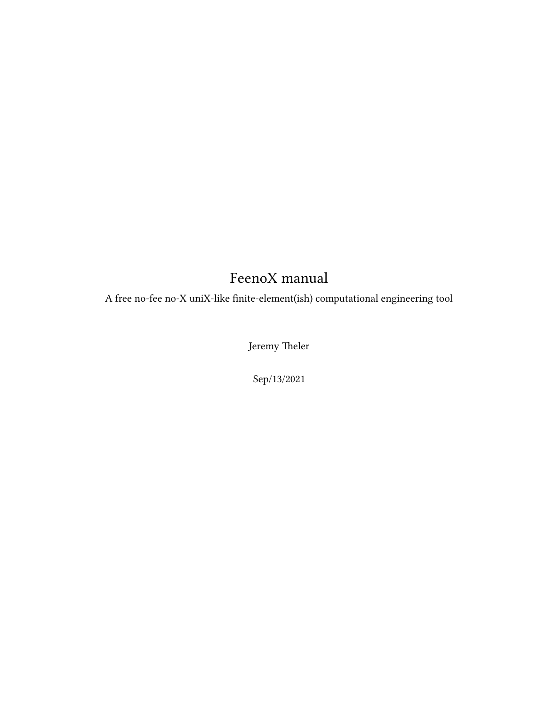## FeenoX manual

<span id="page-0-0"></span>A free no-fee no-X uniX-like finite-element(ish) computational engineering tool

Jeremy Theler

Sep/13/2021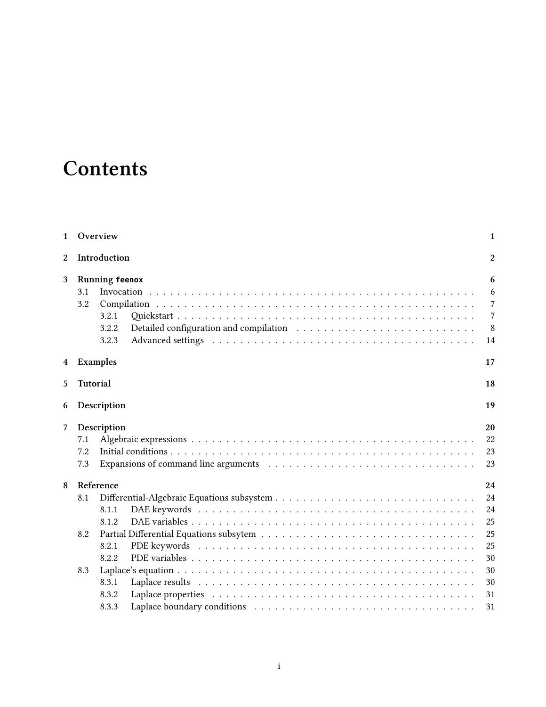# **Contents**

| 1              |                 | Overview                                                                                                                                                                                                                               | $\mathbf{1}$ |
|----------------|-----------------|----------------------------------------------------------------------------------------------------------------------------------------------------------------------------------------------------------------------------------------|--------------|
| $\overline{2}$ |                 | Introduction                                                                                                                                                                                                                           | 2            |
| 3              |                 | <b>Running feenox</b>                                                                                                                                                                                                                  | 6            |
|                | 3.1             |                                                                                                                                                                                                                                        | 6            |
|                | 3.2             |                                                                                                                                                                                                                                        | 7            |
|                |                 | 3.2.1                                                                                                                                                                                                                                  | 7            |
|                |                 | 3.2.2                                                                                                                                                                                                                                  | 8            |
|                |                 | Advanced settings entertainment is not in the set of the set of the set of the set of the set of the set of the set of the set of the set of the set of the set of the set of the set of the set of the set of the set of the<br>3.2.3 | 14           |
| 4              |                 | <b>Examples</b>                                                                                                                                                                                                                        | 17           |
| 5              | <b>Tutorial</b> |                                                                                                                                                                                                                                        | 18           |
| 6              |                 | Description                                                                                                                                                                                                                            | 19           |
| 7              |                 | Description                                                                                                                                                                                                                            | 20           |
|                | 7.1             |                                                                                                                                                                                                                                        | 22           |
|                | 7.2             |                                                                                                                                                                                                                                        | 23           |
|                | 7.3             | Expansions of command line arguments (a) in the set of the set of the set of the set of the set of the set of the set of the set of the set of the set of the set of the set of the set of the set of the set of the set of th         | 23           |
| 8              |                 | Reference                                                                                                                                                                                                                              | 24           |
|                | 8.1             |                                                                                                                                                                                                                                        | 24           |
|                |                 | 8.1.1                                                                                                                                                                                                                                  | 24           |
|                |                 | 8.1.2                                                                                                                                                                                                                                  | 25           |
|                | 8.2             |                                                                                                                                                                                                                                        | 25           |
|                |                 | 8.2.1                                                                                                                                                                                                                                  | 25           |
|                |                 | 8.2.2                                                                                                                                                                                                                                  | 30           |
|                | 8.3             |                                                                                                                                                                                                                                        | 30           |
|                |                 | 8.3.1                                                                                                                                                                                                                                  | 30           |
|                |                 | 8.3.2                                                                                                                                                                                                                                  | 31           |
|                |                 | 8.3.3                                                                                                                                                                                                                                  | 31           |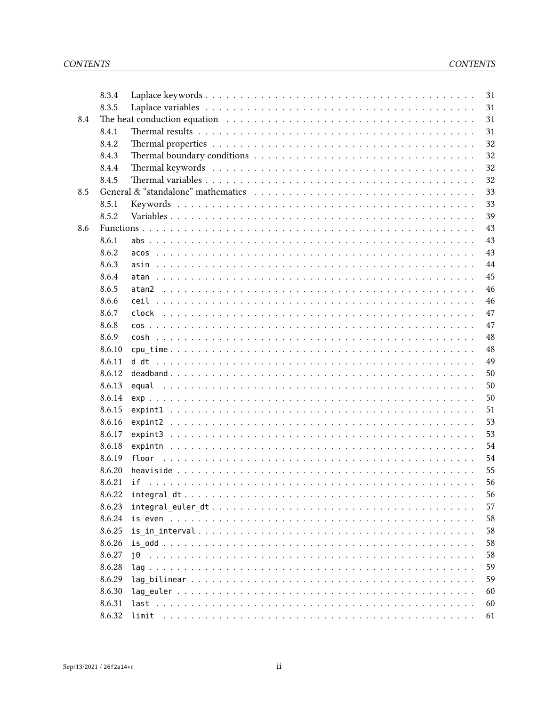|     | 8.3.4  | 31                                                                                                                                                                                                                                   |
|-----|--------|--------------------------------------------------------------------------------------------------------------------------------------------------------------------------------------------------------------------------------------|
|     | 8.3.5  | 31                                                                                                                                                                                                                                   |
| 8.4 |        | 31                                                                                                                                                                                                                                   |
|     | 8.4.1  | 31                                                                                                                                                                                                                                   |
|     | 8.4.2  | 32                                                                                                                                                                                                                                   |
|     | 8.4.3  | 32                                                                                                                                                                                                                                   |
|     | 8.4.4  | 32                                                                                                                                                                                                                                   |
|     | 8.4.5  | 32                                                                                                                                                                                                                                   |
| 8.5 |        | General & "standalone" mathematics enterprise value of the set of the set of the set of the set of the set of the set of the set of the set of the set of the set of the set of the set of the set of the set of the set of th<br>33 |
|     | 8.5.1  | 33                                                                                                                                                                                                                                   |
|     | 8.5.2  | 39                                                                                                                                                                                                                                   |
| 8.6 |        | 43                                                                                                                                                                                                                                   |
|     | 8.6.1  | 43                                                                                                                                                                                                                                   |
|     | 8.6.2  | 43<br>acos                                                                                                                                                                                                                           |
|     | 8.6.3  | 44                                                                                                                                                                                                                                   |
|     | 8.6.4  | 45<br>atan                                                                                                                                                                                                                           |
|     | 8.6.5  | 46<br>atan2                                                                                                                                                                                                                          |
|     | 8.6.6  | 46                                                                                                                                                                                                                                   |
|     | 8.6.7  | 47                                                                                                                                                                                                                                   |
|     | 8.6.8  | 47                                                                                                                                                                                                                                   |
|     | 8.6.9  | 48                                                                                                                                                                                                                                   |
|     | 8.6.10 | 48                                                                                                                                                                                                                                   |
|     | 8.6.11 | 49<br>d dt                                                                                                                                                                                                                           |
|     | 8.6.12 | 50                                                                                                                                                                                                                                   |
|     | 8.6.13 | 50                                                                                                                                                                                                                                   |
|     | 8.6.14 | 50                                                                                                                                                                                                                                   |
|     | 8.6.15 | 51                                                                                                                                                                                                                                   |
|     | 8.6.16 | 53                                                                                                                                                                                                                                   |
|     | 8.6.17 | 53                                                                                                                                                                                                                                   |
|     | 8.6.18 | 54                                                                                                                                                                                                                                   |
|     | 8.6.19 | 54<br>floor                                                                                                                                                                                                                          |
|     | 8.6.20 | 55                                                                                                                                                                                                                                   |
|     | 8.6.21 | 56                                                                                                                                                                                                                                   |
|     | 8.6.22 | 56                                                                                                                                                                                                                                   |
|     | 8.6.23 | 57                                                                                                                                                                                                                                   |
|     | 8.6.24 | 58                                                                                                                                                                                                                                   |
|     | 8.6.25 | 58                                                                                                                                                                                                                                   |
|     | 8.6.26 | 58                                                                                                                                                                                                                                   |
|     | 8.6.27 | 58                                                                                                                                                                                                                                   |
|     | 8.6.28 | 59                                                                                                                                                                                                                                   |
|     | 8.6.29 | 59                                                                                                                                                                                                                                   |
|     | 8.6.30 | 60                                                                                                                                                                                                                                   |
|     | 8.6.31 | 60                                                                                                                                                                                                                                   |
|     | 8.6.32 | 61                                                                                                                                                                                                                                   |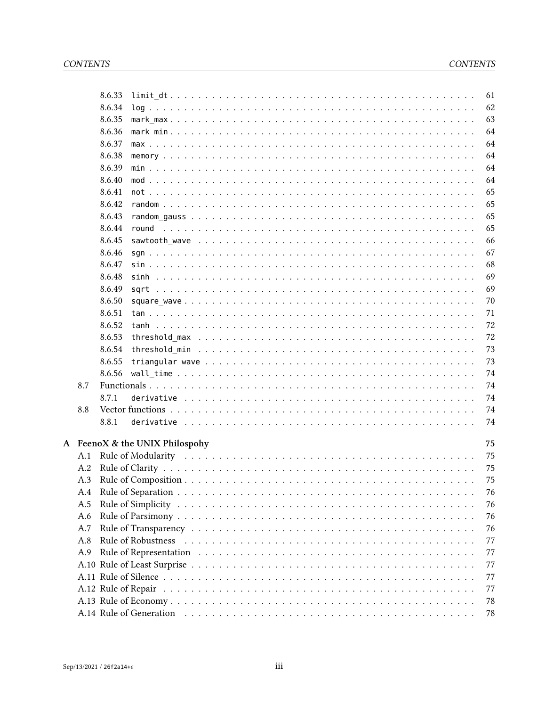|     | 8.6.33                         |       |  |  |  |  |  |  |  |  |  |  |  |  |  |  | 61 |
|-----|--------------------------------|-------|--|--|--|--|--|--|--|--|--|--|--|--|--|--|----|
|     | 8.6.34                         |       |  |  |  |  |  |  |  |  |  |  |  |  |  |  | 62 |
|     | 8.6.35                         |       |  |  |  |  |  |  |  |  |  |  |  |  |  |  | 63 |
|     | 8.6.36                         |       |  |  |  |  |  |  |  |  |  |  |  |  |  |  | 64 |
|     | 8.6.37                         |       |  |  |  |  |  |  |  |  |  |  |  |  |  |  | 64 |
|     | 8.6.38                         |       |  |  |  |  |  |  |  |  |  |  |  |  |  |  | 64 |
|     | 8.6.39                         |       |  |  |  |  |  |  |  |  |  |  |  |  |  |  | 64 |
|     | 8.6.40                         |       |  |  |  |  |  |  |  |  |  |  |  |  |  |  | 64 |
|     | 8.6.41                         |       |  |  |  |  |  |  |  |  |  |  |  |  |  |  | 65 |
|     | 8.6.42                         |       |  |  |  |  |  |  |  |  |  |  |  |  |  |  | 65 |
|     | 8.6.43                         |       |  |  |  |  |  |  |  |  |  |  |  |  |  |  | 65 |
|     | 8.6.44                         | round |  |  |  |  |  |  |  |  |  |  |  |  |  |  | 65 |
|     | 8.6.45                         |       |  |  |  |  |  |  |  |  |  |  |  |  |  |  | 66 |
|     | 8.6.46                         |       |  |  |  |  |  |  |  |  |  |  |  |  |  |  | 67 |
|     | 8.6.47                         |       |  |  |  |  |  |  |  |  |  |  |  |  |  |  | 68 |
|     | 8.6.48                         |       |  |  |  |  |  |  |  |  |  |  |  |  |  |  | 69 |
|     | 8.6.49                         |       |  |  |  |  |  |  |  |  |  |  |  |  |  |  | 69 |
|     | 8.6.50                         |       |  |  |  |  |  |  |  |  |  |  |  |  |  |  | 70 |
|     | 8.6.51                         |       |  |  |  |  |  |  |  |  |  |  |  |  |  |  | 71 |
|     | 8.6.52                         |       |  |  |  |  |  |  |  |  |  |  |  |  |  |  | 72 |
|     | 8.6.53                         |       |  |  |  |  |  |  |  |  |  |  |  |  |  |  | 72 |
|     | 8.6.54                         |       |  |  |  |  |  |  |  |  |  |  |  |  |  |  | 73 |
|     | 8.6.55                         |       |  |  |  |  |  |  |  |  |  |  |  |  |  |  | 73 |
|     | 8.6.56                         |       |  |  |  |  |  |  |  |  |  |  |  |  |  |  | 74 |
| 8.7 |                                |       |  |  |  |  |  |  |  |  |  |  |  |  |  |  | 74 |
|     | 8.7.1                          |       |  |  |  |  |  |  |  |  |  |  |  |  |  |  | 74 |
| 8.8 |                                |       |  |  |  |  |  |  |  |  |  |  |  |  |  |  | 74 |
|     | 8.8.1                          |       |  |  |  |  |  |  |  |  |  |  |  |  |  |  | 74 |
|     |                                |       |  |  |  |  |  |  |  |  |  |  |  |  |  |  |    |
|     | A FeenoX & the UNIX Philospohy |       |  |  |  |  |  |  |  |  |  |  |  |  |  |  | 75 |
| A.1 |                                |       |  |  |  |  |  |  |  |  |  |  |  |  |  |  | 75 |
| A.2 |                                |       |  |  |  |  |  |  |  |  |  |  |  |  |  |  | 75 |
| A.3 |                                |       |  |  |  |  |  |  |  |  |  |  |  |  |  |  | 75 |
| A.4 |                                |       |  |  |  |  |  |  |  |  |  |  |  |  |  |  | 76 |
| A.5 |                                |       |  |  |  |  |  |  |  |  |  |  |  |  |  |  | 76 |
| A.6 |                                |       |  |  |  |  |  |  |  |  |  |  |  |  |  |  | 76 |
| A.7 |                                |       |  |  |  |  |  |  |  |  |  |  |  |  |  |  | 76 |
| A.8 |                                |       |  |  |  |  |  |  |  |  |  |  |  |  |  |  | 77 |
| A.9 |                                |       |  |  |  |  |  |  |  |  |  |  |  |  |  |  | 77 |
|     |                                |       |  |  |  |  |  |  |  |  |  |  |  |  |  |  | 77 |
|     |                                |       |  |  |  |  |  |  |  |  |  |  |  |  |  |  | 77 |
|     |                                |       |  |  |  |  |  |  |  |  |  |  |  |  |  |  | 77 |
|     |                                |       |  |  |  |  |  |  |  |  |  |  |  |  |  |  | 78 |
|     |                                |       |  |  |  |  |  |  |  |  |  |  |  |  |  |  | 78 |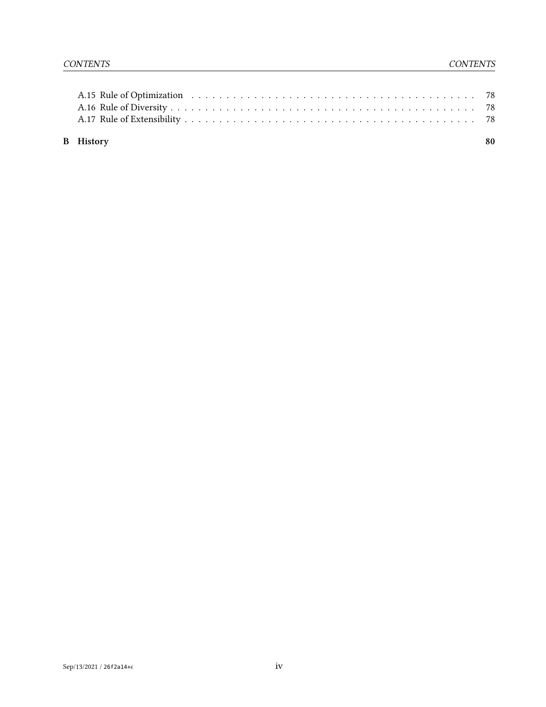| <b>B</b> History | 80 |
|------------------|----|
|                  |    |
|                  |    |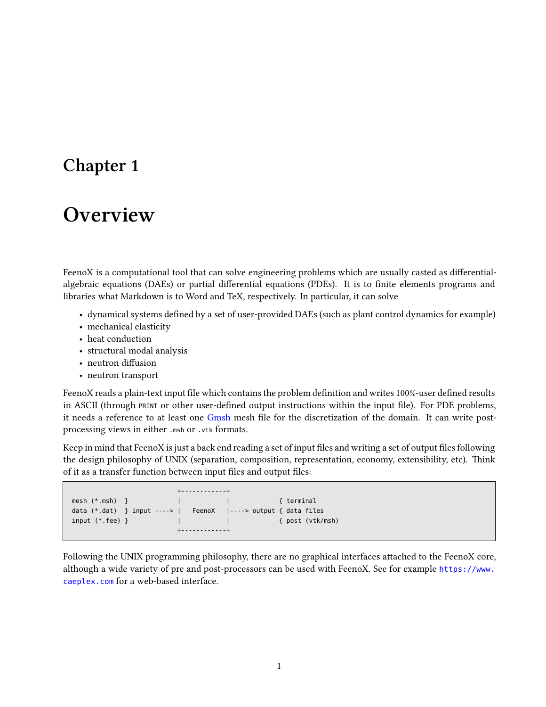## <span id="page-5-0"></span>**Overview**

FeenoX is a computational tool that can solve engineering problems which are usually casted as differentialalgebraic equations (DAEs) or partial differential equations (PDEs). It is to finite elements programs and libraries what Markdown is to Word and TeX, respectively. In particular, it can solve

- dynamical systems defined by a set of user-provided DAEs (such as plant control dynamics for example)
- mechanical elasticity
- heat conduction
- structural modal analysis
- neutron diffusion
- neutron transport

FeenoX reads a plain-text input file which contains the problem definition and writes 100%-user defined results in ASCII (through PRINT or other user-defined output instructions within the input file). For PDE problems, it needs a reference to at least one [Gmsh](http://gmsh.info/) mesh file for the discretization of the domain. It can write postprocessing views in either .msh or .vtk formats.

Keep in mind that FeenoX is just a back end reading a set of input files and writing a set of output files following the design philosophy of UNIX (separation, composition, representation, economy, extensibility, etc). Think of it as a transfer function between input files and output files:

| $+ - - - - - - - - - - - +$                                      |  |  |  |  |  |  |  |  |  |  |  |  |  |
|------------------------------------------------------------------|--|--|--|--|--|--|--|--|--|--|--|--|--|
|                                                                  |  |  |  |  |  |  |  |  |  |  |  |  |  |
| data $(*.dat)$ } input ---->   FeenoX  ----> output { data files |  |  |  |  |  |  |  |  |  |  |  |  |  |
| input $(*.$ fee) $\}$                                            |  |  |  |  |  |  |  |  |  |  |  |  |  |
| $+ - - - - - - - - - - - +$                                      |  |  |  |  |  |  |  |  |  |  |  |  |  |

Following the UNIX programming philosophy, there are no graphical interfaces attached to the FeenoX core, although a wide variety of pre and post-processors can be used with FeenoX. See for example [https://www.](https://www.caeplex.com) [caeplex.com](https://www.caeplex.com) for a web-based interface.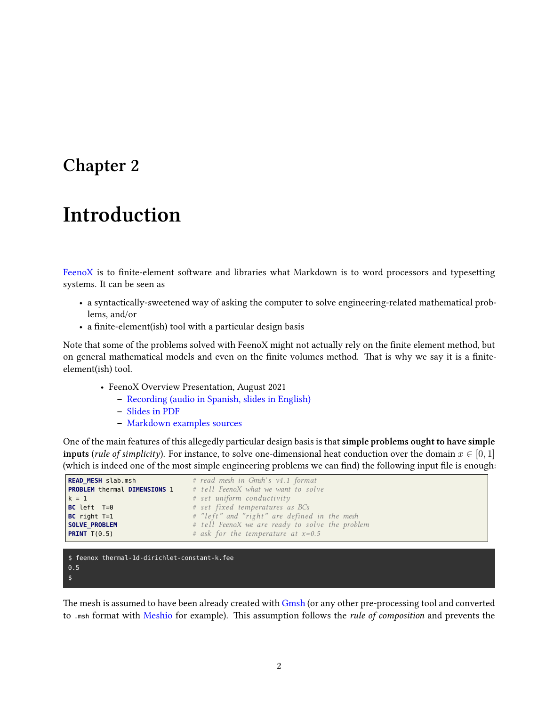# <span id="page-6-0"></span>**Introduction**

[FeenoX](https://www.seamplex.com/feenox) is to finite-element software and libraries what Markdown is to word processors and typesetting systems. It can be seen as

- a syntactically-sweetened way of asking the computer to solve engineering-related mathematical problems, and/or
- a finite-element(ish) tool with a particular design basis

Note that some of the problems solved with FeenoX might not actually rely on the finite element method, but on general mathematical models and even on the finite volumes method. That is why we say it is a finiteelement(ish) tool.

- FeenoX Overview Presentation, August 2021
	- **–** [Recording \(audio in Spanish, slides in English\)](https://youtu.be/-RJ5qn7E9uE)
	- **–** [Slides in PDF](https://www.seamplex.com/feenox/doc/2021-feenox.pdf)
	- **–** [Markdown examples sources](https://github.com/gtheler/2021-presentation)

One of the main features of this allegedly particular design basis is that **simple problems ought to have simple inputs** (*rule of simplicity*). For instance, to solve one-dimensional heat conduction over the domain  $x \in [0,1]$ (which is indeed one of the most simple engineering problems we can find) the following input file is enough:

| <b>READ MESH</b> slab.msh           | # read mesh in Gmsh's v4.1 format               |
|-------------------------------------|-------------------------------------------------|
| <b>PROBLEM</b> thermal DIMENSIONS 1 | # tell FeenoX what we want to solve             |
| $k = 1$                             | $#$ set uniform conductivity                    |
| $BC \leftarrow T=0$                 | # set fixed temperatures as BCs                 |
| $BC$ right $T=1$                    | # "left" and "right" are defined in the mesh    |
| <b>SOLVE PROBLEM</b>                | # tell FeenoX we are ready to solve the problem |
| <b>PRINT</b> $T(0.5)$               | # ask for the temperature at $x=0.5$            |
|                                     |                                                 |

```
$ feenox thermal-1d-dirichlet-constant-k.fee
0.5
$
```
The mesh is assumed to have been already created with [Gmsh](http://gmsh.info/) (or any other pre-processing tool and converted to .msh format with [Meshio](https://github.com/nschloe/meshio) for example). This assumption follows the *rule of composition* and prevents the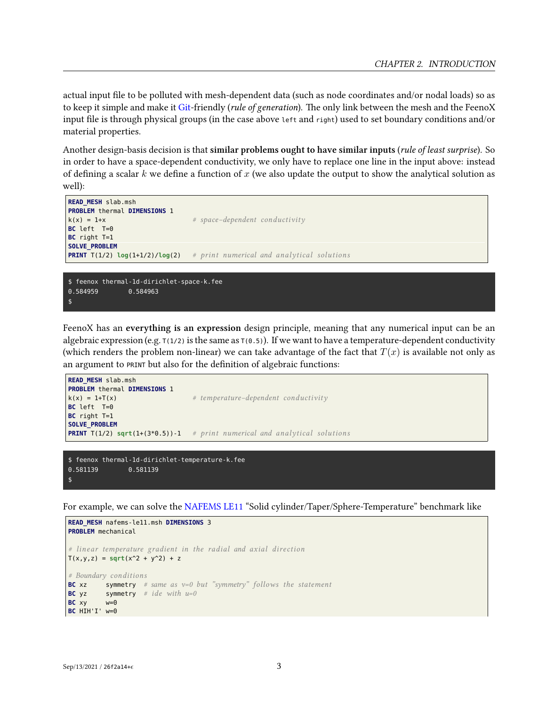actual input file to be polluted with mesh-dependent data (such as node coordinates and/or nodal loads) so as to keep it simple and make it [Git-](https://git-scm.com/)friendly (*rule of generation*). The only link between the mesh and the FeenoX input file is through physical groups (in the case above left and right) used to set boundary conditions and/or material properties.

Another design-basis decision is that **similar problems ought to have similar inputs** (*rule of least surprise*). So in order to have a space-dependent conductivity, we only have to replace one line in the input above: instead of defining a scalar *k* we define a function of *x* (we also update the output to show the analytical solution as well):

```
READ_MESH slab.msh
PROBLEM thermal DIMENSIONS 1
k(x) = 1+x # space−dependent conductivity
BC left T=0
BC right T=1
SOLVE_PROBLEM
PRINT T(1/2) log(1+1/2)/log(2) # print numerical and analytical solutions
$ feenox thermal-1d-dirichlet-space-k.fee
0.584959 0.584963
```

```
$
```
0.581139 0.581139

\$

FeenoX has an **everything is an expression** design principle, meaning that any numerical input can be an algebraic expression (e.g.  $T(1/2)$  is the same as  $T(0.5)$ ). If we want to have a temperature-dependent conductivity (which renders the problem non-linear) we can take advantage of the fact that  $T(x)$  is available not only as an argument to PRINT but also for the definition of algebraic functions:

```
READ_MESH slab.msh
PROBLEM thermal DIMENSIONS 1
k(x) = 1+T(x) # temperature−dependent conductivity
BC left T=0
BC right T=1
SOLVE_PROBLEM
PRINT T(1/2) sqrt(1+(3*0.5))-1 # print numerical and analytical solutions
$ feenox thermal-1d-dirichlet-temperature-k.fee
```
For example, we can solve the [NAFEMS LE11](https://www.nafems.org/publications/resource_center/p18/) "Solid cylinder/Taper/Sphere-Temperature" benchmark like

```
READ_MESH nafems-le11.msh DIMENSIONS 3
PROBLEM mechanical
# linear temperature gradient in the radial and axial direc tion
T(x,y,z) = sqrt(x^2 + y^2) + z# Boundary conditions
BC xz symmetry # same as v=0 but "symmetry" follows the statement
BC yz symmetry # ide with u=0
BC xy w=0
BC HIH'I' w=0
```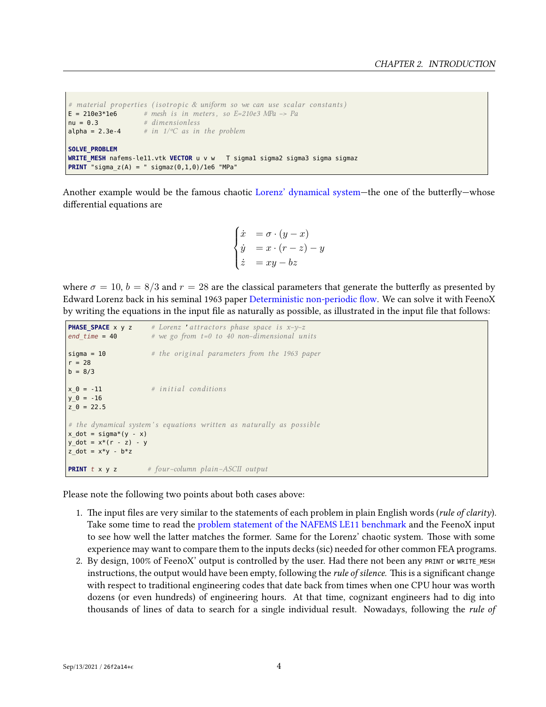```
# material properties ( i so t ropic & uniform so we can use scalar constants)
E = 210e3*1e6 # mesh i s in meters , so E=210e3 MPa −> Pa
nu = 0.3 # dimensionless
alpha = 2.3e-4 # in 1/eC as in the problem
SOLVE_PROBLEM
WRITE_MESH nafems-le11.vtk VECTOR u v w T sigma1 sigma2 sigma3 sigma sigmaz
PRINT "sigma_z(A) = " sigmaz(0, 1, 0)/1e6 "MPa"
```
Another example would be the famous chaotic [Lorenz' dynamical system](http://en.wikipedia.org/wiki/Lorenz_system)—the one of the butterfly—whose differential equations are

$$
\begin{cases}\n\dot{x} &= \sigma \cdot (y - x) \\
\dot{y} &= x \cdot (r - z) - y \\
\dot{z} &= xy - bz\n\end{cases}
$$

where  $\sigma = 10$ ,  $b = 8/3$  and  $r = 28$  are the classical parameters that generate the butterfly as presented by Edward Lorenz back in his seminal 1963 paper [Deterministic non-periodic flow.](http://journals.ametsoc.org/doi/abs/10.1175/1520-0469%281963%29020%3C0130%3ADNF%3E2.0.CO%3B2) We can solve it with FeenoX by writing the equations in the input file as naturally as possible, as illustrated in the input file that follows:

```
PHASE_SPACE x y z # Lorenz 'attractors phase space is x-y-zend_time = 40 # we go from t=0 to 40 non−dimensional units
sigma = 10 # the original parameters from the 1963 paper
r = 28b = 8/3x \theta = -11 # initial conditions
y \ 0 = -16z = 22.5# the dynamical system ' s equations written as naturally as possible
x dot = sigma*(y - x)
y dot = x*(r - z) - yz_dot = x*y - b*zPRINT t x y z # four−column plain−ASCII output
```
Please note the following two points about both cases above:

- 1. The input files are very similar to the statements of each problem in plain English words (*rule of clarity*). Take some time to read the [problem statement of the NAFEMS LE11 benchmark](doc/design/nafems-le11/nafems-le11.png) and the FeenoX input to see how well the latter matches the former. Same for the Lorenz' chaotic system. Those with some experience may want to compare them to the inputs decks (sic) needed for other common FEA programs.
- 2. By design, 100% of FeenoX' output is controlled by the user. Had there not been any PRINT OT WRITE\_MESH instructions, the output would have been empty, following the *rule of silence*. This is a significant change with respect to traditional engineering codes that date back from times when one CPU hour was worth dozens (or even hundreds) of engineering hours. At that time, cognizant engineers had to dig into thousands of lines of data to search for a single individual result. Nowadays, following the *rule of*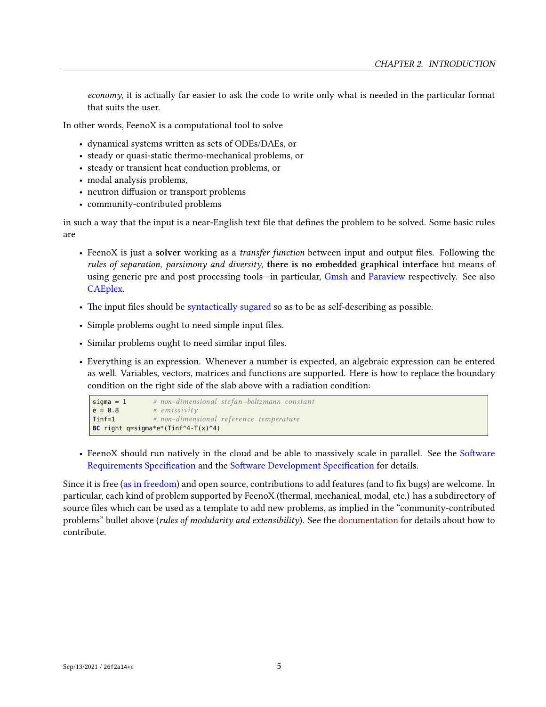*economy*, it is actually far easier to ask the code to write only what is needed in the particular format that suits the user.

In other words, FeenoX is a computational tool to solve

- dynamical systems written as sets of ODEs/DAEs, or
- steady or quasi-static thermo-mechanical problems, or
- steady or transient heat conduction problems, or
- modal analysis problems,
- neutron diffusion or transport problems
- community-contributed problems

in such a way that the input is a near-English text file that defines the problem to be solved. Some basic rules are

- FeenoX is just a **solver** working as a *transfer function* between input and output files. Following the *rules of separation, parsimony and diversity*, **there is no embedded graphical interface** but means of using generic pre and post processing tools—in particular, [Gmsh](http://gmsh.info/) and [Paraview](https://www.paraview.org/) respectively. See also [CAEplex.](www.caeplex.com)
- The input files should be [syntactically sugared](https://en.wikipedia.org/wiki/Syntactic_sugar) so as to be as self-describing as possible.
- Simple problems ought to need simple input files.
- Similar problems ought to need similar input files.
- Everything is an expression. Whenever a number is expected, an algebraic expression can be entered as well. Variables, vectors, matrices and functions are supported. Here is how to replace the boundary condition on the right side of the slab above with a radiation condition:

```
sigma = 1 # non−dimensional stefan−boltzmann constant
e = 0.8 # emissivity
Tinf=1 # non−dimensional reference temperature
BC right q=sigma*e*(Tinf^4-T(x)^4)
```
• FeenoX should run natively in the cloud and be able to massively scale in parallel. See the [Software](doc/sds.md) [Requirements Specification](doc/sds.md) and the [Software Development Specification](doc/sds.md) for details.

Since it is free [\(as in freedom](https://www.gnu.org/philosophy/free-sw.en.html)) and open source, contributions to add features (and to fix bugs) are welcome. In particular, each kind of problem supported by FeenoX (thermal, mechanical, modal, etc.) has a subdirectory of source files which can be used as a template to add new problems, as implied in the "community-contributed problems" bullet above (*rules of modularity and extensibility*). See the [documentation](#page-0-0) for details about how to contribute.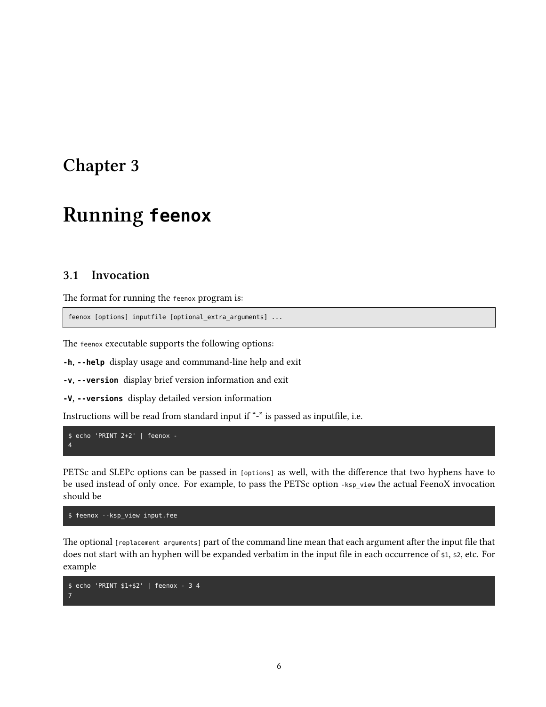# <span id="page-10-0"></span>**Running feenox**

## <span id="page-10-1"></span>**3.1 Invocation**

The format for running the feenox program is:

feenox [options] inputfile [optional\_extra\_arguments] ...

The feenox executable supports the following options:

**-h, --help** display usage and commmand-line help and exit

**-v, --version** display brief version information and exit

**-V, --versions** display detailed version information

Instructions will be read from standard input if "-" is passed as inputfile, i.e.

```
$ echo 'PRINT 2+2' | feenox -
4
```
PETSc and SLEPc options can be passed in [options] as well, with the difference that two hyphens have to be used instead of only once. For example, to pass the PETSc option -ksp\_view the actual FeenoX invocation should be

\$ feenox --ksp\_view input.fee

The optional [replacement arguments] part of the command line mean that each argument after the input file that does not start with an hyphen will be expanded verbatim in the input file in each occurrence of \$1, \$2, etc. For example

```
$ echo 'PRINT $1+$2' | feenox - 3 4
7
```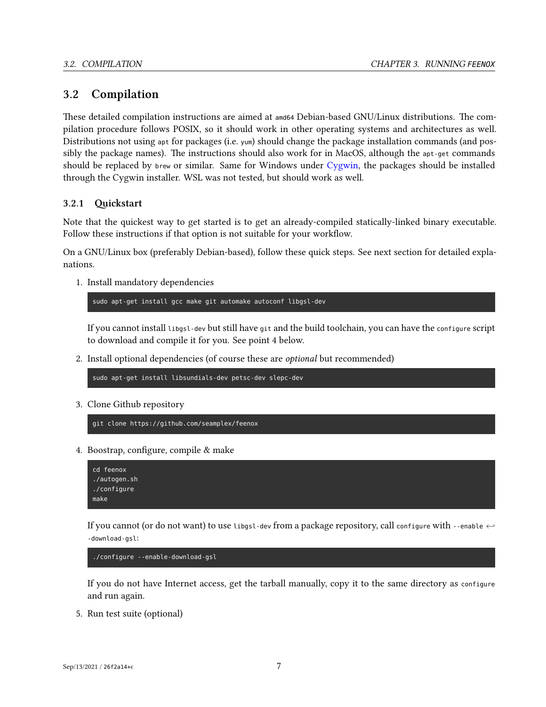## <span id="page-11-0"></span>**3.2 Compilation**

These detailed compilation instructions are aimed at amd64 Debian-based GNU/Linux distributions. The compilation procedure follows POSIX, so it should work in other operating systems and architectures as well. Distributions not using apt for packages (i.e. yum) should change the package installation commands (and possibly the package names). The instructions should also work for in MacOS, although the apt-get commands should be replaced by brew or similar. Same for Windows under [Cygwin,](https://www.cygwin.com/) the packages should be installed through the Cygwin installer. WSL was not tested, but should work as well.

## <span id="page-11-1"></span>**3.2.1 Quickstart**

Note that the quickest way to get started is to get an already-compiled statically-linked binary executable. Follow these instructions if that option is not suitable for your workflow.

On a GNU/Linux box (preferably Debian-based), follow these quick steps. See next section for detailed explanations.

1. Install mandatory dependencies

sudo apt-get install gcc make git automake autoconf libgsl-dev

If you cannot install libgsl-dev but still have git and the build toolchain, you can have the configure script to download and compile it for you. See point 4 below.

2. Install optional dependencies (of course these are *optional* but recommended)

sudo apt-get install libsundials-dev petsc-dev slepc-dev

3. Clone Github repository

git clone https://github.com/seamplex/feenox

4. Boostrap, configure, compile & make

```
cd feenox
./autogen.sh
./configure
make
```
If you cannot (or do not want) to use libgsl-dev from a package repository, call configure with --enable *<sup>←</sup>-* -download-gsl:

./configure --enable-download-gsl

If you do not have Internet access, get the tarball manually, copy it to the same directory as configure and run again.

5. Run test suite (optional)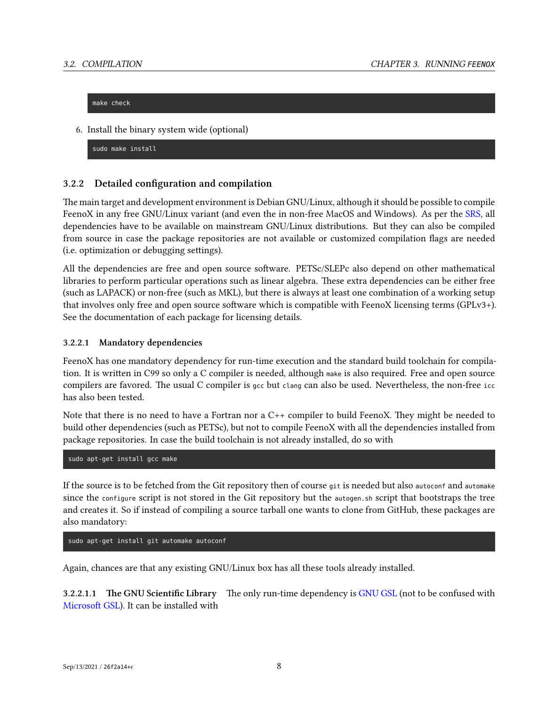make check

6. Install the binary system wide (optional)

sudo make install

## <span id="page-12-0"></span>**3.2.2 Detailed configuration and compilation**

The main target and development environment is Debian GNU/Linux, although it should be possible to compile FeenoX in any free GNU/Linux variant (and even the in non-free MacOS and Windows). As per the [SRS](SRS.md), all dependencies have to be available on mainstream GNU/Linux distributions. But they can also be compiled from source in case the package repositories are not available or customized compilation flags are needed (i.e. optimization or debugging settings).

All the dependencies are free and open source software. PETSc/SLEPc also depend on other mathematical libraries to perform particular operations such as linear algebra. These extra dependencies can be either free (such as LAPACK) or non-free (such as MKL), but there is always at least one combination of a working setup that involves only free and open source software which is compatible with FeenoX licensing terms (GPLv3+). See the documentation of each package for licensing details.

## **3.2.2.1 Mandatory dependencies**

FeenoX has one mandatory dependency for run-time execution and the standard build toolchain for compilation. It is written in C99 so only a C compiler is needed, although make is also required. Free and open source compilers are favored. The usual C compiler is gcc but clang can also be used. Nevertheless, the non-free icc has also been tested.

Note that there is no need to have a Fortran nor a C++ compiler to build FeenoX. They might be needed to build other dependencies (such as PETSc), but not to compile FeenoX with all the dependencies installed from package repositories. In case the build toolchain is not already installed, do so with

sudo apt-get install gcc make

If the source is to be fetched from the Git repository then of course git is needed but also autoconf and automake since the configure script is not stored in the Git repository but the autogen.sh script that bootstraps the tree and creates it. So if instead of compiling a source tarball one wants to clone from GitHub, these packages are also mandatory:

sudo apt-get install git automake autoconf

Again, chances are that any existing GNU/Linux box has all these tools already installed.

**3.2.2.1.1 The GNU Scientific Library** The only run-time dependency is [GNU GSL](https://www.gnu.org/software/gsl/) (not to be confused with [Microsoft GSL\)](https://github.com/microsoft/GSL). It can be installed with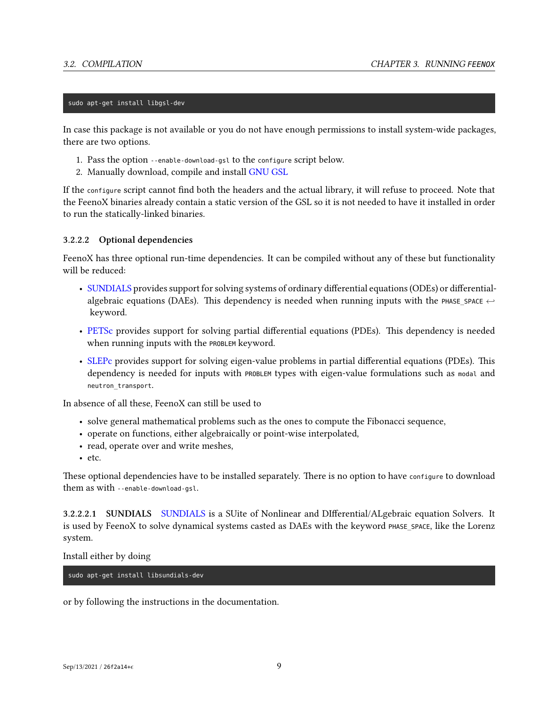#### sudo apt-get install libgsl-dev

In case this package is not available or you do not have enough permissions to install system-wide packages, there are two options.

- 1. Pass the option --enable-download-gsl to the configure script below.
- 2. Manually download, compile and install [GNU GSL](https://www.gnu.org/software/gsl/)

If the configure script cannot find both the headers and the actual library, it will refuse to proceed. Note that the FeenoX binaries already contain a static version of the GSL so it is not needed to have it installed in order to run the statically-linked binaries.

## **3.2.2.2 Optional dependencies**

FeenoX has three optional run-time dependencies. It can be compiled without any of these but functionality will be reduced:

- [SUNDIALS](https://computing.llnl.gov/projects/sundials) provides support for solving systems of ordinary differential equations (ODEs) or differentialalgebraic equations (DAEs). This dependency is needed when running inputs with the PHASE SPACE  $\leftrightarrow$ keyword.
- [PETSc](https://petsc.org/) provides support for solving partial differential equations (PDEs). This dependency is needed when running inputs with the PROBLEM keyword.
- [SLEPc](https://slepc.upv.es/) provides support for solving eigen-value problems in partial differential equations (PDEs). This dependency is needed for inputs with PROBLEM types with eigen-value formulations such as modal and neutron\_transport.

In absence of all these, FeenoX can still be used to

- solve general mathematical problems such as the ones to compute the Fibonacci sequence,
- operate on functions, either algebraically or point-wise interpolated,
- read, operate over and write meshes,
- etc.

These optional dependencies have to be installed separately. There is no option to have configure to download them as with --enable-download-gsl.

**3.2.2.2.1 SUNDIALS** [SUNDIALS](https://computing.llnl.gov/projects/sundials) is a SUite of Nonlinear and DIfferential/ALgebraic equation Solvers. It is used by FeenoX to solve dynamical systems casted as DAEs with the keyword PHASE\_SPACE, like the Lorenz system.

Install either by doing

sudo apt-get install libsundials-dev

or by following the instructions in the documentation.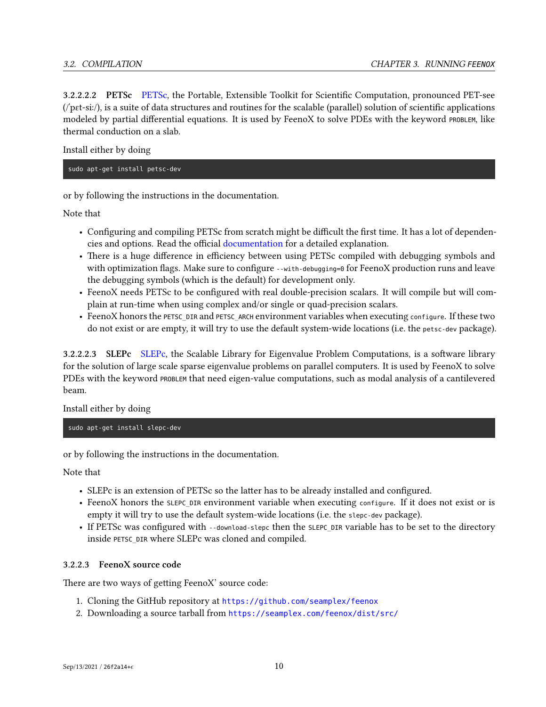**3.2.2.2.2 PETSc** [PETSc](https://petsc.org/), the Portable, Extensible Toolkit for Scientific Computation, pronounced PET-see (/ˈpɛt-siː/), is a suite of data structures and routines for the scalable (parallel) solution of scientific applications modeled by partial differential equations. It is used by FeenoX to solve PDEs with the keyword PROBLEM, like thermal conduction on a slab.

Install either by doing

sudo apt-get install petsc-dev

or by following the instructions in the documentation.

Note that

- Configuring and compiling PETSc from scratch might be difficult the first time. It has a lot of dependencies and options. Read the official [documentation](https://petsc.org/release/install/) for a detailed explanation.
- There is a huge difference in efficiency between using PETSc compiled with debugging symbols and with optimization flags. Make sure to configure --with-debugging=0 for FeenoX production runs and leave the debugging symbols (which is the default) for development only.
- FeenoX needs PETSc to be configured with real double-precision scalars. It will compile but will complain at run-time when using complex and/or single or quad-precision scalars.
- FeenoX honors the PETSC\_DIR and PETSC\_ARCH environment variables when executing configure. If these two do not exist or are empty, it will try to use the default system-wide locations (i.e. the petsc-dev package).

**3.2.2.2.3 SLEPc** [SLEPc,](https://slepc.upv.es/) the Scalable Library for Eigenvalue Problem Computations, is a software library for the solution of large scale sparse eigenvalue problems on parallel computers. It is used by FeenoX to solve PDEs with the keyword PROBLEM that need eigen-value computations, such as modal analysis of a cantilevered beam.

Install either by doing

sudo apt-get install slepc-dev

or by following the instructions in the documentation.

Note that

- SLEPc is an extension of PETSc so the latter has to be already installed and configured.
- FeenoX honors the SLEPC DIR environment variable when executing configure. If it does not exist or is empty it will try to use the default system-wide locations (i.e. the slepc-dev package).
- If PETSc was configured with --download-slepc then the SLEPC DIR variable has to be set to the directory inside PETSC\_DIR where SLEPc was cloned and compiled.

## **3.2.2.3 FeenoX source code**

There are two ways of getting FeenoX' source code:

- 1. Cloning the GitHub repository at <https://github.com/seamplex/feenox>
- 2. Downloading a source tarball from <https://seamplex.com/feenox/dist/src/>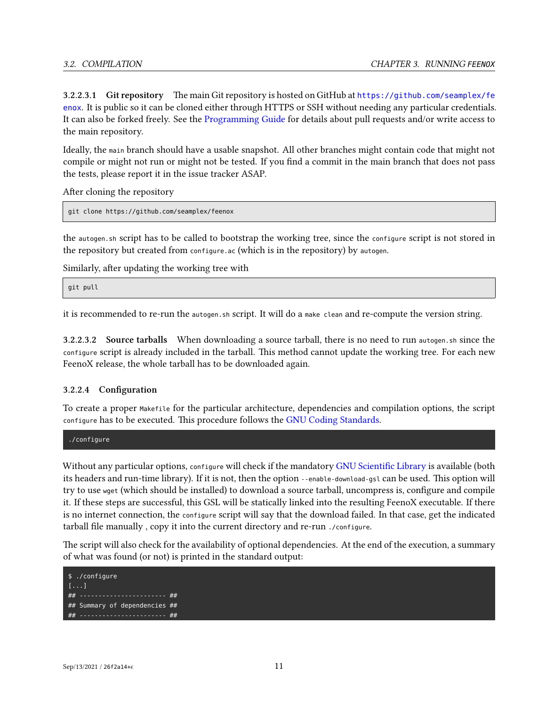**3.2.2.3.1 Git repository** The main Git repository is hosted on GitHub at [https://github.com/seamplex/fe](https://github.com/seamplex/feenox) [enox](https://github.com/seamplex/feenox). It is public so it can be cloned either through HTTPS or SSH without needing any particular credentials. It can also be forked freely. See the [Programming Guide](programming.md) for details about pull requests and/or write access to the main repository.

Ideally, the main branch should have a usable snapshot. All other branches might contain code that might not compile or might not run or might not be tested. If you find a commit in the main branch that does not pass the tests, please report it in the issue tracker ASAP.

After cloning the repository

```
git clone https://github.com/seamplex/feenox
```
the autogen.sh script has to be called to bootstrap the working tree, since the configure script is not stored in the repository but created from configure.ac (which is in the repository) by autogen.

Similarly, after updating the working tree with

git pull

it is recommended to re-run the autogen.sh script. It will do a make clean and re-compute the version string.

**3.2.2.3.2 Source tarballs** When downloading a source tarball, there is no need to run autogen.sh since the configure script is already included in the tarball. This method cannot update the working tree. For each new FeenoX release, the whole tarball has to be downloaded again.

## **3.2.2.4 Configuration**

To create a proper Makefile for the particular architecture, dependencies and compilation options, the script configure has to be executed. This procedure follows the [GNU Coding Standards](https://www.gnu.org/prep/standards/).

./configure

Without any particular options, configure will check if the mandatory [GNU Scientific Library](https://www.gnu.org/software/gsl/) is available (both its headers and run-time library). If it is not, then the option --enable-download-gsl can be used. This option will try to use wget (which should be installed) to download a source tarball, uncompress is, configure and compile it. If these steps are successful, this GSL will be statically linked into the resulting FeenoX executable. If there is no internet connection, the configure script will say that the download failed. In that case, get the indicated tarball file manually , copy it into the current directory and re-run ./configure.

The script will also check for the availability of optional dependencies. At the end of the execution, a summary of what was found (or not) is printed in the standard output:

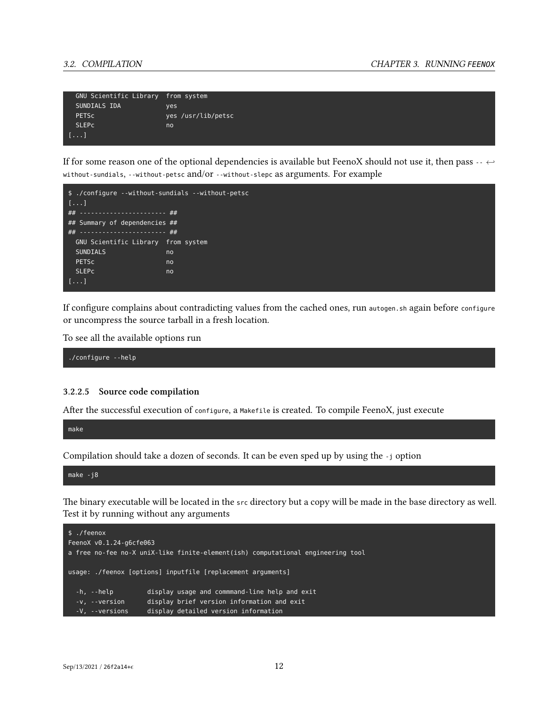| GNU Scientific Library from system |                    |
|------------------------------------|--------------------|
| SUNDIALS IDA                       | ves                |
| <b>PETSC</b>                       | yes /usr/lib/petsc |
| <b>SLEPC</b>                       | no                 |
| $[1 \ldots]$                       |                    |

If for some reason one of the optional dependencies is available but FeenoX should not use it, then pass -- *<sup>←</sup>* without-sundials, --without-petsc and/or --without-slepc as arguments. For example



If configure complains about contradicting values from the cached ones, run autogen.sh again before configure or uncompress the source tarball in a fresh location.

To see all the available options run

./configure --help

#### **3.2.2.5 Source code compilation**

After the successful execution of configure, a Makefile is created. To compile FeenoX, just execute

make

Compilation should take a dozen of seconds. It can be even sped up by using the -j option

make -j8

The binary executable will be located in the src directory but a copy will be made in the base directory as well. Test it by running without any arguments

```
$ ./feenox
FeenoX v0.1.24-g6cfe063
a free no-fee no-X uniX-like finite-element(ish) computational engineering tool
usage: ./feenox [options] inputfile [replacement arguments]
  -h, --help display usage and commmand-line help and exit
  -v, --version display brief version information and exit
  -V, --versions display detailed version information
```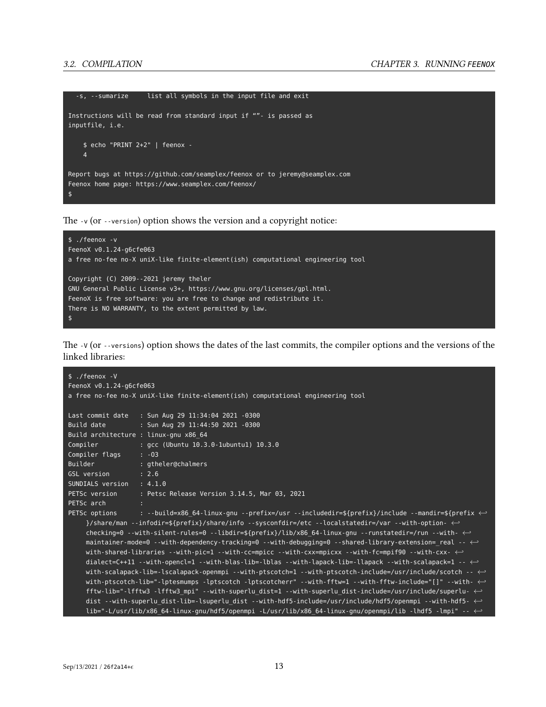```
-s, --sumarize list all symbols in the input file and exit
Instructions will be read from standard input if ""- is passed as
inputfile, i.e.
    $ echo "PRINT 2+2" | feenox -
    4
Report bugs at https://github.com/seamplex/feenox or to jeremy@seamplex.com
Feenox home page: https://www.seamplex.com/feenox/
$
```
The -v (or --version) option shows the version and a copyright notice:



The -V (or --versions) option shows the dates of the last commits, the compiler options and the versions of the linked libraries:

```
$ ./feenox -V
FeenoX v0.1.24-g6cfe063
a free no-fee no-X uniX-like finite-element(ish) computational engineering tool
Last commit date : Sun Aug 29 11:34:04 2021 -0300
Build date : Sun Aug 29 11:44:50 2021 -0300
Build architecture : linux-gnu x86_64
Compiler : gcc (Ubuntu 10.3.0-1ubuntu1) 10.3.0
Compiler flags : -O3
Builder : gtheler@chalmers
GSL version : 2.6
SUNDIALS version : 4.1.0
PETSc version : Petsc Release Version 3.14.5, Mar 03, 2021
PETSc arch
PETSc options : --build=x86_64-linux-gnu --prefix=/usr --includedir=${prefix}/include --mandir=${prefix ←-
    }/share/man --infodir=${prefix}/share/info --sysconfdir=/etc --localstatedir=/var --with-option- ←-
    checking=0 --with-silent-rules=0 --libdir=${prefix}/lib/x86_64-linux-gnu --runstatedir=/run --with- ←-
    maintainer-mode=0 --with-dependency-tracking=0 --with-debugging=0 --shared-library-extension=_real -- ←-
    with-shared-libraries --with-pic=1 --with-cc=mpicc --with-cxx=mpicxx --with-fc=mpif90 --with-cxx- ←-
    dialect=C++11 --with-opencl=1 --with-blas-lib=-lblas --with-lapack-lib=-llapack --with-scalapack=1 -- ←-
    with-scalapack-lib=-lscalapack-openmpi --with-ptscotch=1 --with-ptscotch-include=/usr/include/scotch -- ←-
    with-ptscotch-lib="-lptesmumps -lptscotch -lptscotcherr" --with-fftw=1 --with-fftw-include="[]" --with- ←-
    fftw-lib="-lfftw3 -lfftw3_mpi" --with-superlu_dist=1 --with-superlu_dist-include=/usr/include/superlu- ←-
    dist --with-superlu_dist-lib=-lsuperlu_dist --with-hdf5-include=/usr/include/hdf5/openmpi --with-hdf5- ←-
    lib="-L/usr/lib/x86_64-linux-gnu/hdf5/openmpi -L/usr/lib/x86_64-linux-gnu/openmpi/lib -lhdf5 -lmpi" -- ←-
```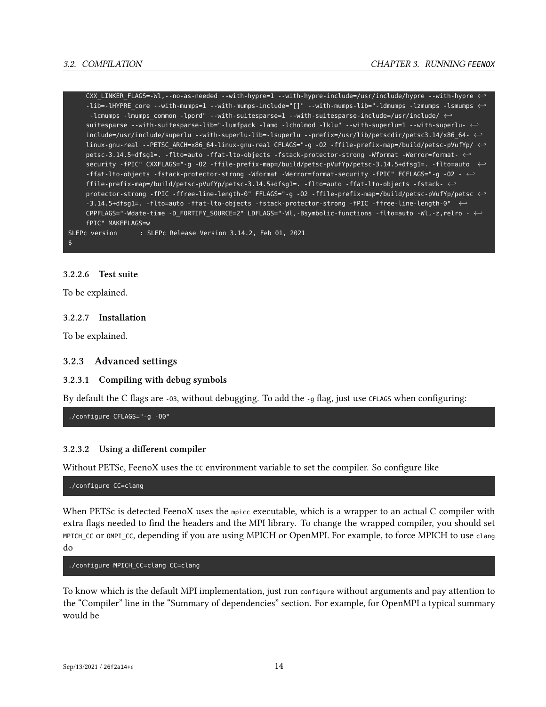CXX\_LINKER\_FLAGS=-Wl,--no-as-needed --with-hypre=1 --with-hypre-include=/usr/include/hypre --with-hypre *←-* -lib=-lHYPRE\_core --with-mumps=1 --with-mumps-include="[]" --with-mumps-lib="-ldmumps -lzmumps -lsmumps *←-* -lcmumps -lmumps\_common -lpord" --with-suitesparse=1 --with-suitesparse-include=/usr/include/ *←* suitesparse --with-suitesparse-lib="-lumfpack -lamd -lcholmod -lklu" --with-superlu=1 --with-superlu- *←* include=/usr/include/superlu --with-superlu-lib=-lsuperlu --prefix=/usr/lib/petscdir/petsc3.14/x86\_64- *←* linux-gnu-real --PETSC\_ARCH=x86\_64-linux-gnu-real CFLAGS="-g -O2 -ffile-prefix-map=/build/petsc-pVufYp/ *←* petsc-3.14.5+dfsg1=. -flto=auto -ffat-lto-objects -fstack-protector-strong -Wformat -Werror=format- *←* security -fPIC" CXXFLAGS="-g -O2 -ffile-prefix-map=/build/petsc-pVufYp/petsc-3.14.5+dfsg1=. -flto=auto *←-* -ffat-lto-objects -fstack-protector-strong -Wformat -Werror=format-security -fPIC" FCFLAGS="-g -O2 - *←* ffile-prefix-map=/build/petsc-pVufYp/petsc-3.14.5+dfsg1=. -flto=auto -ffat-lto-objects -fstack- *←* protector-strong -fPIC -ffree-line-length-0" FFLAGS="-g -O2 -ffile-prefix-map=/build/petsc-pVufYp/petsc *←-* -3.14.5+dfsg1=. -flto=auto -ffat-lto-objects -fstack-protector-strong -fPIC -ffree-line-length-0" *←-* CPPFLAGS="-Wdate-time -D\_FORTIFY\_SOURCE=2" LDFLAGS="-Wl,-Bsymbolic-functions -flto=auto -Wl,-z,relro - *←* fPIC" MAKEFLAGS=w SLEPc version : SLEPc Release Version 3.14.2, Feb 01, 2021

#### \$

### **3.2.2.6 Test suite**

To be explained.

#### **3.2.2.7 Installation**

To be explained.

#### <span id="page-18-0"></span>**3.2.3 Advanced settings**

#### **3.2.3.1 Compiling with debug symbols**

By default the C flags are -03, without debugging. To add the -9 flag, just use CFLAGS when configuring:

./configure CFLAGS="-g -O0"

## **3.2.3.2 Using a different compiler**

Without PETSc, FeenoX uses the CC environment variable to set the compiler. So configure like

./configure CC=clang

When PETSc is detected FeenoX uses the mpicc executable, which is a wrapper to an actual C compiler with extra flags needed to find the headers and the MPI library. To change the wrapped compiler, you should set MPICH\_CC or OMPI\_CC, depending if you are using MPICH or OpenMPI. For example, to force MPICH to use clang do

#### ./configure MPICH\_CC=clang CC=clang

To know which is the default MPI implementation, just run configure without arguments and pay attention to the "Compiler" line in the "Summary of dependencies" section. For example, for OpenMPI a typical summary would be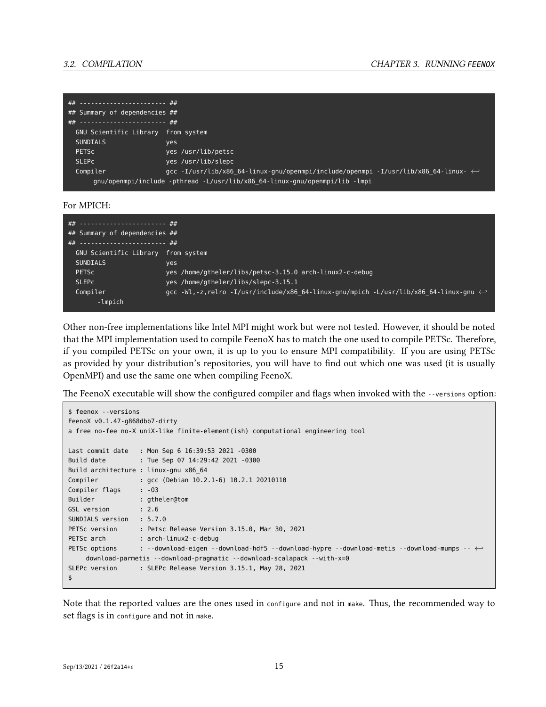| ## ----------------------- ##           |                                                                                                     |
|-----------------------------------------|-----------------------------------------------------------------------------------------------------|
| ## Summary of dependencies ##           |                                                                                                     |
| .## ----------------------- <i>-</i> ## |                                                                                                     |
| GNU Scientific Library from system      |                                                                                                     |
| <b>SUNDIALS</b>                         | yes                                                                                                 |
| <b>PETSC</b>                            | yes /usr/lib/petsc                                                                                  |
| <b>SLEPC</b>                            | yes /usr/lib/slepc                                                                                  |
| Compiler                                | .gcc -I/usr/lib/x86 64-linux-gnu/openmpi/include/openmpi -I/usr/lib/x86 64-linux- $\leftrightarrow$ |
|                                         | gnu/openmpi/include -pthread -L/usr/lib/x86 64-linux-gnu/openmpi/lib -lmpi                          |

For MPICH:

| ##  ##                             |                                                                                                      |
|------------------------------------|------------------------------------------------------------------------------------------------------|
| $##$ Summary of dependencies $##$  |                                                                                                      |
| ## ----------------------- ##      |                                                                                                      |
| GNU Scientific Library from system |                                                                                                      |
| <b>SUNDIALS</b>                    | yes                                                                                                  |
| <b>PETSC</b>                       | yes /home/gtheler/libs/petsc-3.15.0 arch-linux2-c-debug                                              |
| <b>SLEPC</b>                       | yes /home/gtheler/libs/slepc-3.15.1                                                                  |
| Compiler                           | gcc -Wl,-z,relro -I/usr/include/x86 64-linux-gnu/mpich -L/usr/lib/x86 64-linux-gnu $\leftrightarrow$ |
| -lmpich                            |                                                                                                      |

Other non-free implementations like Intel MPI might work but were not tested. However, it should be noted that the MPI implementation used to compile FeenoX has to match the one used to compile PETSc. Therefore, if you compiled PETSc on your own, it is up to you to ensure MPI compatibility. If you are using PETSc as provided by your distribution's repositories, you will have to find out which one was used (it is usually OpenMPI) and use the same one when compiling FeenoX.

The FeenoX executable will show the configured compiler and flags when invoked with the --versions option:

```
$ feenox --versions
FeenoX v0.1.47-g868dbb7-dirty
a free no-fee no-X uniX-like finite-element(ish) computational engineering tool
Last commit date : Mon Sep 6 16:39:53 2021 -0300
Build date : Tue Sep 07 14:29:42 2021 -0300
Build architecture : linux-gnu x86_64
Compiler : gcc (Debian 10.2.1-6) 10.2.1 20210110
Compiler flags : -03
Builder : gtheler@tom
GSL version : 2.6
SUNDIALS version : 5.7.0
PETSc version : Petsc Release Version 3.15.0, Mar 30, 2021
PETSc arch : arch-linux2-c-debug
PETSc options : --download-eigen --download-hdf5 --download-hypre --download-metis --download-mumps -- ←-
    download-parmetis --download-pragmatic --download-scalapack --with-x=0
SLEPc version : SLEPc Release Version 3.15.1, May 28, 2021
$
```
Note that the reported values are the ones used in configure and not in make. Thus, the recommended way to set flags is in configure and not in make.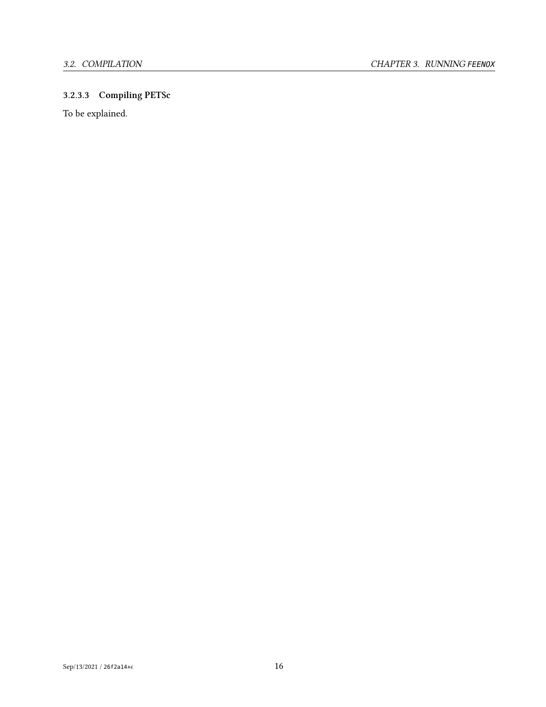## **3.2.3.3 Compiling PETSc**

To be explained.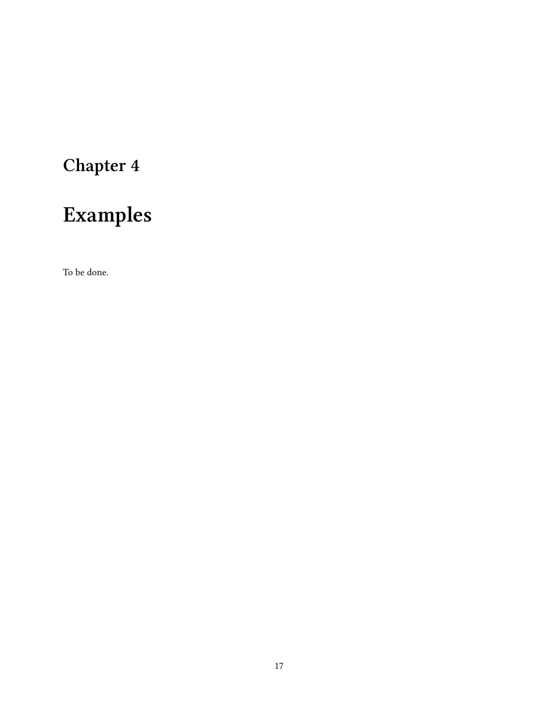# <span id="page-21-0"></span>**Examples**

To be done.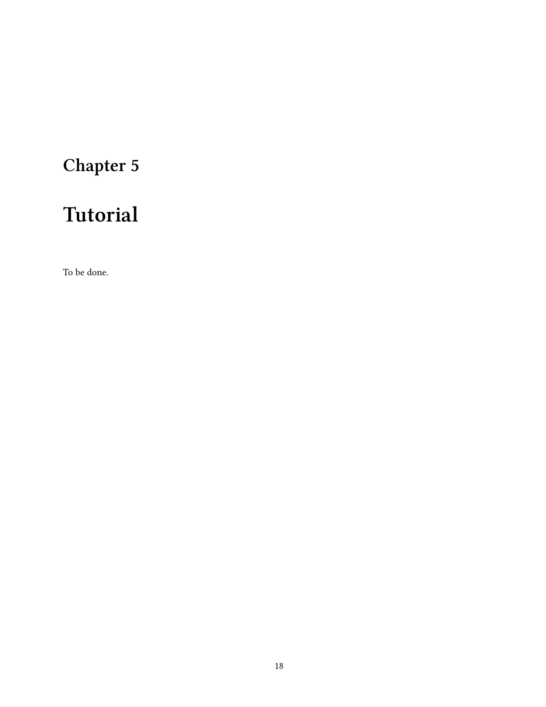# <span id="page-22-0"></span>**Tutorial**

To be done.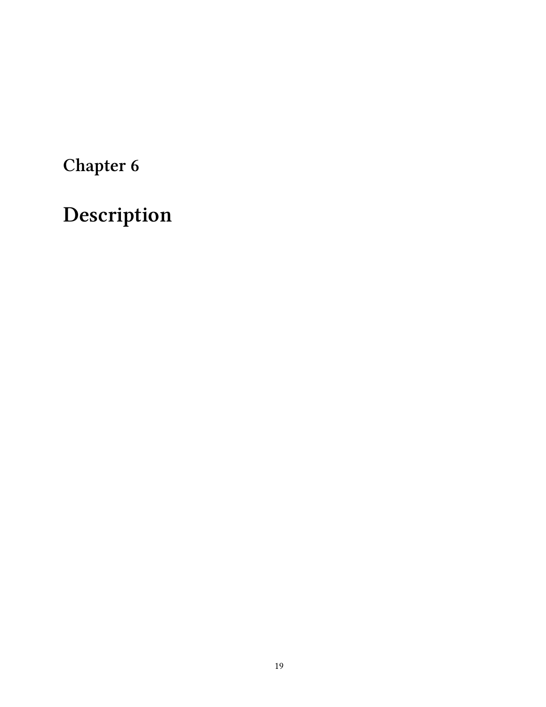# <span id="page-23-0"></span>**Description**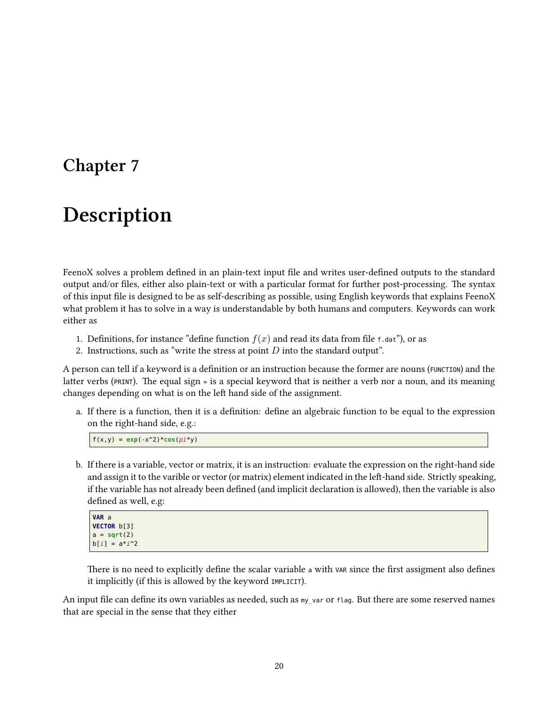# <span id="page-24-0"></span>**Description**

FeenoX solves a problem defined in an plain-text input file and writes user-defined outputs to the standard output and/or files, either also plain-text or with a particular format for further post-processing. The syntax of this input file is designed to be as self-describing as possible, using English keywords that explains FeenoX what problem it has to solve in a way is understandable by both humans and computers. Keywords can work either as

- 1. Definitions, for instance "define function  $f(x)$  and read its data from file f.dat"), or as
- 2. Instructions, such as "write the stress at point *D* into the standard output".

A person can tell if a keyword is a definition or an instruction because the former are nouns (FUNCTION) and the latter verbs (PRINT). The equal sign <sup>=</sup> is a special keyword that is neither a verb nor a noun, and its meaning changes depending on what is on the left hand side of the assignment.

a. If there is a function, then it is a definition: define an algebraic function to be equal to the expression on the right-hand side, e.g.:

 $f(x,y) = exp(-x^2)^*cos(pi*y)$ 

b. If there is a variable, vector or matrix, it is an instruction: evaluate the expression on the right-hand side and assign it to the varible or vector (or matrix) element indicated in the left-hand side. Strictly speaking, if the variable has not already been defined (and implicit declaration is allowed), then the variable is also defined as well, e.g:

| VAR a                             |  |
|-----------------------------------|--|
| VECTOR b[3]                       |  |
| $a = sqrt(2)$<br>$b[i] = a * i^2$ |  |
|                                   |  |

There is no need to explicitly define the scalar variable a with var since the first assigment also defines it implicitly (if this is allowed by the keyword IMPLICIT).

An input file can define its own variables as needed, such as my\_var or flag. But there are some reserved names that are special in the sense that they either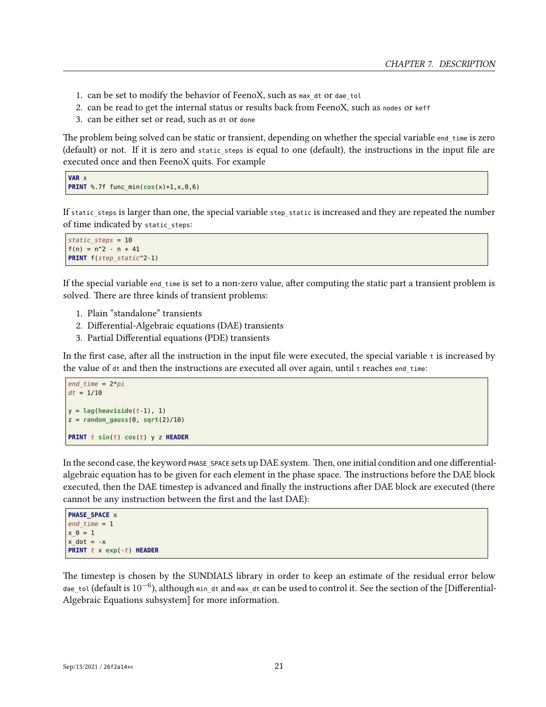- 1. can be set to modify the behavior of FeenoX, such as max dt or dae tol
- 2. can be read to get the internal status or results back from FeenoX, such as nodes or keff
- 3. can be either set or read, such as dt or done

The problem being solved can be static or transient, depending on whether the special variable end\_time is zero (default) or not. If it is zero and static\_steps is equal to one (default), the instructions in the input file are executed once and then FeenoX quits. For example

```
VAR x
PRINT %.7f func min(cos(x)+1, x, 0, 6)
```
If static steps is larger than one, the special variable step static is increased and they are repeated the number of time indicated by static\_steps:

```
static_steps = 10
f(n) = n^2 - n + 41PRINT f(step_static^2-1)
```
If the special variable end\_time is set to a non-zero value, after computing the static part a transient problem is solved. There are three kinds of transient problems:

- 1. Plain "standalone" transients
- 2. Differential-Algebraic equations (DAE) transients
- 3. Partial Differential equations (PDE) transients

In the first case, after all the instruction in the input file were executed, the special variable <sup>t</sup> is increased by the value of  $dt$  and then the instructions are executed all over again, until  $t$  reaches end  $t$ ime:

```
end_time = 2*pi
dt = 1/10
y = lag(heaviside(t-1), 1)
z = random gauss(0, \text{sqrt}(2)/10)PRINT t sin(t) cos(t) y z HEADER
```
In the second case, the keyword PHASE SPACE sets up DAE system. Then, one initial condition and one differentialalgebraic equation has to be given for each element in the phase space. The instructions before the DAE block executed, then the DAE timestep is advanced and finally the instructions after DAE block are executed (there cannot be any instruction between the first and the last DAE):

```
PHASE_SPACE x
end time = 1x \theta = 1x dot = -xPRINT t x exp(-t) HEADER
```
The timestep is chosen by the SUNDIALS library in order to keep an estimate of the residual error below dae\_tol (default is 10*−*<sup>6</sup> ), although min\_dt and max\_dt can be used to control it. See the section of the [Differential-Algebraic Equations subsystem] for more information.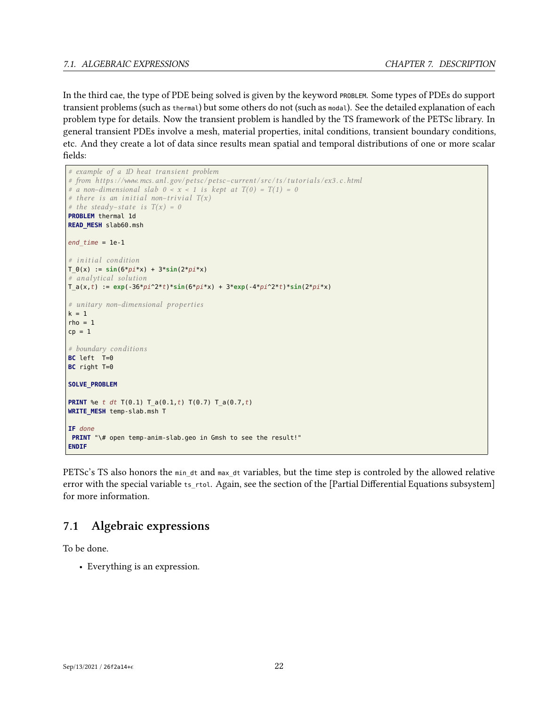## *7.1. ALGEBRAIC EXPRESSIONS CHAPTER 7. DESCRIPTION*

In the third cae, the type of PDE being solved is given by the keyword PROBLEM. Some types of PDEs do support transient problems (such as thermal) but some others do not (such as modal). See the detailed explanation of each problem type for details. Now the transient problem is handled by the TS framework of the PETSc library. In general transient PDEs involve a mesh, material properties, inital conditions, transient boundary conditions, etc. And they create a lot of data since results mean spatial and temporal distributions of one or more scalar fields:

```
# example of a 1D heat transient problem
# from https : / /www.mcs. anl . gov/ petsc/ petsc−current/src/ t s / tu to rial s / ex3 .c.html
# a non-dimensional slab 0 < x < 1 is kept at T(0) = T(1) = 0# there i s an i ni tial non−t rivial T(x)
# the steady–state is T(x) = 0PROBLEM thermal 1d
READ_MESH slab60.msh
end_time = 1e-1
# i ni tial condition
T \theta(x) := \sin(6*pi*x) + 3*sin(2*pi*x)# analytical solution
T_a(x,t) := exp(-36*pi^2*t)*sin(6*pi*x) + 3*exp(-4*pi^2*t)*sin(2*pi*x)
# unitary non−dimensional properties
k = 1rho = 1cp = 1# boundary conditions
BC left T=0
BC right T=0
SOLVE_PROBLEM
PRINT %e t dt T(0.1) T_a(0.1,t) T(0.7) T_a(0.7,t)
WRITE_MESH temp-slab.msh T
IF done
PRINT "\# open temp-anim-slab.geo in Gmsh to see the result!"
ENDIF
```
PETSc's TS also honors the min dt and max dt variables, but the time step is controled by the allowed relative error with the special variable ts\_rtol. Again, see the section of the [Partial Differential Equations subsystem] for more information.

## <span id="page-26-0"></span>**7.1 Algebraic expressions**

To be done.

• Everything is an expression.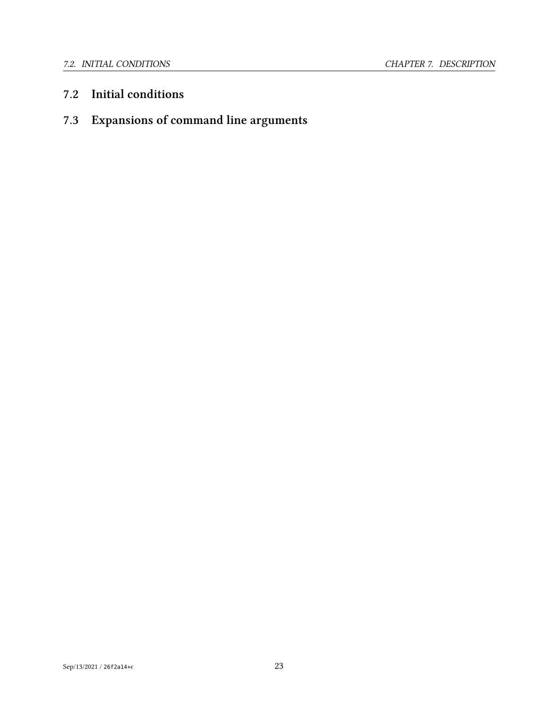## <span id="page-27-0"></span>**7.2 Initial conditions**

## <span id="page-27-1"></span>**7.3 Expansions of command line arguments**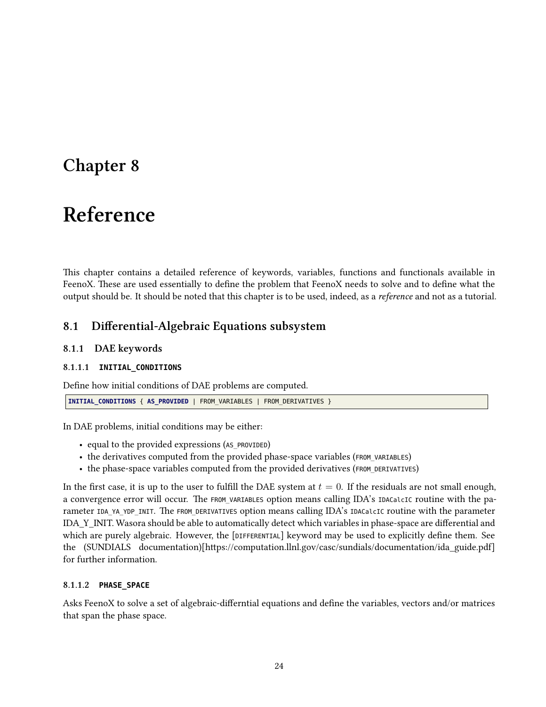# <span id="page-28-0"></span>**Reference**

This chapter contains a detailed reference of keywords, variables, functions and functionals available in FeenoX. These are used essentially to define the problem that FeenoX needs to solve and to define what the output should be. It should be noted that this chapter is to be used, indeed, as a *reference* and not as a tutorial.

## <span id="page-28-1"></span>**8.1 Differential-Algebraic Equations subsystem**

## <span id="page-28-2"></span>**8.1.1 DAE keywords**

## **8.1.1.1 INITIAL\_CONDITIONS**

Define how initial conditions of DAE problems are computed.

```
INITIAL_CONDITIONS { AS_PROVIDED | FROM_VARIABLES | FROM_DERIVATIVES }
```
In DAE problems, initial conditions may be either:

- equal to the provided expressions (AS\_PROVIDED)
- the derivatives computed from the provided phase-space variables (FROM\_VARIABLES)
- the phase-space variables computed from the provided derivatives (FROM\_DERIVATIVES)

In the first case, it is up to the user to fulfill the DAE system at  $t = 0$ . If the residuals are not small enough, a convergence error will occur. The FROM\_VARIABLES option means calling IDA's IDACalcIC routine with the parameter IDA\_YA\_YDP\_INIT. The FROM\_DERIVATIVES option means calling IDA's IDACalcIC routine with the parameter IDA\_Y\_INIT. Wasora should be able to automatically detect which variables in phase-space are differential and which are purely algebraic. However, the [DIFFERENTIAL] keyword may be used to explicitly define them. See the (SUNDIALS documentation)[https://computation.llnl.gov/casc/sundials/documentation/ida\_guide.pdf] for further information.

## **8.1.1.2 PHASE\_SPACE**

Asks FeenoX to solve a set of algebraic-differntial equations and define the variables, vectors and/or matrices that span the phase space.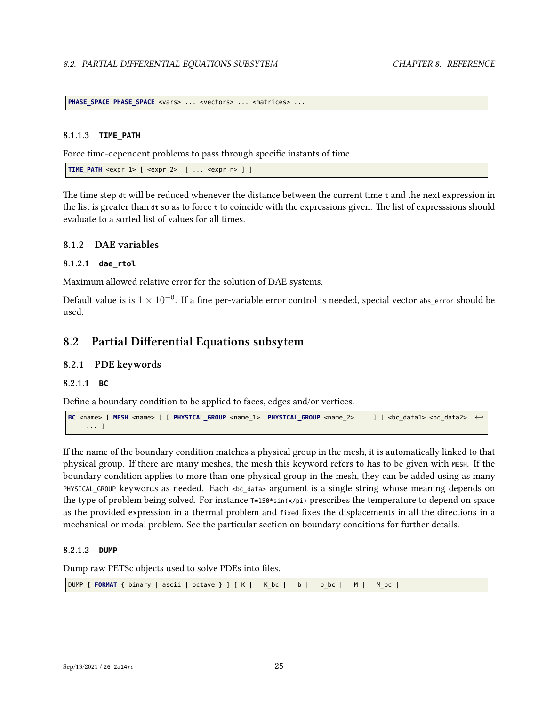**PHASE\_SPACE\_PHASE\_SPACE** <vars> ... <vectors> ... <matrices> ...

### **8.1.1.3 TIME\_PATH**

Force time-dependent problems to pass through specific instants of time.

**TIME\_PATH** <expr\_1> [ <expr\_2> [ ... <expr\_n> ] ]

The time step  $dt$  will be reduced whenever the distance between the current time  $t$  and the next expression in the list is greater than dt so as to force <sup>t</sup> to coincide with the expressions given. The list of expresssions should evaluate to a sorted list of values for all times.

## <span id="page-29-0"></span>**8.1.2 DAE variables**

## **8.1.2.1 dae\_rtol**

Maximum allowed relative error for the solution of DAE systems.

Default value is is <sup>1</sup> *<sup>×</sup>* <sup>10</sup>*−*<sup>6</sup> . If a fine per-variable error control is needed, special vector abs\_error should be used.

## <span id="page-29-1"></span>**8.2 Partial Differential Equations subsytem**

## <span id="page-29-2"></span>**8.2.1 PDE keywords**

## **8.2.1.1 BC**

Define a boundary condition to be applied to faces, edges and/or vertices.

```
BC <name> [ MESH <name> ] [ PHYSICAL_GROUP <name_1> PHYSICAL_GROUP <name_2> ... ] [ <bc_data1> <bc_data2> ←-
     ... ]
```
If the name of the boundary condition matches a physical group in the mesh, it is automatically linked to that physical group. If there are many meshes, the mesh this keyword refers to has to be given with MESH. If the boundary condition applies to more than one physical group in the mesh, they can be added using as many PHYSICAL\_GROUP keywords as needed. Each <bc\_data> argument is a single string whose meaning depends on the type of problem being solved. For instance  $T=150*sin(x/pi)$  prescribes the temperature to depend on space as the provided expression in a thermal problem and fixed fixes the displacements in all the directions in a mechanical or modal problem. See the particular section on boundary conditions for further details.

## **8.2.1.2 DUMP**

Dump raw PETSc objects used to solve PDEs into files.

|  |  |  |  |  |  |  |  |  | DUMP [ FORMAT { binary   ascii   octave } ] [ K   K_bc   b   b_bc   M   M_bc |  |
|--|--|--|--|--|--|--|--|--|------------------------------------------------------------------------------|--|
|--|--|--|--|--|--|--|--|--|------------------------------------------------------------------------------|--|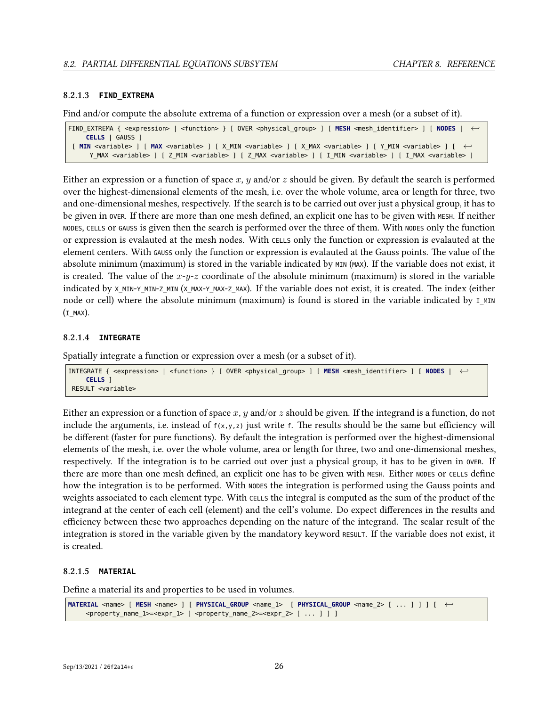#### **8.2.1.3 FIND\_EXTREMA**

Find and/or compute the absolute extrema of a function or expression over a mesh (or a subset of it).

```
FIND_EXTREMA { <expression> | <function> } [ OVER <physical_group> ] [ MESH <mesh_identifier> ] [ NODES | ←-
    CELLS | GAUSS ]
[ MIN <variable> ] [ MAX <variable> ] [ X_MIN <variable> ] [ X_MAX <variable> ] [ Y_MIN <variable> ] [ ←-
     Y_MAX <variable> ] [ Z_MIN <variable> ] [ Z_MAX <variable> ] [ I_MIN <variable> ] [ I_MAX <variable> ]
```
Either an expression or a function of space *x*, *y* and/or *z* should be given. By default the search is performed over the highest-dimensional elements of the mesh, i.e. over the whole volume, area or length for three, two and one-dimensional meshes, respectively. If the search is to be carried out over just a physical group, it has to be given in over. If there are more than one mesh defined, an explicit one has to be given with MESH. If neither NODES, CELLS or GAUSS is given then the search is performed over the three of them. With NODES only the function or expression is evalauted at the mesh nodes. With CELLS only the function or expression is evalauted at the element centers. With GAUSS only the function or expression is evalauted at the Gauss points. The value of the absolute minimum (maximum) is stored in the variable indicated by MIN (MAX). If the variable does not exist, it is created. The value of the *x*-*y*-*z* coordinate of the absolute minimum (maximum) is stored in the variable indicated by X\_MIN-Y\_MIN-Z\_MIN (X\_MAX-Y\_MAX-Z\_MAX). If the variable does not exist, it is created. The index (either node or cell) where the absolute minimum (maximum) is found is stored in the variable indicated by I MIN  $(I$  MAX).

## **8.2.1.4 INTEGRATE**

Spatially integrate a function or expression over a mesh (or a subset of it).

```
INTEGRATE { <expression> | <function> } [ OVER <physical_group> ] [ MESH <mesh_identifier> ] [ NODES | ←-
    CELLS ]
RESULT <variable>
```
Either an expression or a function of space *x*, *y* and/or *z* should be given. If the integrand is a function, do not include the arguments, i.e. instead of  $f(x,y,z)$  just write f. The results should be the same but efficiency will be different (faster for pure functions). By default the integration is performed over the highest-dimensional elements of the mesh, i.e. over the whole volume, area or length for three, two and one-dimensional meshes, respectively. If the integration is to be carried out over just a physical group, it has to be given in OVER. If there are more than one mesh defined, an explicit one has to be given with MESH. Either NODES or CELLS define how the integration is to be performed. With NODES the integration is performed using the Gauss points and weights associated to each element type. With CELLS the integral is computed as the sum of the product of the integrand at the center of each cell (element) and the cell's volume. Do expect differences in the results and efficiency between these two approaches depending on the nature of the integrand. The scalar result of the integration is stored in the variable given by the mandatory keyword RESULT. If the variable does not exist, it is created.

## **8.2.1.5 MATERIAL**

Define a material its and properties to be used in volumes.

```
MATERIAL <name> [ MESH <name> ] [ PHYSICAL_GROUP <name_1> [ PHYSICAL_GROUP <name_2> [ ... ] ] ] [ ←-
    <property_name_1>=<expr_1> [ <property_name_2>=<expr_2> [ ... ] ] ]
```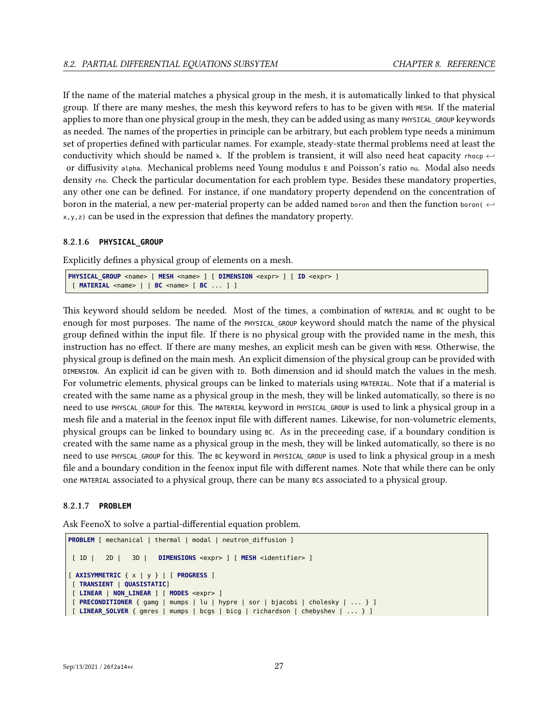If the name of the material matches a physical group in the mesh, it is automatically linked to that physical group. If there are many meshes, the mesh this keyword refers to has to be given with MESH. If the material applies to more than one physical group in the mesh, they can be added using as many PHYSICAL GROUP keywords as needed. The names of the properties in principle can be arbitrary, but each problem type needs a minimum set of properties defined with particular names. For example, steady-state thermal problems need at least the conductivity which should be named k. If the problem is transient, it will also need heat capacity rhocp  $\leftrightarrow$ or diffusivity alpha. Mechanical problems need Young modulus <sup>E</sup> and Poisson's ratio nu. Modal also needs density rho. Check the particular documentation for each problem type. Besides these mandatory properties, any other one can be defined. For instance, if one mandatory property dependend on the concentration of boron in the material, a new per-material property can be added named boron and then the function boron( *<sup>←</sup>* x,y,z) can be used in the expression that defines the mandatory property.

## **8.2.1.6 PHYSICAL\_GROUP**

Explicitly defines a physical group of elements on a mesh.

```
PHYSICAL GROUP <name> [ MESH <name> ] [ DIMENSION <expr> ] [ ID <expr> ]
 [ MATERIAL <name> | | BC <name> [ BC ... ] ]
```
This keyword should seldom be needed. Most of the times, a combination of MATERIAL and BC ought to be enough for most purposes. The name of the PHYSICAL\_GROUP keyword should match the name of the physical group defined within the input file. If there is no physical group with the provided name in the mesh, this instruction has no effect. If there are many meshes, an explicit mesh can be given with MESH. Otherwise, the physical group is defined on the main mesh. An explicit dimension of the physical group can be provided with DIMENSION. An explicit id can be given with ID. Both dimension and id should match the values in the mesh. For volumetric elements, physical groups can be linked to materials using MATERIAL. Note that if a material is created with the same name as a physical group in the mesh, they will be linked automatically, so there is no need to use PHYSCAL\_GROUP for this. The MATERIAL keyword in PHYSICAL\_GROUP is used to link a physical group in a mesh file and a material in the feenox input file with different names. Likewise, for non-volumetric elements, physical groups can be linked to boundary using BC. As in the preceeding case, if a boundary condition is created with the same name as a physical group in the mesh, they will be linked automatically, so there is no need to use PHYSCAL\_GROUP for this. The BC keyword in PHYSICAL\_GROUP is used to link a physical group in a mesh file and a boundary condition in the feenox input file with different names. Note that while there can be only one MATERIAL associated to a physical group, there can be many BCs associated to a physical group.

## **8.2.1.7 PROBLEM**

Ask FeenoX to solve a partial-differential equation problem.

```
PROBLEM [ mechanical | thermal | modal | neutron diffusion ]
 [ 1D | 2D | 3D | DIMENSIONS <expr> ] [ MESH <identifier> ]
[ AXISYMMETRIC { x | y } | [ PROGRESS ]
 [ TRANSIENT | QUASISTATIC]
 [ LINEAR | NON_LINEAR ] [ MODES <expr> ]
 [ PRECONDITIONER { gamg | mumps | lu | hypre | sor | bjacobi | cholesky | ... } ]
[ LINEAR_SOLVER { gmres | mumps | bcgs | bicg | richardson | chebyshev | ... } ]
```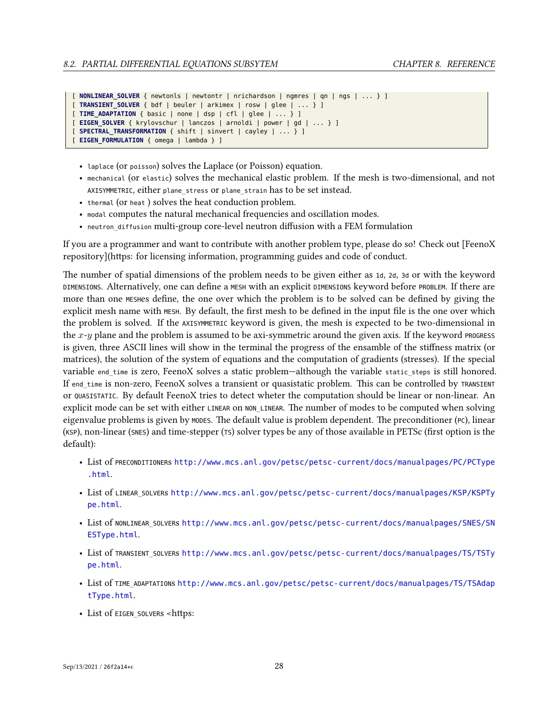```
[ NONLINEAR_SOLVER { newtonls | newtontr | nrichardson | ngmres | qn | ngs | ... } ]
[ TRANSIENT_SOLVER { bdf | beuler | arkimex | rosw | glee | ... } ]
[ TIME_ADAPTATION { basic | none | dsp | cfl | glee | ... } ]
[ EIGEN_SOLVER { krylovschur | lanczos | arnoldi | power | gd | ... } ]
[ SPECTRAL_TRANSFORMATION { shift | sinvert | cayley | ... } ]
[ EIGEN_FORMULATION { omega | lambda } ]
```
- laplace (or poisson) solves the Laplace (or Poisson) equation.
- mechanical (or elastic) solves the mechanical elastic problem. If the mesh is two-dimensional, and not AXISYMMETRIC, either plane stress or plane strain has to be set instead.
- thermal (or heat ) solves the heat conduction problem.
- modal computes the natural mechanical frequencies and oscillation modes.
- neutron\_diffusion multi-group core-level neutron diffusion with a FEM formulation

If you are a programmer and want to contribute with another problem type, please do so! Check out [FeenoX repository](https: for licensing information, programming guides and code of conduct.

The number of spatial dimensions of the problem needs to be given either as 1d, 2d, 3d or with the keyword DIMENSIONS. Alternatively, one can define a MESH with an explicit DIMENSIONS keyword before PROBLEM. If there are more than one MESHes define, the one over which the problem is to be solved can be defined by giving the explicit mesh name with MESH. By default, the first mesh to be defined in the input file is the one over which the problem is solved. If the AXISYMMETRIC keyword is given, the mesh is expected to be two-dimensional in the  $x-y$  plane and the problem is assumed to be axi-symmetric around the given axis. If the keyword PROGRESS is given, three ASCII lines will show in the terminal the progress of the ensamble of the stiffness matrix (or matrices), the solution of the system of equations and the computation of gradients (stresses). If the special variable end time is zero, FeenoX solves a static problem—although the variable static steps is still honored. If end time is non-zero, FeenoX solves a transient or quasistatic problem. This can be controlled by TRANSIENT or QUASISTATIC. By default FeenoX tries to detect wheter the computation should be linear or non-linear. An explicit mode can be set with either LINEAR on NON\_LINEAR. The number of modes to be computed when solving eigenvalue problems is given by MODES. The default value is problem dependent. The preconditioner (PC), linear (KSP), non-linear (SNES) and time-stepper (TS) solver types be any of those available in PETSc (first option is the default):

- List of PRECONDITIONERs [http://www.mcs.anl.gov/petsc/petsc-current/docs/manualpages/PC/PCType](http://www.mcs.anl.gov/petsc/petsc-current/docs/manualpages/PC/PCType.html) [.html](http://www.mcs.anl.gov/petsc/petsc-current/docs/manualpages/PC/PCType.html).
- List of LINEAR SOLVERs [http://www.mcs.anl.gov/petsc/petsc-current/docs/manualpages/KSP/KSPTy](http://www.mcs.anl.gov/petsc/petsc-current/docs/manualpages/KSP/KSPType.html) [pe.html](http://www.mcs.anl.gov/petsc/petsc-current/docs/manualpages/KSP/KSPType.html).
- List of NONLINEAR SOLVERs [http://www.mcs.anl.gov/petsc/petsc-current/docs/manualpages/SNES/SN](http://www.mcs.anl.gov/petsc/petsc-current/docs/manualpages/SNES/SNESType.html) [ESType.html](http://www.mcs.anl.gov/petsc/petsc-current/docs/manualpages/SNES/SNESType.html).
- List of TRANSIENT\_SOLVERs [http://www.mcs.anl.gov/petsc/petsc-current/docs/manualpages/TS/TSTy](http://www.mcs.anl.gov/petsc/petsc-current/docs/manualpages/TS/TSType.html) [pe.html](http://www.mcs.anl.gov/petsc/petsc-current/docs/manualpages/TS/TSType.html).
- List of TIME\_ADAPTATIONs [http://www.mcs.anl.gov/petsc/petsc-current/docs/manualpages/TS/TSAdap](http://www.mcs.anl.gov/petsc/petsc-current/docs/manualpages/TS/TSAdaptType.html) [tType.html](http://www.mcs.anl.gov/petsc/petsc-current/docs/manualpages/TS/TSAdaptType.html).
- List of EIGEN\_SOLVERS <https: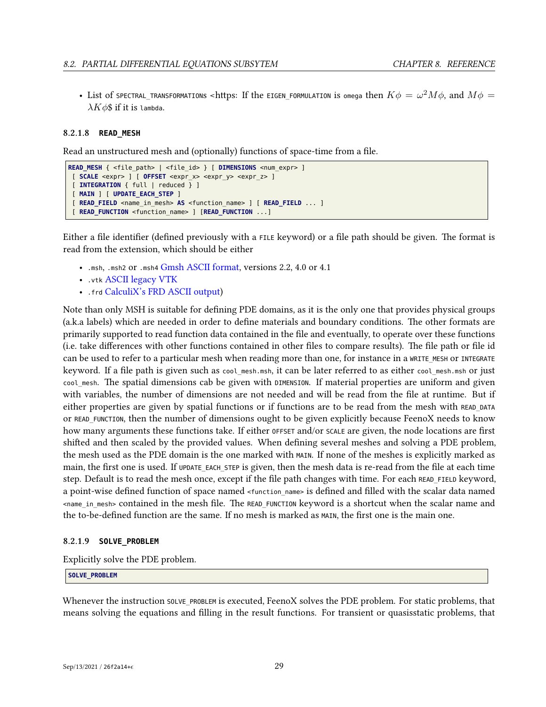$\bullet$  List of SPECTRAL\_TRANSFORMATIONS <https: If the EIGEN\_FORMULATION is omega then  $K\phi=\omega^2M\phi,$  and  $M\phi=0$ *λKφ*\$ if it is lambda.

#### **8.2.1.8 READ\_MESH**

Read an unstructured mesh and (optionally) functions of space-time from a file.

```
READ_MESH { <file_path> | <file_id> } [ DIMENSIONS <num_expr> ]
[ SCALE <expr> ] [ OFFSET <expr_x> <expr_y> <expr_z> ]
[ INTEGRATION { full | reduced } ]
[ MAIN ] [ UPDATE_EACH_STEP ]
[ READ_FIELD <name_in_mesh> AS <function_name> ] [ READ_FIELD ... ]
 [ READ_FUNCTION <function_name> ] [READ_FUNCTION ...]
```
Either a file identifier (defined previously with a FILE keyword) or a file path should be given. The format is read from the extension, which should be either

- .msh, .msh2 or .msh4 [Gmsh ASCII format](http://gmsh.info/doc/texinfo/gmsh.html#MSH-file-format), versions 2.2, 4.0 or 4.1
- .vtk [ASCII legacy VTK](https://lorensen.github.io/VTKExamples/site/VTKFileFormats/)
- .frd [CalculiX's FRD ASCII output\)](https://web.mit.edu/calculix_v2.7/CalculiX/cgx_2.7/doc/cgx/node4.html)

Note than only MSH is suitable for defining PDE domains, as it is the only one that provides physical groups (a.k.a labels) which are needed in order to define materials and boundary conditions. The other formats are primarily supported to read function data contained in the file and eventually, to operate over these functions (i.e. take differences with other functions contained in other files to compare results). The file path or file id can be used to refer to a particular mesh when reading more than one, for instance in a WRITE\_MESH or INTEGRATE keyword. If a file path is given such as cool mesh.msh, it can be later referred to as either cool\_mesh.msh or just cool\_mesh. The spatial dimensions cab be given with DIMENSION. If material properties are uniform and given with variables, the number of dimensions are not needed and will be read from the file at runtime. But if either properties are given by spatial functions or if functions are to be read from the mesh with READ\_DATA or READ\_FUNCTION, then the number of dimensions ought to be given explicitly because FeenoX needs to know how many arguments these functions take. If either OFFSET and/or SCALE are given, the node locations are first shifted and then scaled by the provided values. When defining several meshes and solving a PDE problem, the mesh used as the PDE domain is the one marked with MAIN. If none of the meshes is explicitly marked as main, the first one is used. If UPDATE\_EACH\_STEP is given, then the mesh data is re-read from the file at each time step. Default is to read the mesh once, except if the file path changes with time. For each READ\_FIELD keyword, a point-wise defined function of space named <function\_name> is defined and filled with the scalar data named <name\_in\_mesh> contained in the mesh file. The READ\_FUNCTION keyword is a shortcut when the scalar name and the to-be-defined function are the same. If no mesh is marked as MAIN, the first one is the main one.

## **8.2.1.9 SOLVE\_PROBLEM**

Explicitly solve the PDE problem.

### **SOLVE\_PROBLEM**

Whenever the instruction SOLVE\_PROBLEM is executed, FeenoX solves the PDE problem. For static problems, that means solving the equations and filling in the result functions. For transient or quasisstatic problems, that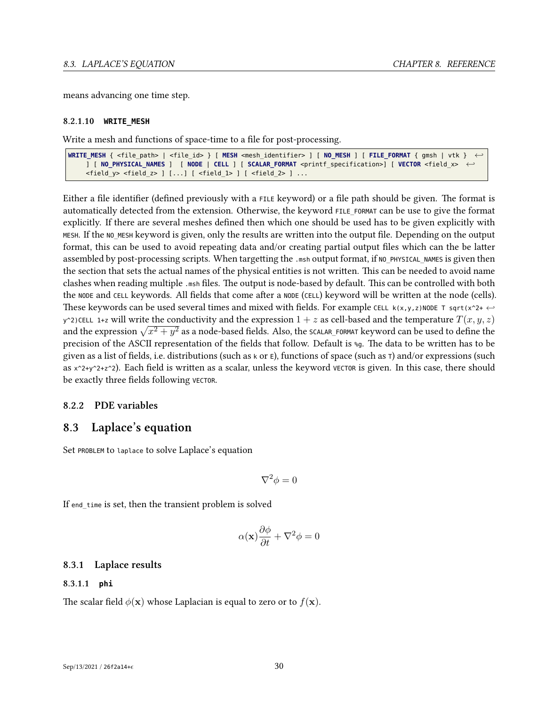means advancing one time step.

#### **8.2.1.10 WRITE\_MESH**

Write a mesh and functions of space-time to a file for post-processing.

```
WRITE_MESH { <file_path> | <file_id> } [ MESH <mesh_identifier> ] [ NO_MESH ] [ FILE_FORMAT { gmsh | vtk } ←-
    ] [ NO_PHYSICAL_NAMES ] [ NODE | CELL ] [ SCALAR_FORMAT <printf_specification>] [ VECTOR <field_x> ←-
    <field_y> <field_z> ] [...] [ <field_1> ] [ <field_2> ] ...
```
Either a file identifier (defined previously with a FILE keyword) or a file path should be given. The format is automatically detected from the extension. Otherwise, the keyword FILE\_FORMAT can be use to give the format explicitly. If there are several meshes defined then which one should be used has to be given explicitly with MESH. If the NO MESH keyword is given, only the results are written into the output file. Depending on the output format, this can be used to avoid repeating data and/or creating partial output files which can the be latter assembled by post-processing scripts. When targetting the .msh output format, if NO\_PHYSICAL\_NAMES is given then the section that sets the actual names of the physical entities is not written. This can be needed to avoid name clashes when reading multiple .msh files. The output is node-based by default. This can be controlled with both the NODE and CELL keywords. All fields that come after a NODE (CELL) keyword will be written at the node (cells). These keywords can be used several times and mixed with fields. For example CELL  $k(x,y,z)$ NODE T sqrt(x^2+  $\leftrightarrow$  $y^2$ )CELL 1+z will write the conductivity and the expression  $1 + z$  as cell-based and the temperature  $T(x, y, z)$ and the expression  $\sqrt{x^2 + y^2}$  as a node-based fields. Also, the scalar\_FORMAT keyword can be used to define the precision of the ASCII representation of the fields that follow. Default is %g. The data to be written has to be given as a list of fields, i.e. distributions (such as  $\kappa$  or  $\epsilon$ ), functions of space (such as  $\tau$ ) and/or expressions (such as  $x^2+y^2+z^2$ ). Each field is written as a scalar, unless the keyword VECTOR is given. In this case, there should be exactly three fields following VECTOR.

## <span id="page-34-1"></span><span id="page-34-0"></span>**8.2.2 PDE variables**

## **8.3 Laplace's equation**

Set PROBLEM to laplace to solve Laplace's equation

$$
\nabla^2 \phi = 0
$$

If end\_time is set, then the transient problem is solved

$$
\alpha(\mathbf{x})\frac{\partial\phi}{\partial t} + \nabla^2\phi = 0
$$

## <span id="page-34-2"></span>**8.3.1 Laplace results**

#### **8.3.1.1 phi**

The scalar field  $\phi(\mathbf{x})$  whose Laplacian is equal to zero or to  $f(\mathbf{x})$ .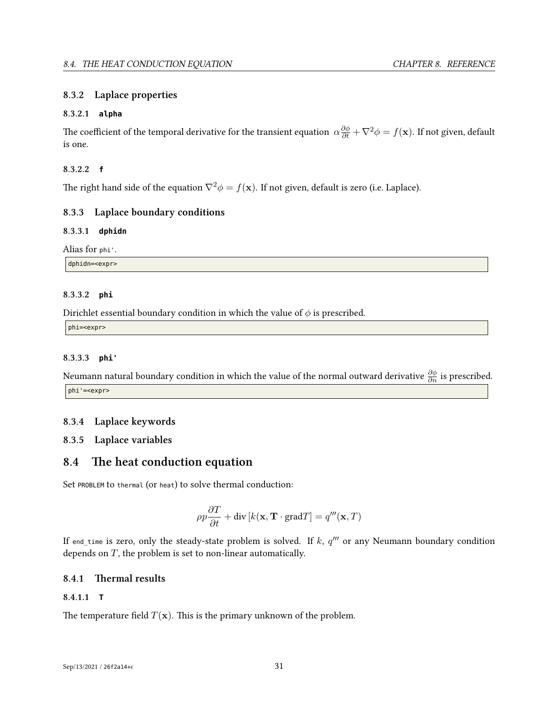## <span id="page-35-0"></span>**8.3.2 Laplace properties**

## **8.3.2.1 alpha**

The coefficient of the temporal derivative for the transient equation  $\alpha\frac{\partial\phi}{\partial t}+\nabla^2\phi=f({\bf x}).$  If not given, default is one.

## **8.3.2.2 f**

The right hand side of the equation  $\nabla^2 \phi = f(\mathbf{x})$ . If not given, default is zero (i.e. Laplace).

## <span id="page-35-1"></span>**8.3.3 Laplace boundary conditions**

## **8.3.3.1 dphidn**

Alias for phi'.

dphidn=<expr>

## **8.3.3.2 phi**

Dirichlet essential boundary condition in which the value of *φ* is prescribed.

phi=<expr>

## **8.3.3.3 phi'**

Neumann natural boundary condition in which the value of the normal outward derivative *∂φ ∂n* is prescribed. phi'=<expr>

## <span id="page-35-2"></span>**8.3.4 Laplace keywords**

## <span id="page-35-4"></span><span id="page-35-3"></span>**8.3.5 Laplace variables**

## **8.4 The heat conduction equation**

Set PROBLEM to thermal (or heat) to solve thermal conduction:

$$
\rho p \frac{\partial T}{\partial t} + \text{div}\left[k(\mathbf{x}, \mathbf{T} \cdot \text{grad} T\right] = q'''(\mathbf{x}, T)
$$

If end\_time is zero, only the steady-state problem is solved. If *k*, *q ′′′* or any Neumann boundary condition depends on *T*, the problem is set to non-linear automatically.

## <span id="page-35-5"></span>**8.4.1 Thermal results**

## **8.4.1.1 T**

The temperature field  $T(\mathbf{x})$ . This is the primary unknown of the problem.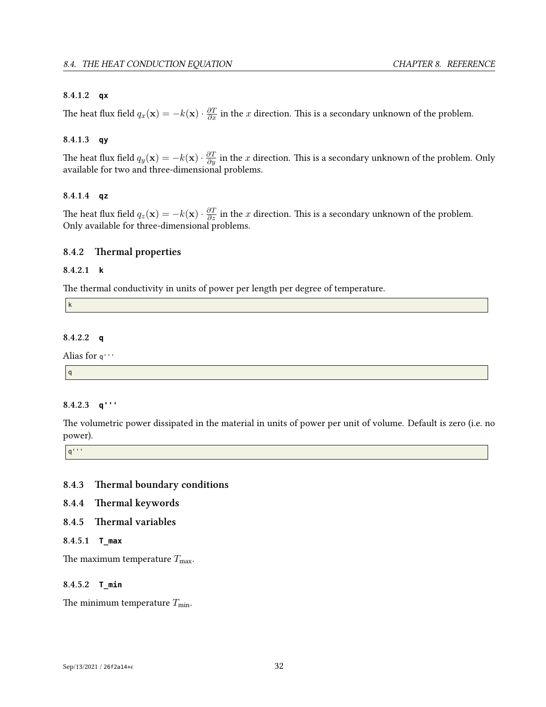## **8.4.1.2 qx**

The heat flux field  $q_x(\mathbf{x}) = -k(\mathbf{x}) \cdot \frac{\partial T}{\partial x}$  in the *x* direction. This is a secondary unknown of the problem.

## **8.4.1.3 qy**

The heat flux field  $q_y(\mathbf{x}) = -k(\mathbf{x}) \cdot \frac{\partial T}{\partial y}$  in the  $x$  direction. This is a secondary unknown of the problem. Only available for two and three-dimensional problems.

## **8.4.1.4 qz**

The heat flux field  $q_z(\mathbf{x}) = -k(\mathbf{x}) \cdot \frac{\partial T}{\partial z}$  in the *x* direction. This is a secondary unknown of the problem. Only available for three-dimensional problems.

## **8.4.2 Thermal properties**

## **8.4.2.1 k**

The thermal conductivity in units of power per length per degree of temperature.

k

## **8.4.2.2 q**

Alias for q'''

q

## **8.4.2.3 q'''**

The volumetric power dissipated in the material in units of power per unit of volume. Default is zero (i.e. no power).

 $|q^{\cdots}$ 

## **8.4.3 Thermal boundary conditions**

## **8.4.4 Thermal keywords**

## **8.4.5 Thermal variables**

## **8.4.5.1 T\_max**

The maximum temperature  $T_{\text{max}}$ .

## **8.4.5.2 T\_min**

The minimum temperature  $T_{\text{min}}$ .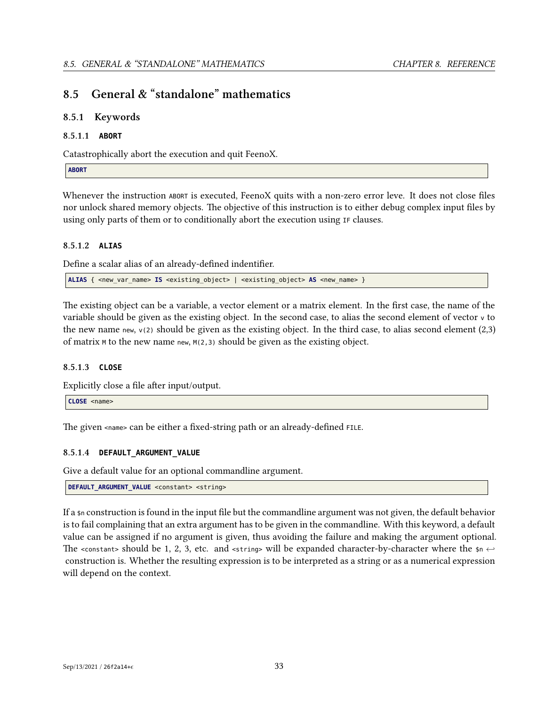# **8.5 General & "standalone" mathematics**

## **8.5.1 Keywords**

## **8.5.1.1 ABORT**

Catastrophically abort the execution and quit FeenoX.

**ABORT**

Whenever the instruction ABORT is executed, FeenoX quits with a non-zero error leve. It does not close files nor unlock shared memory objects. The objective of this instruction is to either debug complex input files by using only parts of them or to conditionally abort the execution using IF clauses.

## **8.5.1.2 ALIAS**

Define a scalar alias of an already-defined indentifier.

**ALIAS** { <new var name> **IS** <existing object> | <existing object> AS <new name> }

The existing object can be a variable, a vector element or a matrix element. In the first case, the name of the variable should be given as the existing object. In the second case, to alias the second element of vector <sup>v</sup> to the new name new,  $v(2)$  should be given as the existing object. In the third case, to alias second element (2,3) of matrix <sup>M</sup> to the new name new, M(2,3) should be given as the existing object.

## **8.5.1.3 CLOSE**

Explicitly close a file after input/output.

```
CLOSE <name>
```
The given <name> can be either a fixed-string path or an already-defined FILE.

## **8.5.1.4 DEFAULT\_ARGUMENT\_VALUE**

Give a default value for an optional commandline argument.

```
DEFAULT_ARGUMENT_VALUE <constant> <string>
```
If a \$n construction is found in the input file but the commandline argument was not given, the default behavior is to fail complaining that an extra argument has to be given in the commandline. With this keyword, a default value can be assigned if no argument is given, thus avoiding the failure and making the argument optional. The <constant> should be 1, 2, 3, etc. and <string> will be expanded character-by-character where the  $\mathfrak{sp} \leftrightarrow$ construction is. Whether the resulting expression is to be interpreted as a string or as a numerical expression will depend on the context.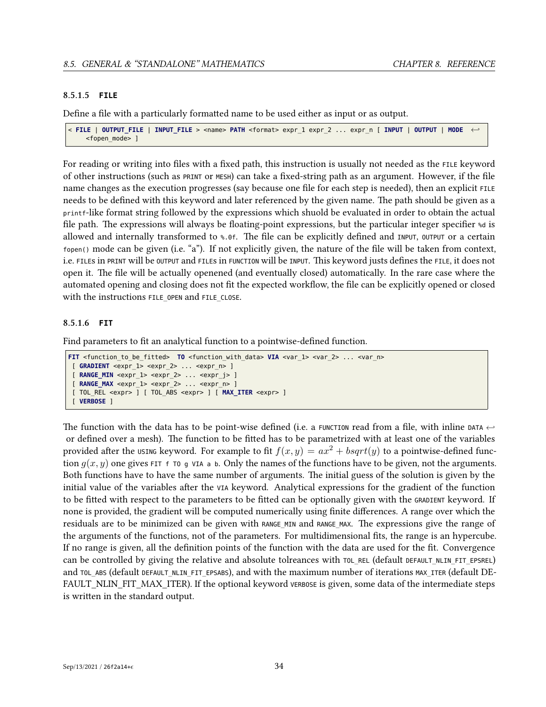## **8.5.1.5 FILE**

Define a file with a particularly formatted name to be used either as input or as output.

```
< FILE | OUTPUT_FILE | INPUT_FILE > <name> PATH <format> expr_1 expr_2 ... expr_n [ INPUT | OUTPUT | MODE ←-
    <fopen_mode> ]
```
For reading or writing into files with a fixed path, this instruction is usually not needed as the FILE keyword of other instructions (such as PRINT or MESH) can take a fixed-string path as an argument. However, if the file name changes as the execution progresses (say because one file for each step is needed), then an explicit FILE needs to be defined with this keyword and later referenced by the given name. The path should be given as a printf-like format string followed by the expressions which shuold be evaluated in order to obtain the actual file path. The expressions will always be floating-point expressions, but the particular integer specifier %d is allowed and internally transformed to %.0f. The file can be explicitly defined and INPUT, OUTPUT or a certain fopen() mode can be given (i.e. "a"). If not explicitly given, the nature of the file will be taken from context, i.e. FILEs in PRINT will be OUTPUT and FILEs in FUNCTION will be INPUT. This keyword justs defines the FILE, it does not open it. The file will be actually openened (and eventually closed) automatically. In the rare case where the automated opening and closing does not fit the expected workflow, the file can be explicitly opened or closed with the instructions FILE OPEN and FILE CLOSE.

## **8.5.1.6 FIT**

Find parameters to fit an analytical function to a pointwise-defined function.

```
FIT <function_to_be_fitted> TO <function_with_data> VIA <var_1> <var_2> ... <var_n>
 [ GRADIENT <expr_1> <expr_2> ... <expr_n> ]
 [ RANGE MIN <expr 1> <expr 2> ... <expr j> ][ RANGE_MAX <expr_1> <expr_2> ... <expr_n> ]
 [ TOL_REL <expr> ] [ TOL_ABS <expr> ] [ MAX_ITER <expr> ]
 [ VERBOSE ]
```
The function with the data has to be point-wise defined (i.e. a FUNCTION read from a file, with inline DATA *<sup>←</sup>* or defined over a mesh). The function to be fitted has to be parametrized with at least one of the variables provided after the USING keyword. For example to fit  $f(x, y) = ax^2 + bsqrt(y)$  to a pointwise-defined function  $q(x, y)$  one gives FIT f TO g VIA a b. Only the names of the functions have to be given, not the arguments. Both functions have to have the same number of arguments. The initial guess of the solution is given by the initial value of the variables after the VIA keyword. Analytical expressions for the gradient of the function to be fitted with respect to the parameters to be fitted can be optionally given with the GRADIENT keyword. If none is provided, the gradient will be computed numerically using finite differences. A range over which the residuals are to be minimized can be given with RANGE\_MIN and RANGE\_MAX. The expressions give the range of the arguments of the functions, not of the parameters. For multidimensional fits, the range is an hypercube. If no range is given, all the definition points of the function with the data are used for the fit. Convergence can be controlled by giving the relative and absolute tolreances with TOL\_REL (default DEFAULT\_NLIN\_FIT\_EPSREL) and TOL ABS (default DEFAULT NLIN FIT EPSABS), and with the maximum number of iterations MAX ITER (default DE-FAULT\_NLIN\_FIT\_MAX\_ITER). If the optional keyword VERBOSE is given, some data of the intermediate steps is written in the standard output.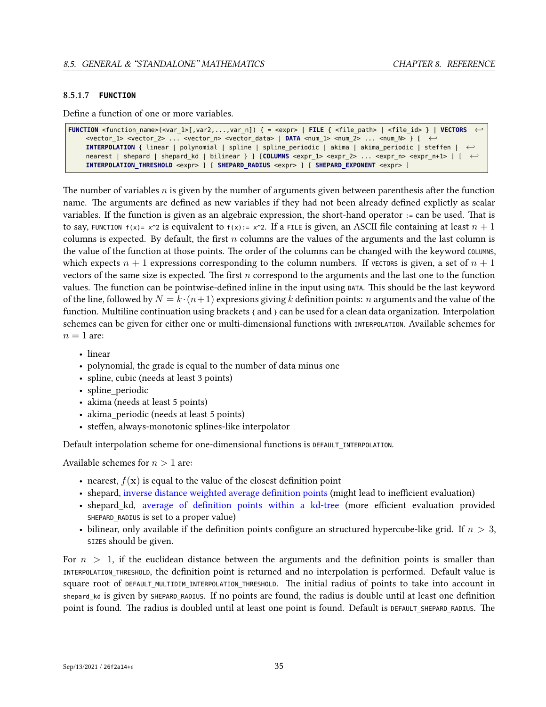## **8.5.1.7 FUNCTION**

Define a function of one or more variables.

```
FUNCTION <function_name>(<var_1>[,var2,...,var_n]) { = <expr> | FILE { <file_path> | <file_id> } | VECTORS ←-
    <vector 1> <vector 2> ... <vector n> <vector data> | DATA <num 1> <num 2> ... <num N> } [ ←
    INTERPOLATION { linear | polynomial | spline | spline_periodic | akima | akima_periodic | steffen | ←-
    nearest | shepard | shepard_kd | bilinear } ] [COLUMNS <expr_1> <expr_2> ... <expr_n> <expr_n+1> ] [ ←-
    INTERPOLATION_THRESHOLD_<expr> ] [ SHEPARD_RADIUS <expr> ] [ SHEPARD EXPONENT <expr> ]
```
The number of variables *n* is given by the number of arguments given between parenthesis after the function name. The arguments are defined as new variables if they had not been already defined explictly as scalar variables. If the function is given as an algebraic expression, the short-hand operator := can be used. That is to say, FUNCTION  $f(x)=x^22$  is equivalent to  $f(x)=x^22$ . If a FILE is given, an ASCII file containing at least  $n+1$ columns is expected. By default, the first *n* columns are the values of the arguments and the last column is the value of the function at those points. The order of the columns can be changed with the keyword COLUMNS, which expects  $n + 1$  expressions corresponding to the column numbers. If VECTORS is given, a set of  $n + 1$ vectors of the same size is expected. The first *n* correspond to the arguments and the last one to the function values. The function can be pointwise-defined inline in the input using DATA. This should be the last keyword of the line, followed by  $N = k \cdot (n+1)$  expresions giving k definition points: *n* arguments and the value of the function. Multiline continuation using brackets  $\{$  and  $\}$  can be used for a clean data organization. Interpolation schemes can be given for either one or multi-dimensional functions with INTERPOLATION. Available schemes for  $n = 1$  are:

- linear
- polynomial, the grade is equal to the number of data minus one
- spline, cubic (needs at least 3 points)
- spline periodic
- akima (needs at least 5 points)
- akima periodic (needs at least 5 points)
- steffen, always-monotonic splines-like interpolator

Default interpolation scheme for one-dimensional functions is DEFAULT\_INTERPOLATION.

Available schemes for *n >* 1 are:

- nearest,  $f(\mathbf{x})$  is equal to the value of the closest definition point
- shepard, [inverse distance weighted average definition points](https://en.wikipedia.org/wiki/Inverse_distance_weighting) (might lead to inefficient evaluation)
- shepard\_kd, [average of definition points within a kd-tree](https://en.wikipedia.org/wiki/Inverse_distance_weighting#Modified_Shepard) (more efficient evaluation provided SHEPARD RADIUS is set to a proper value)
- bilinear, only available if the definition points configure an structured hypercube-like grid. If *n >* 3, SIZES should be given.

For *n >* 1, if the euclidean distance between the arguments and the definition points is smaller than INTERPOLATION\_THRESHOLD, the definition point is returned and no interpolation is performed. Default value is square root of DEFAULT\_MULTIDIM\_INTERPOLATION\_THRESHOLD. The initial radius of points to take into account in shepard kd is given by SHEPARD RADIUS. If no points are found, the radius is double until at least one definition point is found. The radius is doubled until at least one point is found. Default is DEFAULT\_SHEPARD\_RADIUS. The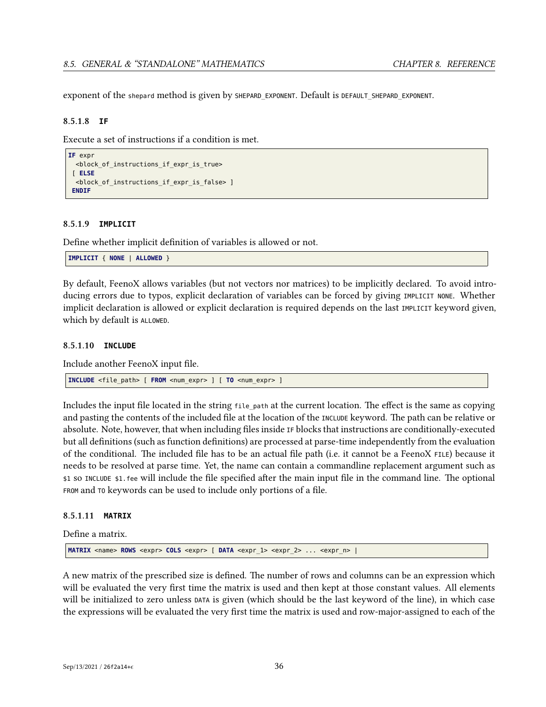exponent of the shepard method is given by SHEPARD\_EXPONENT. Default is DEFAULT\_SHEPARD\_EXPONENT.

#### **8.5.1.8 IF**

Execute a set of instructions if a condition is met.

```
IF expr
  <block_of_instructions_if_expr_is_true>
 [ ELSE
 <block_of_instructions_if_expr_is_false> ]
 ENDIF
```
#### <span id="page-40-0"></span>**8.5.1.9 IMPLICIT**

Define whether implicit definition of variables is allowed or not.

```
IMPLICIT { NONE | ALLOWED }
```
By default, FeenoX allows variables (but not vectors nor matrices) to be implicitly declared. To avoid introducing errors due to typos, explicit declaration of variables can be forced by giving IMPLICIT NONE. Whether implicit declaration is allowed or explicit declaration is required depends on the last IMPLICIT keyword given, which by default is ALLOWED.

### **8.5.1.10 INCLUDE**

Include another FeenoX input file.

**INCLUDE** <file\_path> [ **FROM** <num\_expr> ] [ **TO** <num\_expr> ]

Includes the input file located in the string file path at the current location. The effect is the same as copying and pasting the contents of the included file at the location of the INCLUDE keyword. The path can be relative or absolute. Note, however, that when including files inside IF blocks that instructions are conditionally-executed but all definitions (such as function definitions) are processed at parse-time independently from the evaluation of the conditional. The included file has to be an actual file path (i.e. it cannot be a FeenoX FILE) because it needs to be resolved at parse time. Yet, the name can contain a commandline replacement argument such as \$1 so INCLUDE \$1.fee will include the file specified after the main input file in the command line. The optional FROM and TO keywords can be used to include only portions of a file.

## **8.5.1.11 MATRIX**

Define a matrix.

**MATRIX** <name> **ROWS** <expr> **COLS** <expr> [ **DATA** <expr\_1> <expr\_2> ... <expr\_n> |

A new matrix of the prescribed size is defined. The number of rows and columns can be an expression which will be evaluated the very first time the matrix is used and then kept at those constant values. All elements will be initialized to zero unless DATA is given (which should be the last keyword of the line), in which case the expressions will be evaluated the very first time the matrix is used and row-major-assigned to each of the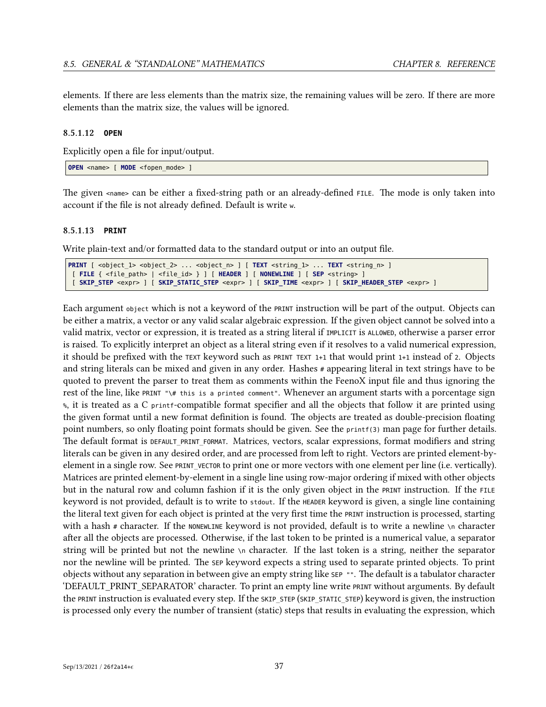elements. If there are less elements than the matrix size, the remaining values will be zero. If there are more elements than the matrix size, the values will be ignored.

## **8.5.1.12 OPEN**

Explicitly open a file for input/output.

**OPEN** <name> [ **MODE** <fopen mode> ]

The given <name> can be either a fixed-string path or an already-defined FILE. The mode is only taken into account if the file is not already defined. Default is write <sup>w</sup>.

#### **8.5.1.13 PRINT**

Write plain-text and/or formatted data to the standard output or into an output file.

```
PRINT [ <object_1> <object_2> ... <object_n> ] [ TEXT <string_1> ... TEXT <string_n> ]
[ FILE { <file_path> | <file_id> } ] [ HEADER ] [ NONEWLINE ] [ SEP <string> ]
 [ SKIP_STEP <expr> ] [ SKIP_STATIC_STEP <expr> ] [ SKIP_TIME <expr> ] [ SKIP_HEADER_STEP <expr> ]
```
Each argument object which is not a keyword of the PRINT instruction will be part of the output. Objects can be either a matrix, a vector or any valid scalar algebraic expression. If the given object cannot be solved into a valid matrix, vector or expression, it is treated as a string literal if IMPLICIT is ALLOWED, otherwise a parser error is raised. To explicitly interpret an object as a literal string even if it resolves to a valid numerical expression, it should be prefixed with the TEXT keyword such as PRINT TEXT 1+1 that would print 1+1 instead of <sup>2</sup>. Objects and string literals can be mixed and given in any order. Hashes # appearing literal in text strings have to be quoted to prevent the parser to treat them as comments within the FeenoX input file and thus ignoring the rest of the line, like PRINT "\# this is a printed comment". Whenever an argument starts with a porcentage sign %, it is treated as a C printf-compatible format specifier and all the objects that follow it are printed using the given format until a new format definition is found. The objects are treated as double-precision floating point numbers, so only floating point formats should be given. See the printf(3) man page for further details. The default format is DEFAULT\_PRINT\_FORMAT. Matrices, vectors, scalar expressions, format modifiers and string literals can be given in any desired order, and are processed from left to right. Vectors are printed element-byelement in a single row. See PRINT\_VECTOR to print one or more vectors with one element per line (i.e. vertically). Matrices are printed element-by-element in a single line using row-major ordering if mixed with other objects but in the natural row and column fashion if it is the only given object in the PRINT instruction. If the FILE keyword is not provided, default is to write to stdout. If the HEADER keyword is given, a single line containing the literal text given for each object is printed at the very first time the PRINT instruction is processed, starting with a hash  $\#$  character. If the NONEWLINE keyword is not provided, default is to write a newline  $\ln$  character after all the objects are processed. Otherwise, if the last token to be printed is a numerical value, a separator string will be printed but not the newline \n character. If the last token is a string, neither the separator nor the newline will be printed. The SEP keyword expects a string used to separate printed objects. To print objects without any separation in between give an empty string like SEP "". The default is a tabulator character 'DEFAULT\_PRINT\_SEPARATOR' character. To print an empty line write PRINT without arguments. By default the PRINT instruction is evaluated every step. If the SKIP\_STEP (SKIP\_STATIC\_STEP) keyword is given, the instruction is processed only every the number of transient (static) steps that results in evaluating the expression, which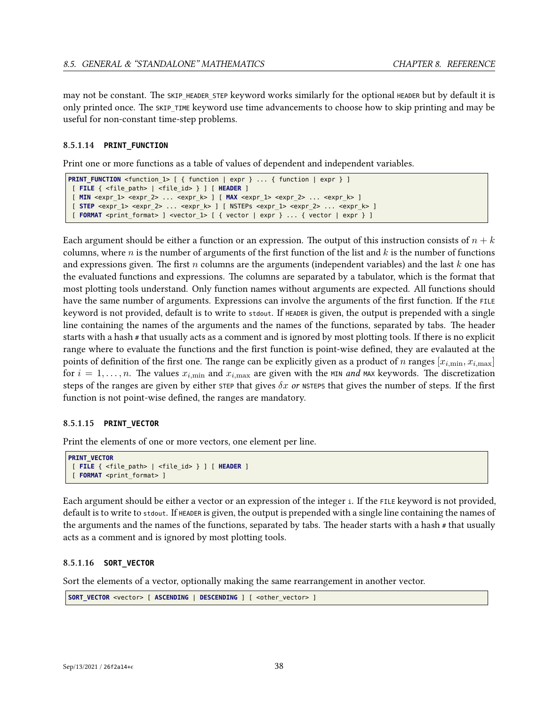may not be constant. The SKIP HEADER STEP keyword works similarly for the optional HEADER but by default it is only printed once. The SKIP\_TIME keyword use time advancements to choose how to skip printing and may be useful for non-constant time-step problems.

## **8.5.1.14 PRINT\_FUNCTION**

Print one or more functions as a table of values of dependent and independent variables.

```
PRINT_FUNCTION <function_1> [ { function | expr } ... { function | expr } ]
[ FILE { <file_path> | <file_id> } ] [ HEADER ]
[ MIN <expr_1> <expr_2> ... <expr_k> ] [ MAX <expr_1> <expr_2> ... <expr_k> ]
[ STEP <expr_1> <expr_2> ... <expr_k> ] [ NSTEPs <expr_1> <expr_2> ... <expr_k> ]
[ FORMAT <print_format> ] <vector_1> [ { vector | expr } ... { vector | expr } ]
```
Each argument should be either a function or an expression. The output of this instruction consists of  $n + k$ columns, where *n* is the number of arguments of the first function of the list and *k* is the number of functions and expressions given. The first *n* columns are the arguments (independent variables) and the last *k* one has the evaluated functions and expressions. The columns are separated by a tabulator, which is the format that most plotting tools understand. Only function names without arguments are expected. All functions should have the same number of arguments. Expressions can involve the arguments of the first function. If the FILE keyword is not provided, default is to write to stdout. If HEADER is given, the output is prepended with a single line containing the names of the arguments and the names of the functions, separated by tabs. The header starts with a hash # that usually acts as a comment and is ignored by most plotting tools. If there is no explicit range where to evaluate the functions and the first function is point-wise defined, they are evalauted at the points of definition of the first one. The range can be explicitly given as a product of *n* ranges  $[x_{i,\min}, x_{i,\max}]$ for  $i = 1, \ldots, n$ . The values  $x_{i,\text{min}}$  and  $x_{i,\text{max}}$  are given with the MIN *and* MAX keywords. The discretization steps of the ranges are given by either  $\sigma$  are that gives  $\delta x$  *or* NSTEPS that gives the number of steps. If the first function is not point-wise defined, the ranges are mandatory.

## **8.5.1.15 PRINT\_VECTOR**

Print the elements of one or more vectors, one element per line.

```
PRINT_VECTOR
[ FILE { <file_path> | <file_id> } ] [ HEADER ]
[ FORMAT <print_format> ]
```
Each argument should be either a vector or an expression of the integer <sup>i</sup>. If the FILE keyword is not provided, default is to write to stdout. If HEADER is given, the output is prepended with a single line containing the names of the arguments and the names of the functions, separated by tabs. The header starts with a hash # that usually acts as a comment and is ignored by most plotting tools.

## **8.5.1.16 SORT\_VECTOR**

Sort the elements of a vector, optionally making the same rearrangement in another vector.

```
SORT_VECTOR <vector> [ ASCENDING | DESCENDING ] [ <other_vector> ]
```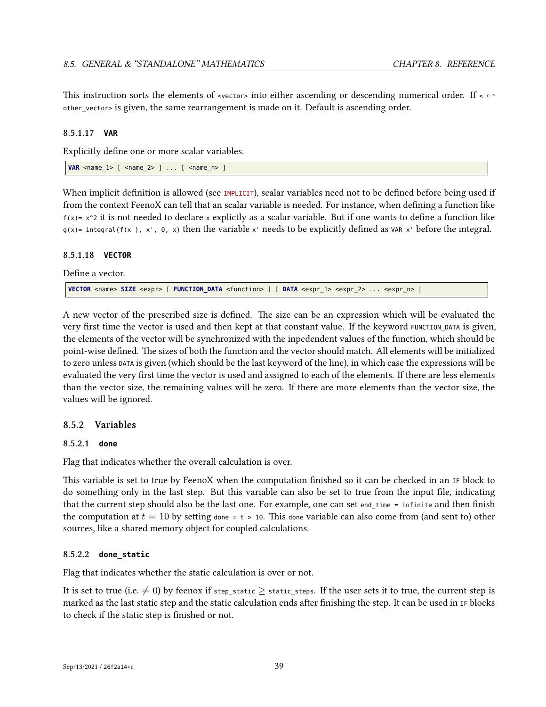This instruction sorts the elements of <vector> into either ascending or descending numerical order. If <sup>&</sup>lt; *<sup>←</sup>* other\_vector> is given, the same rearrangement is made on it. Default is ascending order.

## **8.5.1.17 VAR**

Explicitly define one or more scalar variables.

```
VAR <name_1> [ <name_2> ] ... [ <name_n> ]
```
When implicit definition is allowed (see [IMPLICIT](#page-40-0)), scalar variables need not to be defined before being used if from the context FeenoX can tell that an scalar variable is needed. For instance, when defining a function like  $f(x) = x^2$  it is not needed to declare x explictly as a scalar variable. But if one wants to define a function like  $g(x)$ = integral(f(x'), x', 0, x) then the variable x' needs to be explicitly defined as VAR x' before the integral.

## **8.5.1.18 VECTOR**

Define a vector.

**VECTOR** <name> **SIZE** <expr> [ **FUNCTION\_DATA** <function> ] [ **DATA** <expr\_1> <expr\_2> ... <expr\_n> |

A new vector of the prescribed size is defined. The size can be an expression which will be evaluated the very first time the vector is used and then kept at that constant value. If the keyword FUNCTION\_DATA is given, the elements of the vector will be synchronized with the inpedendent values of the function, which should be point-wise defined. The sizes of both the function and the vector should match. All elements will be initialized to zero unless DATA is given (which should be the last keyword of the line), in which case the expressions will be evaluated the very first time the vector is used and assigned to each of the elements. If there are less elements than the vector size, the remaining values will be zero. If there are more elements than the vector size, the values will be ignored.

## **8.5.2 Variables**

## **8.5.2.1 done**

Flag that indicates whether the overall calculation is over.

This variable is set to true by FeenoX when the computation finished so it can be checked in an IF block to do something only in the last step. But this variable can also be set to true from the input file, indicating that the current step should also be the last one. For example, one can set end\_time = infinite and then finish the computation at  $t = 10$  by setting done = t > 10. This done variable can also come from (and sent to) other sources, like a shared memory object for coupled calculations.

## **8.5.2.2 done\_static**

Flag that indicates whether the static calculation is over or not.

It is set to true (i.e.  $\neq$  0) by feenox if step\_static  $\geq$  static\_steps. If the user sets it to true, the current step is marked as the last static step and the static calculation ends after finishing the step. It can be used in IF blocks to check if the static step is finished or not.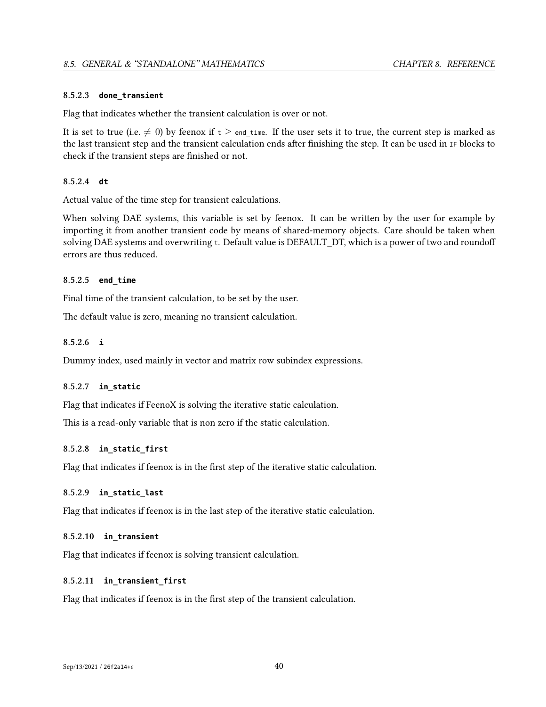#### **8.5.2.3 done\_transient**

Flag that indicates whether the transient calculation is over or not.

It is set to true (i.e.  $\neq$  0) by feenox if  $t \geq$  end time. If the user sets it to true, the current step is marked as the last transient step and the transient calculation ends after finishing the step. It can be used in IF blocks to check if the transient steps are finished or not.

## **8.5.2.4 dt**

Actual value of the time step for transient calculations.

When solving DAE systems, this variable is set by feenox. It can be written by the user for example by importing it from another transient code by means of shared-memory objects. Care should be taken when solving DAE systems and overwriting t. Default value is DEFAULT\_DT, which is a power of two and roundoff errors are thus reduced.

## **8.5.2.5 end\_time**

Final time of the transient calculation, to be set by the user.

The default value is zero, meaning no transient calculation.

#### **8.5.2.6 i**

Dummy index, used mainly in vector and matrix row subindex expressions.

## **8.5.2.7 in\_static**

Flag that indicates if FeenoX is solving the iterative static calculation.

This is a read-only variable that is non zero if the static calculation.

## **8.5.2.8 in\_static\_first**

Flag that indicates if feenox is in the first step of the iterative static calculation.

## **8.5.2.9 in\_static\_last**

Flag that indicates if feenox is in the last step of the iterative static calculation.

## **8.5.2.10 in\_transient**

Flag that indicates if feenox is solving transient calculation.

## **8.5.2.11 in\_transient\_first**

Flag that indicates if feenox is in the first step of the transient calculation.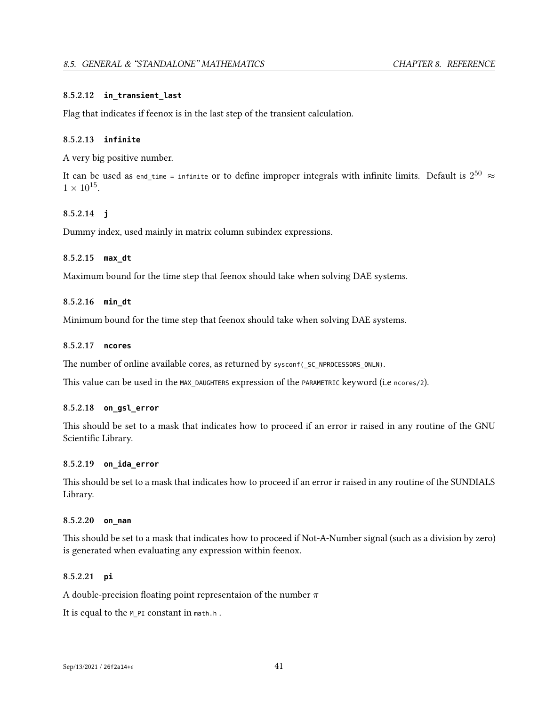## **8.5.2.12 in\_transient\_last**

Flag that indicates if feenox is in the last step of the transient calculation.

## **8.5.2.13 infinite**

A very big positive number.

It can be used as end\_time = infinite or to define improper integrals with infinite limits. Default is  $2^{50}$   $\approx$  $1 \times 10^{15}$ .

## **8.5.2.14 j**

Dummy index, used mainly in matrix column subindex expressions.

## **8.5.2.15 max\_dt**

Maximum bound for the time step that feenox should take when solving DAE systems.

#### **8.5.2.16 min\_dt**

Minimum bound for the time step that feenox should take when solving DAE systems.

## **8.5.2.17 ncores**

The number of online available cores, as returned by sysconf( SC\_NPROCESSORS\_ONLN).

This value can be used in the MAX DAUGHTERS expression of the PARAMETRIC keyword (i.e ncores/2).

## **8.5.2.18 on\_gsl\_error**

This should be set to a mask that indicates how to proceed if an error ir raised in any routine of the GNU Scientific Library.

#### **8.5.2.19 on\_ida\_error**

This should be set to a mask that indicates how to proceed if an error ir raised in any routine of the SUNDIALS Library.

#### **8.5.2.20 on\_nan**

This should be set to a mask that indicates how to proceed if Not-A-Number signal (such as a division by zero) is generated when evaluating any expression within feenox.

## **8.5.2.21 pi**

A double-precision floating point representaion of the number *π*

It is equal to the M\_PI constant in math.h.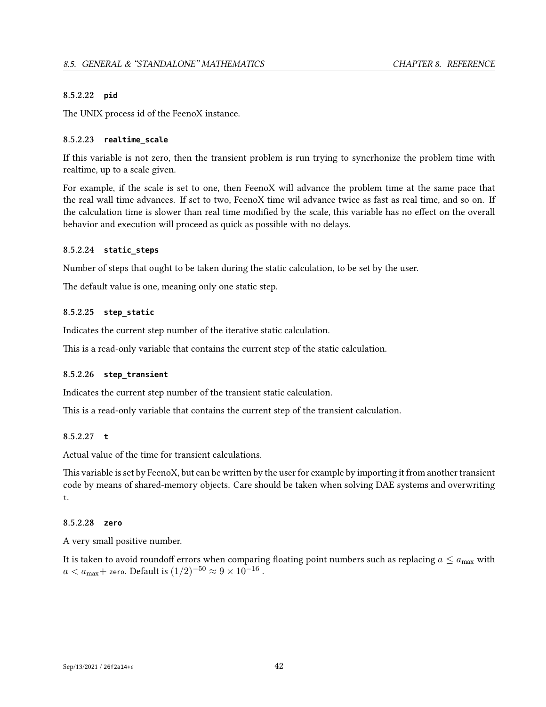## **8.5.2.22 pid**

The UNIX process id of the FeenoX instance.

## **8.5.2.23 realtime\_scale**

If this variable is not zero, then the transient problem is run trying to syncrhonize the problem time with realtime, up to a scale given.

For example, if the scale is set to one, then FeenoX will advance the problem time at the same pace that the real wall time advances. If set to two, FeenoX time wil advance twice as fast as real time, and so on. If the calculation time is slower than real time modified by the scale, this variable has no effect on the overall behavior and execution will proceed as quick as possible with no delays.

## **8.5.2.24 static\_steps**

Number of steps that ought to be taken during the static calculation, to be set by the user.

The default value is one, meaning only one static step.

## **8.5.2.25 step\_static**

Indicates the current step number of the iterative static calculation.

This is a read-only variable that contains the current step of the static calculation.

#### **8.5.2.26 step\_transient**

Indicates the current step number of the transient static calculation.

This is a read-only variable that contains the current step of the transient calculation.

## **8.5.2.27 t**

Actual value of the time for transient calculations.

This variable is set by FeenoX, but can be written by the user for example by importing it from another transient code by means of shared-memory objects. Care should be taken when solving DAE systems and overwriting t.

## **8.5.2.28 zero**

A very small positive number.

It is taken to avoid roundoff errors when comparing floating point numbers such as replacing  $a \le a_{\text{max}}$  with  $a < a_{\text{max}} +$  zero. Default is  $(1/2)^{-50} \approx 9 \times 10^{-16}$  .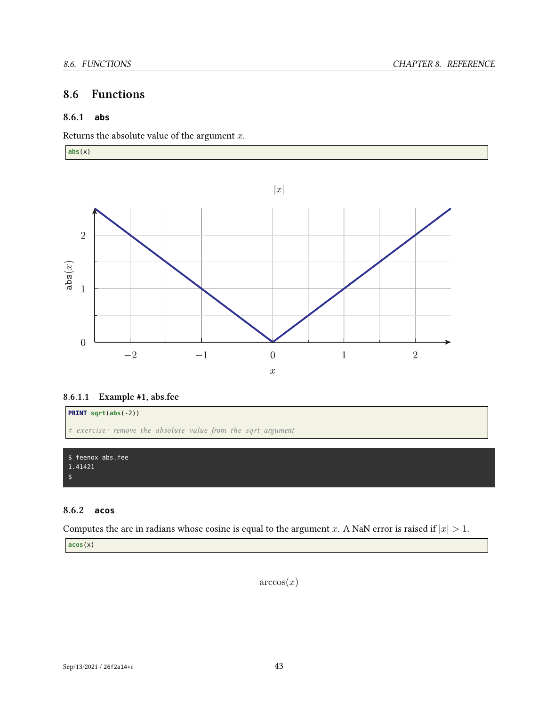# **8.6 Functions**

## **8.6.1 abs**

Returns the absolute value of the argument *x*.

**abs**(x)



## **8.6.1.1 Example #1, abs.fee**



## **8.6.2 acos**

Computes the arc in radians whose cosine is equal to the argument *x*. A NaN error is raised if  $|x| > 1$ .

**acos**(x)

 $arccos(x)$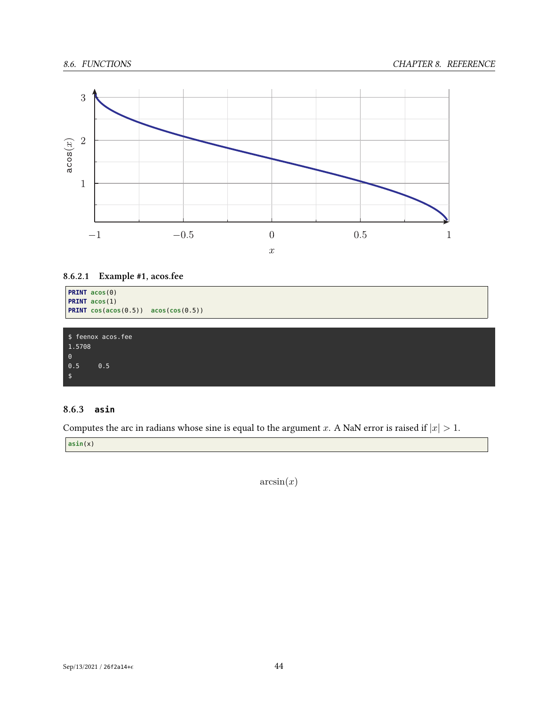

## **8.6.2.1 Example #1, acos.fee**

```
PRINT acos(0)
PRINT acos(1)
PRINT cos(acos(0.5)) acos(cos(0.5))
```
\$ feenox acos.fee 1.5708  $\theta$ 0.5 0.5 \$

## **8.6.3 asin**

Computes the arc in radians whose sine is equal to the argument *x*. A NaN error is raised if  $|x| > 1$ .

**asin**(x)

 $arcsin(x)$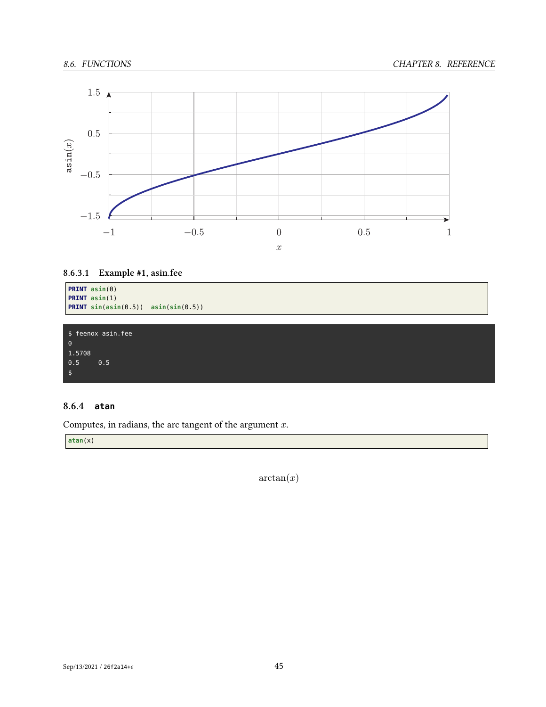

## **8.6.3.1 Example #1, asin.fee**

```
PRINT asin(0)
PRINT asin(1)
PRINT sin(asin(0.5)) asin(sin(0.5))
```
\$ feenox asin.fee 1.5708 0.5 0.5 \$

## **8.6.4 atan**

Computes, in radians, the arc tangent of the argument *x*.

**atan**(x)

arctan(*x*)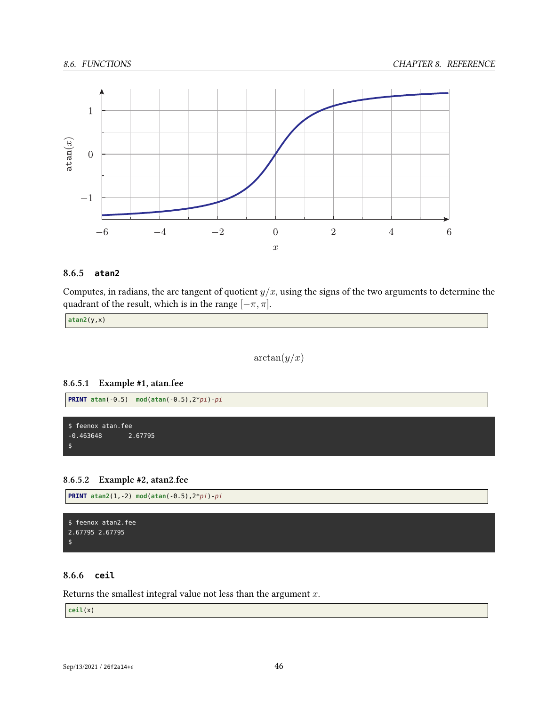

## **8.6.5 atan2**

Computes, in radians, the arc tangent of quotient  $y/x$ , using the signs of the two arguments to determine the quadrant of the result, which is in the range  $[-\pi, \pi]$ .

**atan2**(y,x)

 $arctan(y/x)$ 

## **8.6.5.1 Example #1, atan.fee**



## **8.6.5.2 Example #2, atan2.fee**

**PRINT atan2**(1,-2) **mod**(**atan**(-0.5),2\**pi*)-*pi*

```
$ feenox atan2.fee
2.67795 2.67795
$
```
## **8.6.6 ceil**

Returns the smallest integral value not less than the argument *x*.

**ceil**(x)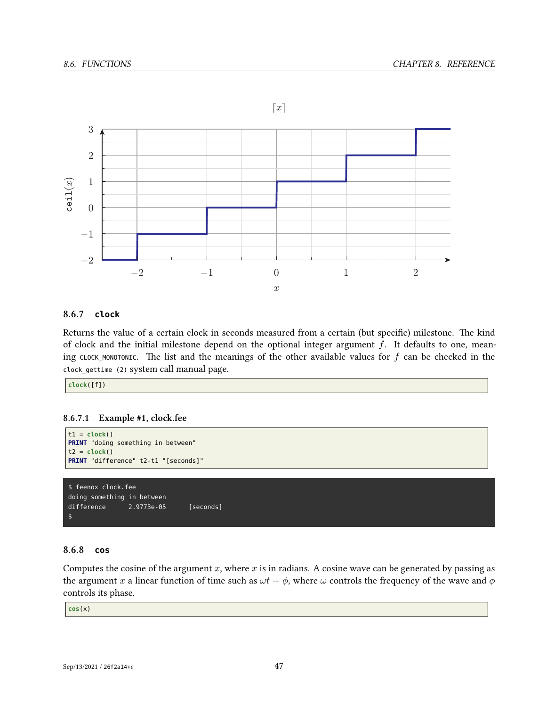

## **8.6.7 clock**

Returns the value of a certain clock in seconds measured from a certain (but specific) milestone. The kind of clock and the initial milestone depend on the optional integer argument *f*. It defaults to one, meaning CLOCK\_MONOTONIC. The list and the meanings of the other available values for *f* can be checked in the clock\_gettime (2) system call manual page.

**clock**([f])

## **8.6.7.1 Example #1, clock.fee**

```
t1 = clock()PRINT "doing something in between"
t2 = clock()PRINT "difference" t2-t1 "[seconds]"
$ feenox clock.fee
doing something in between
difference 2.9773e-05 [seconds]
```
## **8.6.8 cos**

\$

Computes the cosine of the argument *x*, where *x* is in radians. A cosine wave can be generated by passing as the argument *x* a linear function of time such as  $\omega t + \phi$ , where  $\omega$  controls the frequency of the wave and  $\phi$ controls its phase.

**cos**(x)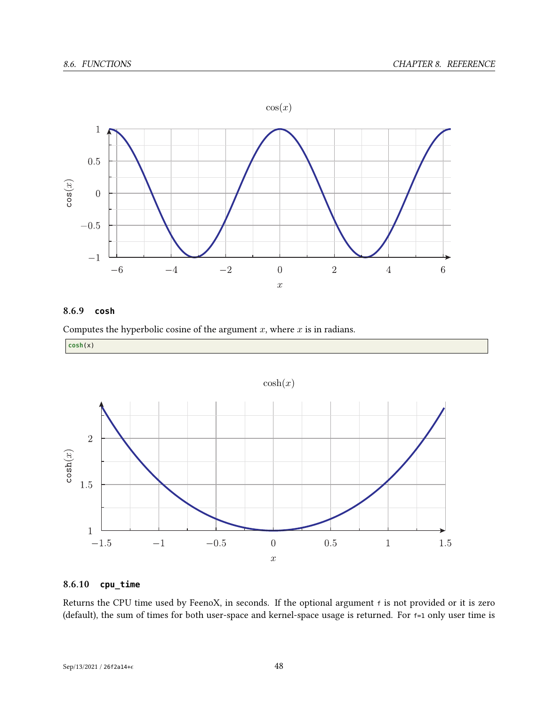

## **8.6.9 cosh**



**cosh**(x)

 $cosh(x)$  $\overline{2}$  $\mathtt{cosh}(x)$  $1.5$  $\overline{1}$  $-1.5\,$  $-1$  $-0.5\,$  $\overline{0}$  $0.5\,$  $\mathbf{1}$ 1.5  $\bar{x}$ 

# **8.6.10 cpu\_time**

Returns the CPU time used by FeenoX, in seconds. If the optional argument <sup>f</sup> is not provided or it is zero (default), the sum of times for both user-space and kernel-space usage is returned. For f=1 only user time is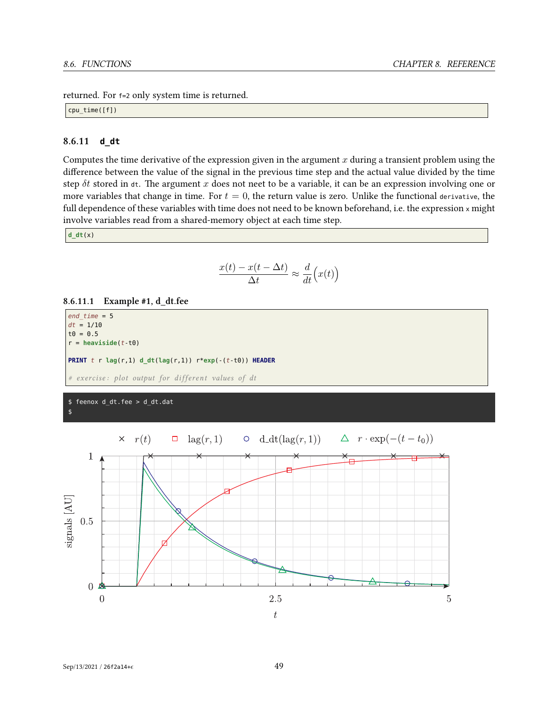returned. For f=2 only system time is returned.

cpu\_time([f])

## **8.6.11 d\_dt**

Computes the time derivative of the expression given in the argument *x* during a transient problem using the difference between the value of the signal in the previous time step and the actual value divided by the time step *δt* stored in dt. The argument *x* does not neet to be a variable, it can be an expression involving one or more variables that change in time. For  $t = 0$ , the return value is zero. Unlike the functional derivative, the full dependence of these variables with time does not need to be known beforehand, i.e. the expression x might involve variables read from a shared-memory object at each time step.

**d\_dt**(x)

$$
\frac{x(t) - x(t - \Delta t)}{\Delta t} \approx \frac{d}{dt} (x(t))
$$

## **8.6.11.1 Example #1, d\_dt.fee**

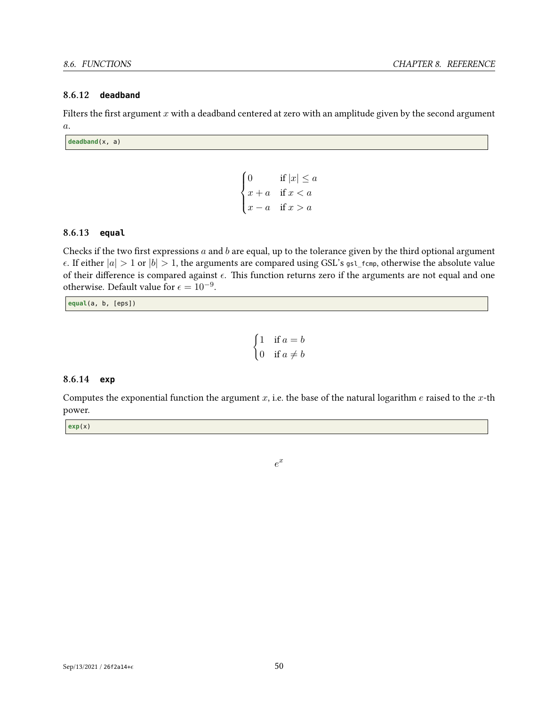## **8.6.12 deadband**

Filters the first argument *x* with a deadband centered at zero with an amplitude given by the second argument *a*.

**deadband**(x, a)

$$
\begin{cases} 0 & \text{if } |x| \le a \\ x + a & \text{if } x < a \\ x - a & \text{if } x > a \end{cases}
$$

## **8.6.13 equal**

Checks if the two first expressions *a* and *b* are equal, up to the tolerance given by the third optional argument  $\epsilon$ . If either  $|a| > 1$  or  $|b| > 1$ , the arguments are compared using GSL's gsl\_fcmp, otherwise the absolute value of their difference is compared against  $\epsilon$ . This function returns zero if the arguments are not equal and one otherwise. Default value for  $\epsilon = 10^{-9}$ .

**equal**(a, b, [eps])

$$
\begin{cases} 1 & \text{if } a = b \\ 0 & \text{if } a \neq b \end{cases}
$$

### **8.6.14 exp**

Computes the exponential function the argument *x*, i.e. the base of the natural logarithm *e* raised to the *x*-th power.

**exp**(x)

*e x*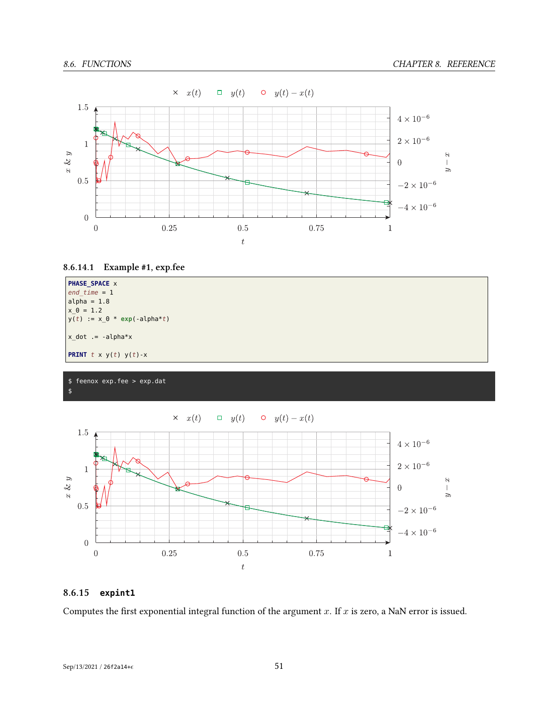







 $\times x(t)$  $\Box$  y(t)  $0 \t y(t) - x(t)$ 



## **8.6.15 expint1**

Computes the first exponential integral function of the argument *x*. If *x* is zero, a NaN error is issued.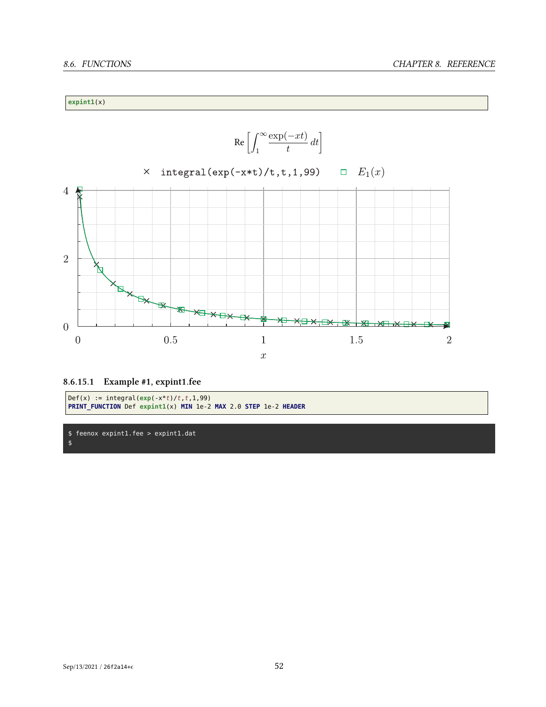## **expint1**(x)



**<sup>8.6.15.1</sup> Example #1, expint1.fee**

```
\left[Def(x) := integral(exp(-x*t)/t, t, 1,99)\right]PRINT_FUNCTION Def expint1(x) MIN 1e-2 MAX 2.0 STEP 1e-2 HEADER
```
\$ feenox expint1.fee > expint1.dat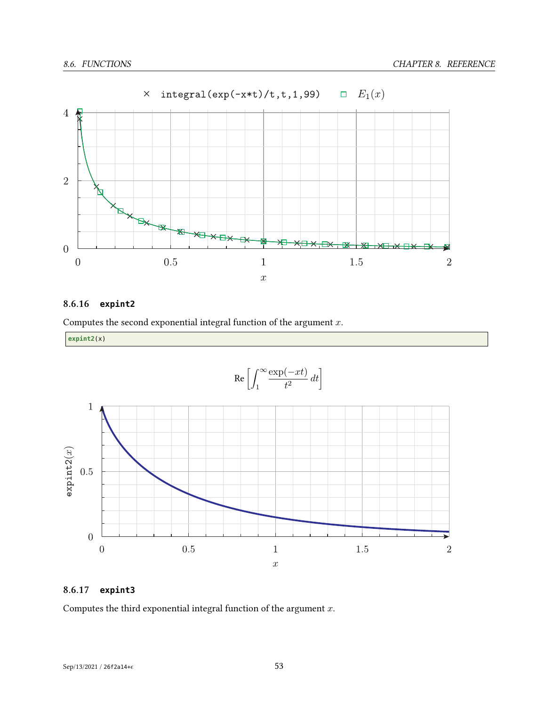

#### $\times$  integral(exp(-x\*t)/t,t,1,99)  $E_1(x)$

## **8.6.16 expint2**

Computes the second exponential integral function of the argument *x*.

**expint2**(x)



## **8.6.17 expint3**

Computes the third exponential integral function of the argument *x*.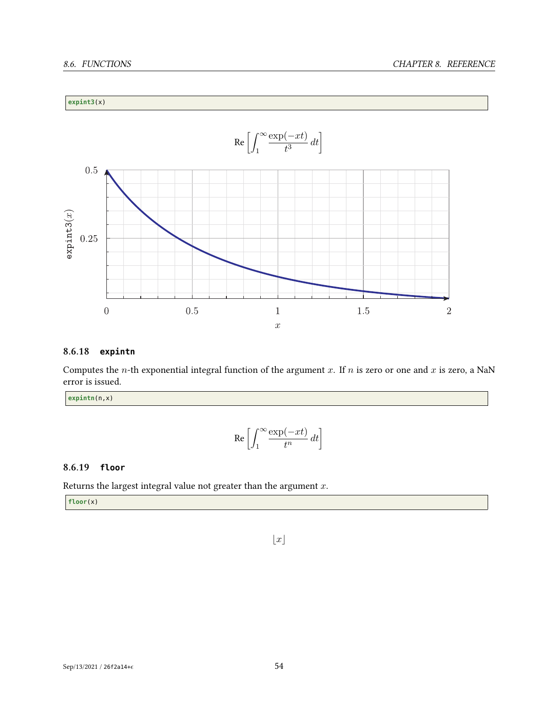## **expint3**(x)



## **8.6.18 expintn**

Computes the *n*-th exponential integral function of the argument *x*. If *n* is zero or one and *x* is zero, a NaN error is issued.

**expintn**(n,x)

$$
\operatorname{Re}\left[\int_{1}^{\infty} \frac{\exp(-xt)}{t^n} dt\right]
$$

## **8.6.19 floor**

Returns the largest integral value not greater than the argument *x*.

**floor**(x)

 $\lfloor x \rfloor$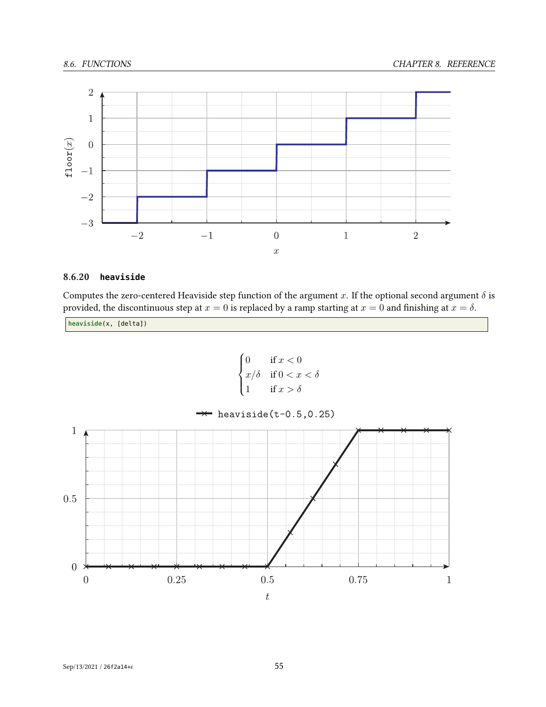

## **8.6.20 heaviside**

Computes the zero-centered Heaviside step function of the argument *x*. If the optional second argument  $\delta$  is provided, the discontinuous step at  $x = 0$  is replaced by a ramp starting at  $x = 0$  and finishing at  $x = \delta$ .

**heaviside**(x, [delta])

 0 if *x <* 0 *x/δ* if 0 *< x < δ* 1 if *x > δ*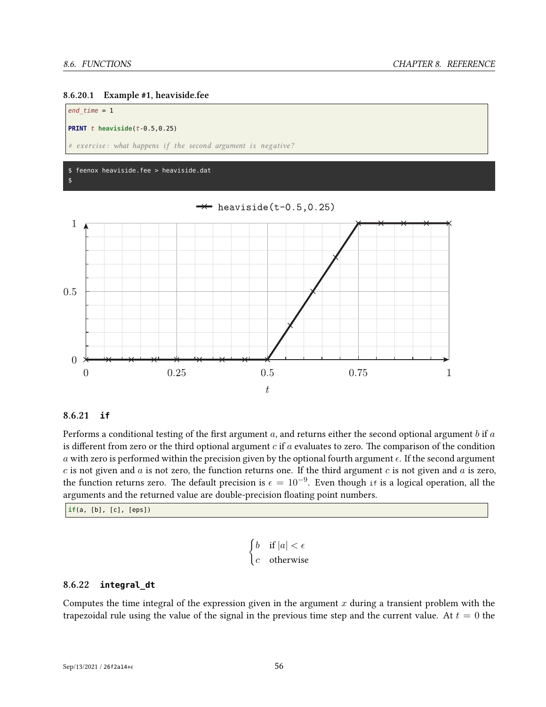



## **8.6.21 if**

Performs a conditional testing of the first argument *a*, and returns either the second optional argument *b* if *a* is different from zero or the third optional argument *c* if *a* evaluates to zero. The comparison of the condition *a* with zero is performed within the precision given by the optional fourth argument  $\epsilon$ . If the second argument *c* is not given and *a* is not zero, the function returns one. If the third argument *c* is not given and *a* is zero, the function returns zero. The default precision is  $\epsilon = 10^{-9}$ . Even though if is a logical operation, all the arguments and the returned value are double-precision floating point numbers.

 $\overline{t}$ 

**if**(a, [b], [c], [eps])

$$
\begin{cases} b & \text{if } |a| < \epsilon \\ c & \text{otherwise} \end{cases}
$$

## **8.6.22 integral\_dt**

Computes the time integral of the expression given in the argument *x* during a transient problem with the trapezoidal rule using the value of the signal in the previous time step and the current value. At  $t = 0$  the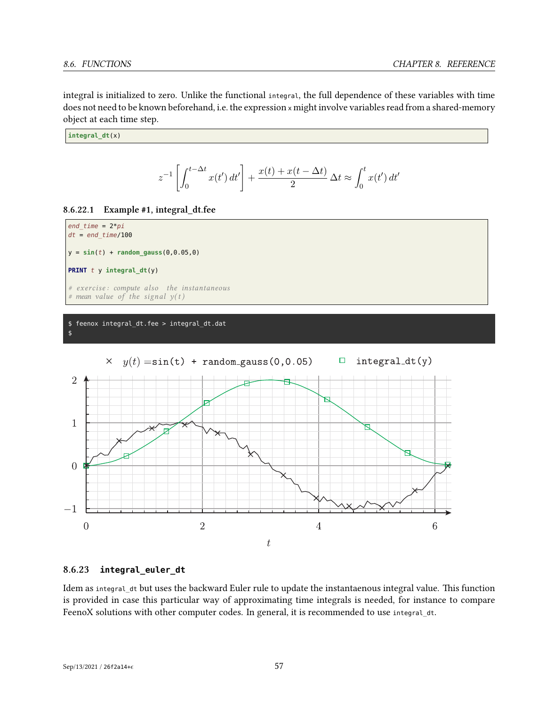integral is initialized to zero. Unlike the functional integral, the full dependence of these variables with time does not need to be known beforehand, i.e. the expression <sup>x</sup> might involve variables read from a shared-memory object at each time step.

**integral\_dt**(x)

$$
z^{-1}\left[\int_0^{t-\Delta t} x(t') dt'\right] + \frac{x(t) + x(t - \Delta t)}{2} \Delta t \approx \int_0^t x(t') dt'
$$





#### \$ feenox integral\_dt.fee > integral\_dt.dat \$



## **8.6.23 integral\_euler\_dt**

Idem as integral\_dt but uses the backward Euler rule to update the instantaenous integral value. This function is provided in case this particular way of approximating time integrals is needed, for instance to compare FeenoX solutions with other computer codes. In general, it is recommended to use integral\_dt.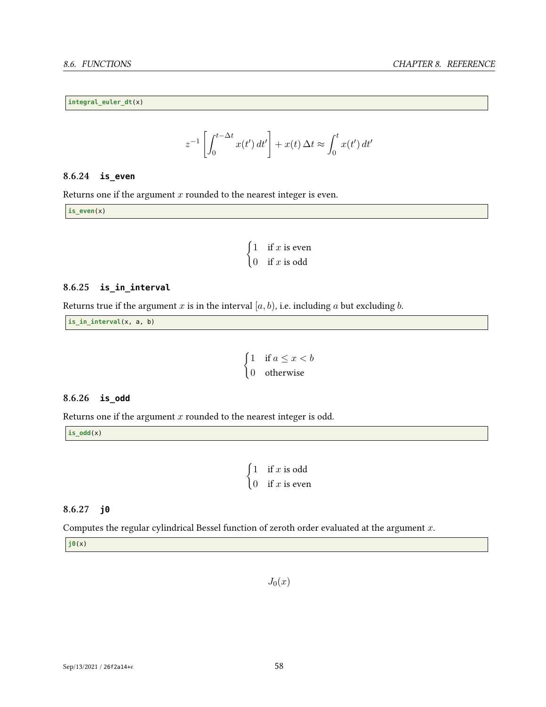**integral\_euler\_dt**(x)

$$
z^{-1}\left[\int_0^{t-\Delta t} x(t') dt'\right] + x(t) \, \Delta t \approx \int_0^t x(t') dt'
$$

## **8.6.24 is\_even**

Returns one if the argument *x* rounded to the nearest integer is even.

**is\_even**(x)

$$
\begin{cases} 1 & \text{if } x \text{ is even} \\ 0 & \text{if } x \text{ is odd} \end{cases}
$$

## **8.6.25 is\_in\_interval**

Returns true if the argument  $x$  is in the interval  $[a, b)$ , i.e. including  $a$  but excluding  $b$ .

**is\_in\_interval**(x, a, b)

$$
\begin{cases} 1 & \text{if } a \leq x < b \\ 0 & \text{otherwise} \end{cases}
$$

## **8.6.26 is\_odd**

Returns one if the argument *x* rounded to the nearest integer is odd.

**is\_odd**(x)

$$
\begin{cases} 1 & \text{if } x \text{ is odd} \\ 0 & \text{if } x \text{ is even} \end{cases}
$$

## **8.6.27 j0**

Computes the regular cylindrical Bessel function of zeroth order evaluated at the argument *x*.

**j0**(x)

*J*0(*x*)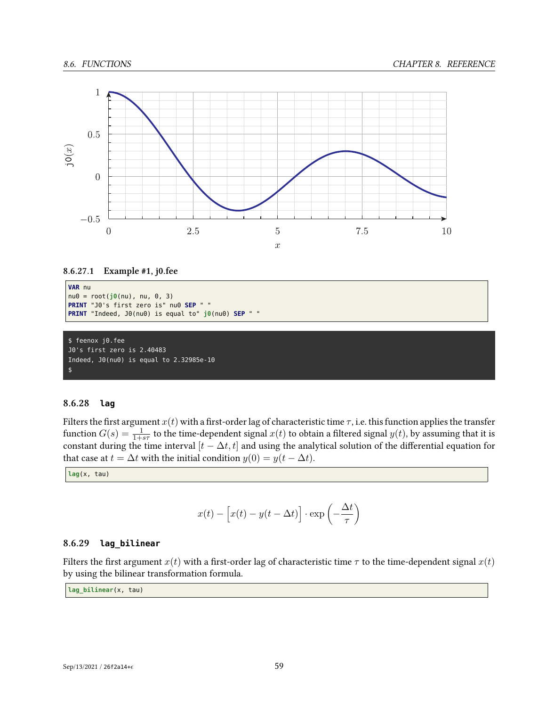

## **8.6.27.1 Example #1, j0.fee**

```
VAR nu
nu0 = root(j0(nu), nu, 0, 3)
PRINT "J0's first zero is" nu0 SEP " "
PRINT "Indeed, J0(nu0) is equal to" j0(nu0) SEP " "
```

```
$ feenox j0.fee
J0's first zero is 2.40483
Indeed, J0(nu0) is equal to 2.32985e-10
$
```
## **8.6.28 lag**

Filters the first argument  $x(t)$  with a first-order lag of characteristic time  $\tau$ , i.e. this function applies the transfer function  $G(s) = \frac{1}{1+s\tau}$  to the time-dependent signal  $x(t)$  to obtain a filtered signal  $y(t)$ , by assuming that it is constant during the time interval  $[t - \Delta t, t]$  and using the analytical solution of the differential equation for that case at *t* =  $\Delta t$  with the initial condition  $y(0) = y(t - \Delta t)$ .

**lag**(x, tau)

$$
x(t) - \left[x(t) - y(t - \Delta t)\right] \cdot \exp\left(-\frac{\Delta t}{\tau}\right)
$$

## **8.6.29 lag\_bilinear**

Filters the first argument  $x(t)$  with a first-order lag of characteristic time  $\tau$  to the time-dependent signal  $x(t)$ by using the bilinear transformation formula.

**lag\_bilinear**(x, tau)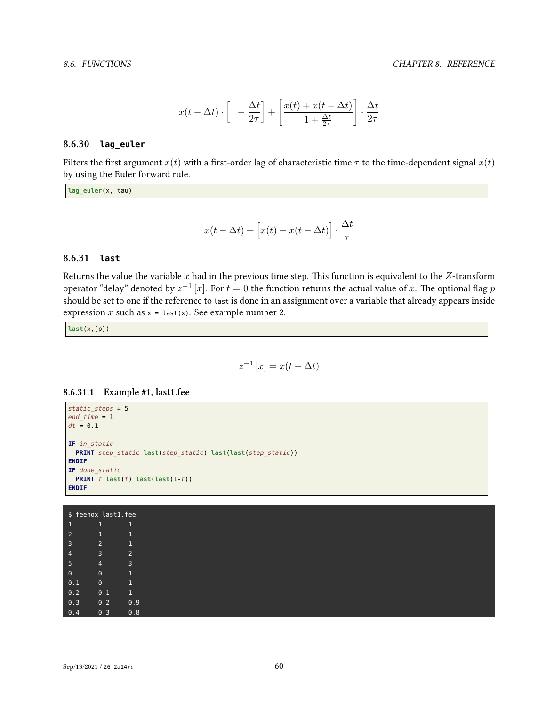$$
x(t-\Delta t) \cdot \left[1-\frac{\Delta t}{2\tau}\right] + \left[\frac{x(t)+x(t-\Delta t)}{1+\frac{\Delta t}{2\tau}}\right] \cdot \frac{\Delta t}{2\tau}
$$

## **8.6.30 lag\_euler**

Filters the first argument  $x(t)$  with a first-order lag of characteristic time  $\tau$  to the time-dependent signal  $x(t)$ by using the Euler forward rule.

**lag\_euler**(x, tau)

$$
x(t - \Delta t) + \left[x(t) - x(t - \Delta t)\right] \cdot \frac{\Delta t}{\tau}
$$

## **8.6.31 last**

Returns the value the variable *x* had in the previous time step. This function is equivalent to the *Z*-transform operator "delay" denoted by  $z^{-1}$  [ $x$ ]. For  $t=0$  the function returns the actual value of  $x$ . The optional flag  $p$ should be set to one if the reference to last is done in an assignment over a variable that already appears inside expression  $x$  such as  $x =$  last(x). See example number 2.

**last**(x,[p])

$$
z^{-1}[x] = x(t - \Delta t)
$$

## **8.6.31.1 Example #1, last1.fee**

```
static_steps = 5
end_time = 1
dt = 0.1
IF in_static
 PRINT step_static last(step_static) last(last(step_static))
ENDIF
IF done_static
PRINT t last(t) last(last(1-t))
ENDIF
```
\$ feenox last1.fee 1 1 1 2 1 1 4 3 2 5 4 3 0 0 1 0.1 0 1 0.2 0.1 1 0.3 0.2 0.9 0.4 0.3 0.8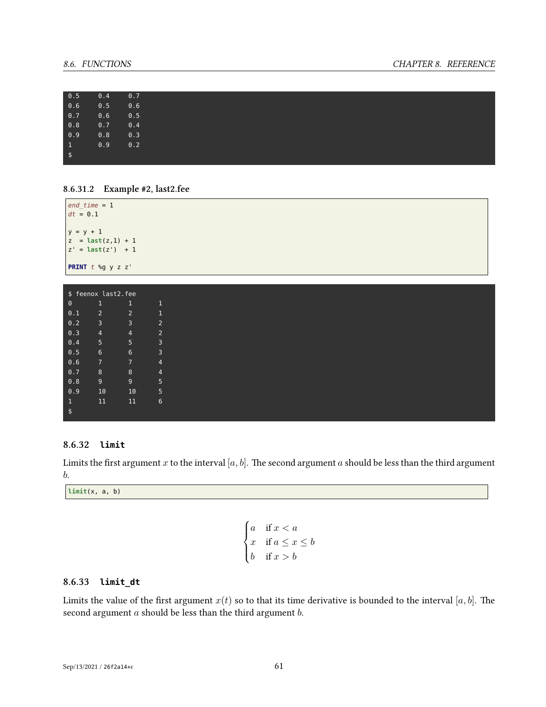## *8.6. FUNCTIONS CHAPTER 8. REFERENCE*

| 0.5             | 0.4 | 0.7 |
|-----------------|-----|-----|
| 0.6             | 0.5 | 0.6 |
|                 |     |     |
| 0.7             | 0.6 | 0.5 |
| 0.8             | 0.7 | 0.4 |
| 0.9             | 0.8 | 0.3 |
| $\vert 1 \vert$ | 0.9 | 0.2 |
| $\sqrt{ }$      |     |     |
|                 |     |     |



| $ $ end time = $1$<br>$dt = 0.1$                                          |  |  |  |  |  |  |  |
|---------------------------------------------------------------------------|--|--|--|--|--|--|--|
| $y = y + 1$<br>$ z = \text{last}(z,1) + 1$<br>$ z' = \text{last}(z') + 1$ |  |  |  |  |  |  |  |
| <b>PRINT</b> $t$ %g $y$ z $z'$                                            |  |  |  |  |  |  |  |

| \$ feenox last2.fee       |                |                |                |  |  |  |  |
|---------------------------|----------------|----------------|----------------|--|--|--|--|
| $\Theta$                  | 1              | 1              | 1              |  |  |  |  |
| 0.1                       | $\overline{2}$ | $\overline{2}$ | 1              |  |  |  |  |
| 0.2                       | 3              | 3              | $\overline{2}$ |  |  |  |  |
| $0.\overline{3}$          | $\overline{4}$ | 4              | $\overline{2}$ |  |  |  |  |
| 0.4                       | 5              | 5              | 3              |  |  |  |  |
| 0.5                       | 6              | 6              | 3              |  |  |  |  |
| $0.\overline{6}$          | 7              | 7              | 4              |  |  |  |  |
| 0.7                       | 8              | 8              | 4              |  |  |  |  |
| 0.8                       | 9              | 9              | 5              |  |  |  |  |
| 0.9                       | 10             | 10             | 5              |  |  |  |  |
| $\mathbf 1$               | 11             | 11             | 6              |  |  |  |  |
| $\overline{\mathfrak{s}}$ |                |                |                |  |  |  |  |

## **8.6.32 limit**

Limits the first argument *x* to the interval  $[a, b]$ . The second argument *a* should be less than the third argument *b*.

**limit**(x, a, b)

$$
\begin{cases} a & \text{if } x < a \\ x & \text{if } a \leq x \leq b \\ b & \text{if } x > b \end{cases}
$$

## **8.6.33 limit\_dt**

Limits the value of the first argument  $x(t)$  so to that its time derivative is bounded to the interval [ $a, b$ ]. The second argument *a* should be less than the third argument *b*.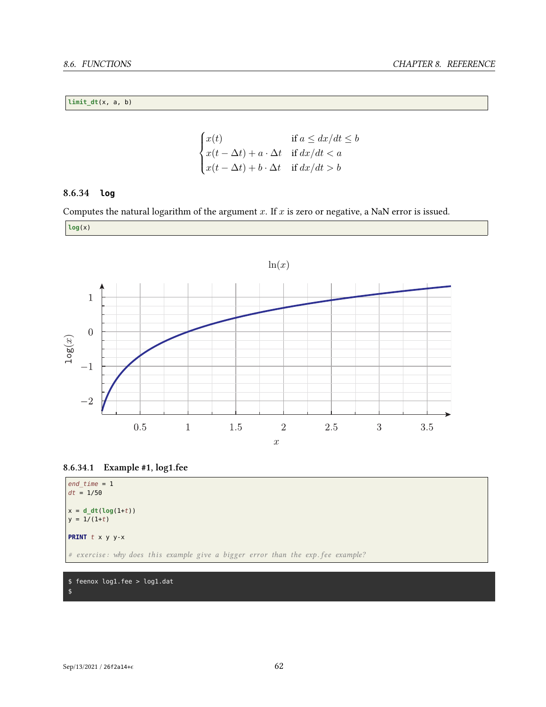## **limit\_dt**(x, a, b)

$$
\begin{cases}\nx(t) & \text{if } a \leq dx/dt \leq b \\
x(t - \Delta t) + a \cdot \Delta t & \text{if } dx/dt < a \\
x(t - \Delta t) + b \cdot \Delta t & \text{if } dx/dt > b\n\end{cases}
$$

## **8.6.34 log**

Computes the natural logarithm of the argument *x*. If *x* is zero or negative, a NaN error is issued.

 $\overline{a}$ 









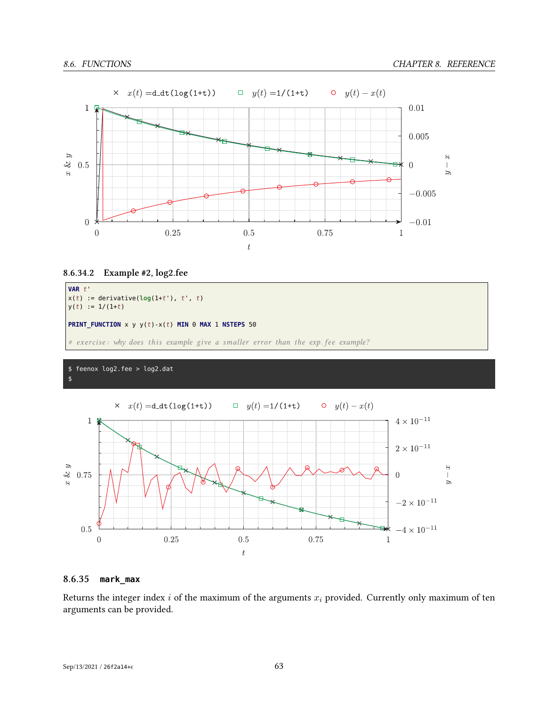

## **8.6.34.2 Example #2, log2.fee**



## \$ feenox log2.fee > log2.dat \$



## **8.6.35 mark\_max**

Returns the integer index *i* of the maximum of the arguments *x<sup>i</sup>* provided. Currently only maximum of ten arguments can be provided.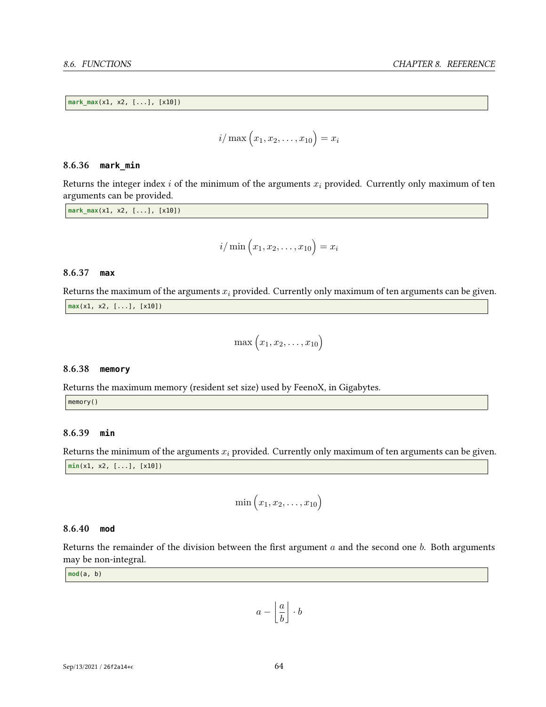**mark\_max**(x1, x2, [...], [x10])

$$
i/\max(x_1, x_2, ..., x_{10}) = x_i
$$

#### **8.6.36 mark\_min**

Returns the integer index *i* of the minimum of the arguments *x<sup>i</sup>* provided. Currently only maximum of ten arguments can be provided.

**mark\_max**(x1, x2, [...], [x10])

$$
i/\min\left(x_1,x_2,\ldots,x_{10}\right)=x_i
$$

## **8.6.37 max**

Returns the maximum of the arguments *x<sup>i</sup>* provided. Currently only maximum of ten arguments can be given. **max**(x1, x2, [...], [x10])

$$
\max(x_1, x_2, \ldots, x_{10})
$$

### **8.6.38 memory**

Returns the maximum memory (resident set size) used by FeenoX, in Gigabytes.

memory()

## **8.6.39 min**

Returns the minimum of the arguments  $x_i$  provided. Currently only maximum of ten arguments can be given. **min**(x1, x2, [...], [x10])

$$
\min\left(x_1,x_2,\ldots,x_{10}\right)
$$

## **8.6.40 mod**

Returns the remainder of the division between the first argument *a* and the second one *b*. Both arguments may be non-integral.

**mod**(a, b)

$$
a - \left\lfloor \frac{a}{b} \right\rfloor \cdot b
$$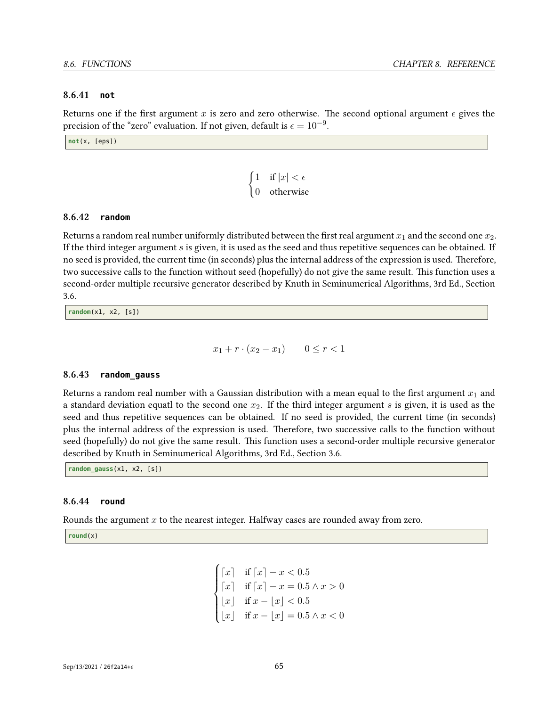## **8.6.41 not**

Returns one if the first argument x is zero and zero otherwise. The second optional argument  $\epsilon$  gives the precision of the "zero" evaluation. If not given, default is  $\epsilon = 10^{-9}$ .

**not**(x, [eps])

$$
\begin{cases} 1 & \text{if } |x| < \epsilon \\ 0 & \text{otherwise} \end{cases}
$$

## **8.6.42 random**

Returns a random real number uniformly distributed between the first real argument  $x_1$  and the second one  $x_2$ . If the third integer argument *s* is given, it is used as the seed and thus repetitive sequences can be obtained. If no seed is provided, the current time (in seconds) plus the internal address of the expression is used. Therefore, two successive calls to the function without seed (hopefully) do not give the same result. This function uses a second-order multiple recursive generator described by Knuth in Seminumerical Algorithms, 3rd Ed., Section 3.6.

**random**(x1, x2, [s])

$$
x_1 + r \cdot (x_2 - x_1) \qquad 0 \le r < 1
$$

## **8.6.43 random\_gauss**

Returns a random real number with a Gaussian distribution with a mean equal to the first argument  $x_1$  and a standard deviation equatl to the second one *x*2. If the third integer argument *s* is given, it is used as the seed and thus repetitive sequences can be obtained. If no seed is provided, the current time (in seconds) plus the internal address of the expression is used. Therefore, two successive calls to the function without seed (hopefully) do not give the same result. This function uses a second-order multiple recursive generator described by Knuth in Seminumerical Algorithms, 3rd Ed., Section 3.6.

**random\_gauss**(x1, x2, [s])

## **8.6.44 round**

Rounds the argument *x* to the nearest integer. Halfway cases are rounded away from zero.

**round**(x)

$$
\begin{cases} \lceil x \rceil & \text{if } \lceil x \rceil - x < 0.5 \\ \lceil x \rceil & \text{if } \lceil x \rceil - x = 0.5 \land x > 0 \\ \lfloor x \rfloor & \text{if } x - \lfloor x \rfloor < 0.5 \\ \lfloor x \rfloor & \text{if } x - \lfloor x \rfloor = 0.5 \land x < 0 \end{cases}
$$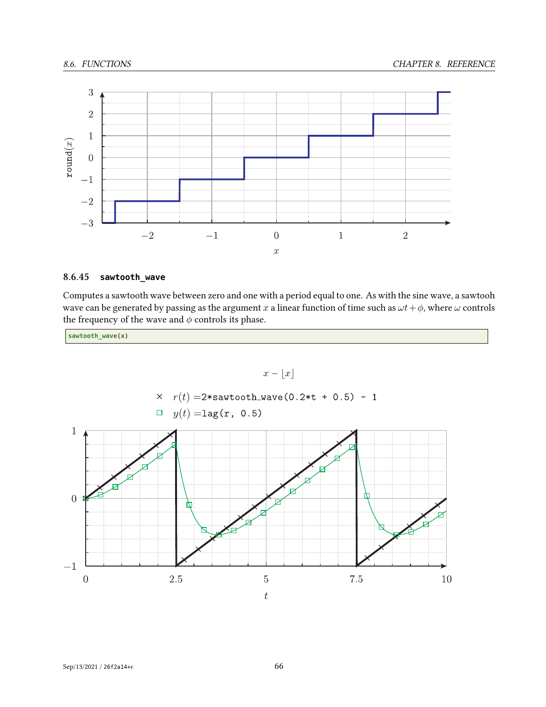

## **8.6.45 sawtooth\_wave**

Computes a sawtooth wave between zero and one with a period equal to one. As with the sine wave, a sawtooh wave can be generated by passing as the argument *x* a linear function of time such as  $\omega t + \phi$ , where  $\omega$  controls the frequency of the wave and  $\phi$  controls its phase.

**sawtooth\_wave**(x)

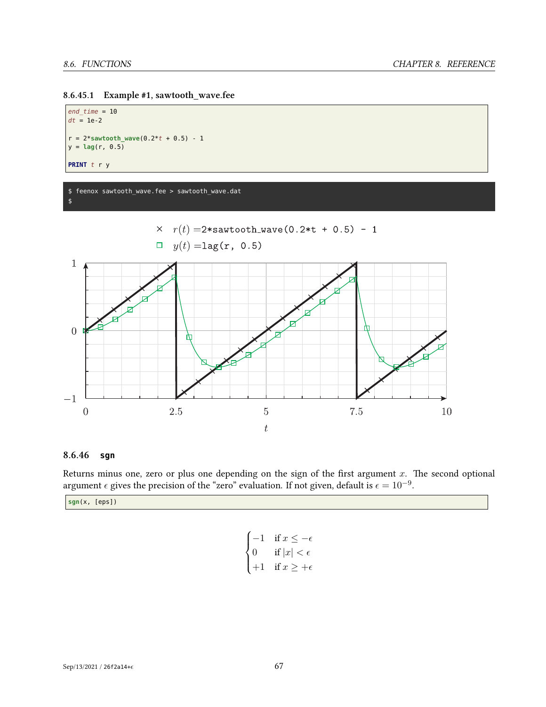

*end\_time* = 10  $dt = 1e-2$  $r = 2*$ **sawtooth\_wave**( $0.2*t + 0.5$ ) - 1  $y = \text{lag}(r, 0.5)$ **PRINT** *t* r y

#### \$ feenox sawtooth\_wave.fee > sawtooth\_wave.dat \$



## **8.6.46 sgn**

Returns minus one, zero or plus one depending on the sign of the first argument *x*. The second optional argument  $\epsilon$  gives the precision of the "zero" evaluation. If not given, default is  $\epsilon = 10^{-9}$ .

**sgn**(x, [eps])

```
\sqrt{ }\Big\}\overline{\mathcal{L}}−1 if x ≤ −
   0 if |x| < \epsilon+1 if x \geq +\epsilon
```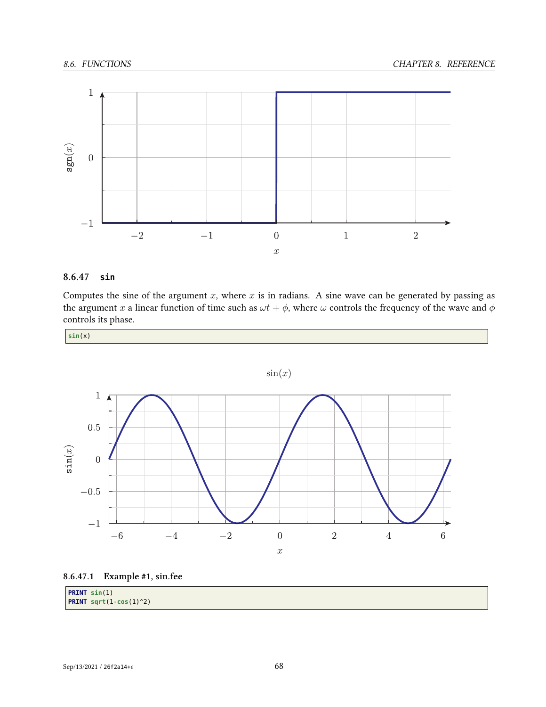

#### **8.6.47 sin**

Computes the sine of the argument  $x$ , where  $x$  is in radians. A sine wave can be generated by passing as the argument *x* a linear function of time such as  $\omega t + \phi$ , where  $\omega$  controls the frequency of the wave and  $\phi$ controls its phase.



 $sin(x)$  $\mathbf{1}$  $0.5\,$  $\sin(x)$  $\overline{0}$  $-0.5$  $-1$  $\sqrt{6}$  $-6$  $-4$  $-{\bf 2}$  $\boldsymbol{0}$  $\sqrt{2}$  $\sqrt{4}$  $\bar{x}$ 



| $ $ PRINT $sin(1)$                |  |
|-----------------------------------|--|
| <b>PRINT</b> sqrt $(1-\cos(1)^2)$ |  |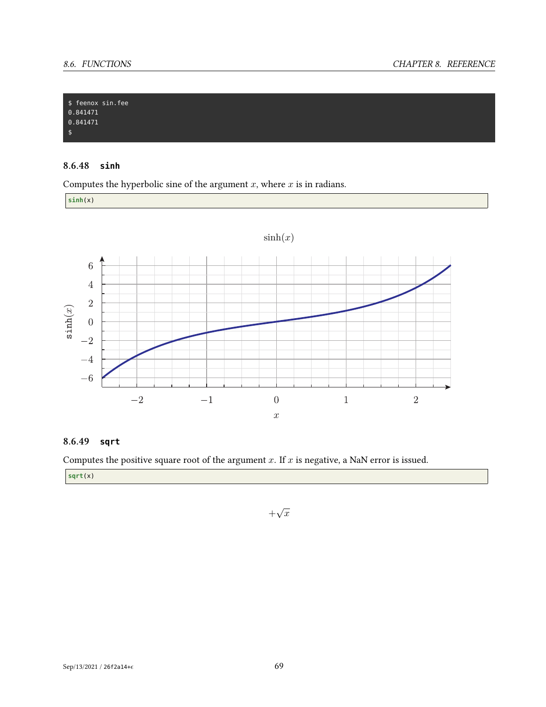

#### **8.6.48 sinh**

Computes the hyperbolic sine of the argument *x*, where *x* is in radians.

**sinh**(x)



#### **8.6.49 sqrt**

Computes the positive square root of the argument *x*. If *x* is negative, a NaN error is issued.

**sqrt**(x)

 $+\sqrt{x}$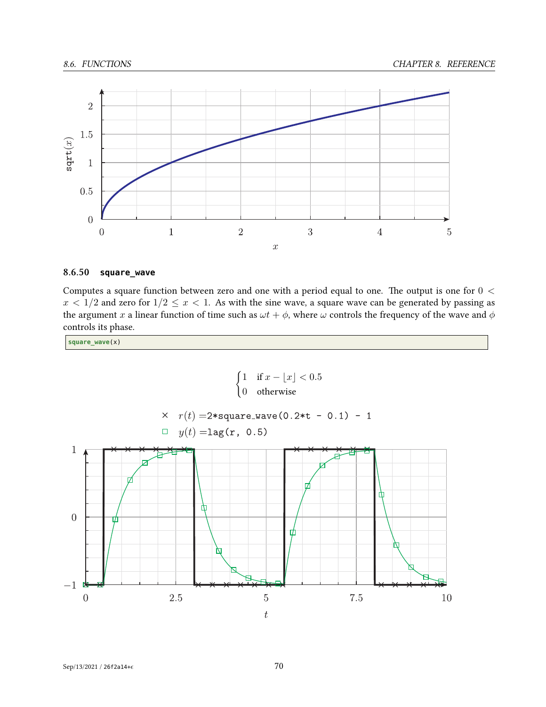

#### **8.6.50 square\_wave**

Computes a square function between zero and one with a period equal to one. The output is one for 0 *<*  $x < 1/2$  and zero for  $1/2 \le x < 1$ . As with the sine wave, a square wave can be generated by passing as the argument *x* a linear function of time such as  $\omega t + \phi$ , where  $\omega$  controls the frequency of the wave and  $\phi$ controls its phase.

**square\_wave**(x)

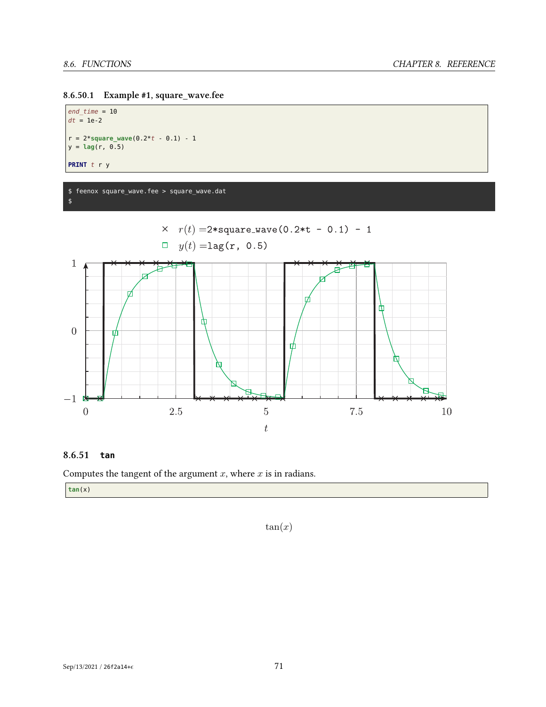

```
end_time = 10
dt = 1e-2r = 2*square_wave(0.2*t - 0.1) - 1
y = \text{lag}(r, 0.5)PRINT t r y
```
\$ feenox square\_wave.fee > square\_wave.dat \$



#### **8.6.51 tan**

Computes the tangent of the argument *x*, where *x* is in radians.

**tan**(x)

 $tan(x)$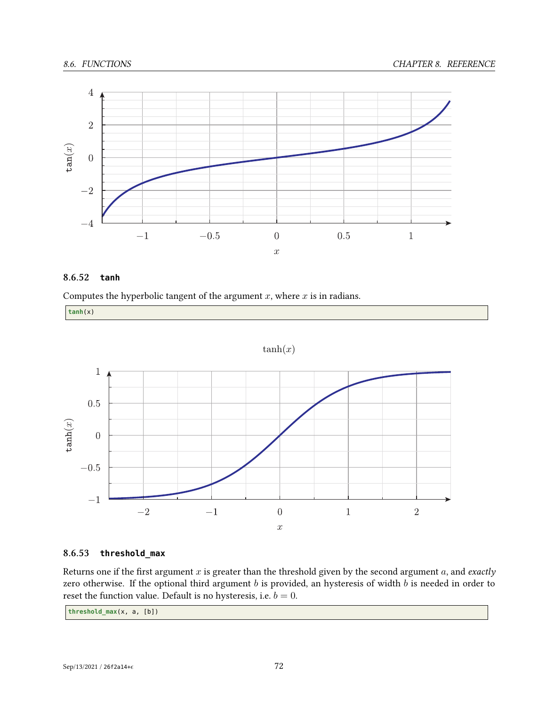

#### **8.6.52 tanh**

Computes the hyperbolic tangent of the argument *x*, where *x* is in radians.

**tanh**(x)

 $tanh(x)$ 



#### **8.6.53 threshold\_max**

Returns one if the first argument *x* is greater than the threshold given by the second argument *a*, and *exactly* zero otherwise. If the optional third argument *b* is provided, an hysteresis of width *b* is needed in order to reset the function value. Default is no hysteresis, i.e.  $b = 0$ .

**threshold\_max**(x, a, [b])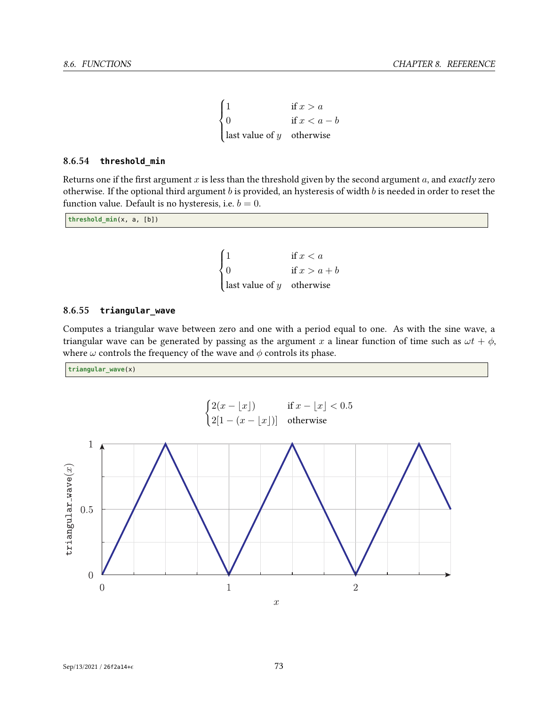$$
\begin{cases}\n1 & \text{if } x > a \\
0 & \text{if } x < a - b \\
\text{last value of } y & \text{otherwise}\n\end{cases}
$$

#### **8.6.54 threshold\_min**

Returns one if the first argument *x* is less than the threshold given by the second argument *a*, and *exactly* zero otherwise. If the optional third argument *b* is provided, an hysteresis of width *b* is needed in order to reset the function value. Default is no hysteresis, i.e.  $b = 0$ .

**threshold\_min**(x, a, [b])

 $\sqrt{ }$  $\Big\}$  $\overline{\mathcal{L}}$ 1 if  $x < a$ 0 if  $x > a + b$ last value of *y* otherwise

#### **8.6.55 triangular\_wave**

Computes a triangular wave between zero and one with a period equal to one. As with the sine wave, a triangular wave can be generated by passing as the argument *x* a linear function of time such as  $\omega t + \phi$ , where  $\omega$  controls the frequency of the wave and  $\phi$  controls its phase.

**triangular\_wave**(x)

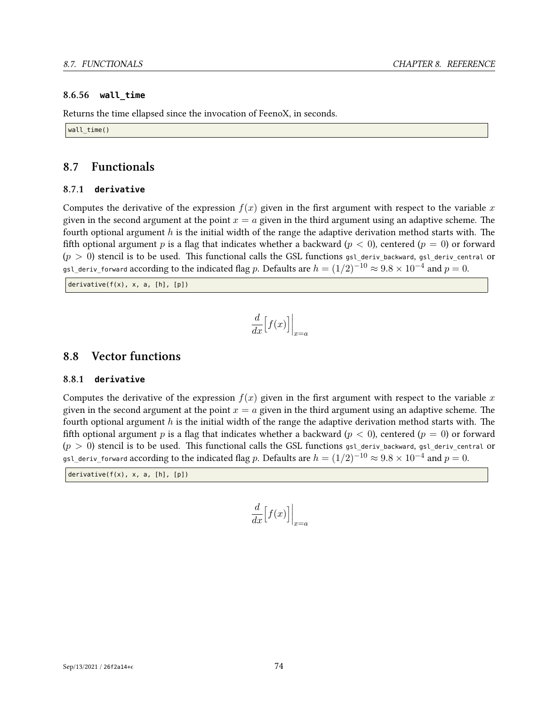#### **8.6.56 wall\_time**

Returns the time ellapsed since the invocation of FeenoX, in seconds.

wall time()

#### **8.7 Functionals**

#### **8.7.1 derivative**

Computes the derivative of the expression  $f(x)$  given in the first argument with respect to the variable x given in the second argument at the point  $x = a$  given in the third argument using an adaptive scheme. The fourth optional argument *h* is the initial width of the range the adaptive derivation method starts with. The fifth optional argument p is a flag that indicates whether a backward  $(p < 0)$ , centered  $(p = 0)$  or forward  $(p > 0)$  stencil is to be used. This functional calls the GSL functions gsl\_deriv\_backward, gsl\_deriv\_central or gsl\_deriv\_forward according to the indicated flag *<sup>p</sup>*. Defaults are *<sup>h</sup>* = (1*/*2)*−*<sup>10</sup> *<sup>≈</sup>* <sup>9</sup>*.*<sup>8</sup> *<sup>×</sup>* <sup>10</sup>*−*<sup>4</sup> and *p* = 0.

derivative( $f(x)$ , x, a,  $[h]$ ,  $[p]$ )

$$
\frac{d}{dx}\Big[f(x)\Big]\Big|_{x=a}
$$

#### **8.8 Vector functions**

#### **8.8.1 derivative**

Computes the derivative of the expression  $f(x)$  given in the first argument with respect to the variable x given in the second argument at the point  $x = a$  given in the third argument using an adaptive scheme. The fourth optional argument *h* is the initial width of the range the adaptive derivation method starts with. The fifth optional argument p is a flag that indicates whether a backward  $(p < 0)$ , centered  $(p = 0)$  or forward  $(p > 0)$  stencil is to be used. This functional calls the GSL functions gsl\_deriv\_backward, gsl\_deriv\_central or gsl\_deriv\_forward according to the indicated flag *<sup>p</sup>*. Defaults are *<sup>h</sup>* = (1*/*2)*−*<sup>10</sup> *<sup>≈</sup>* <sup>9</sup>*.*<sup>8</sup> *<sup>×</sup>* <sup>10</sup>*−*<sup>4</sup> and *p* = 0.

derivative(f(x), x, a, [h], [p])

$$
\frac{d}{dx}\Big[f(x)\Big]\Big|_{x=a}
$$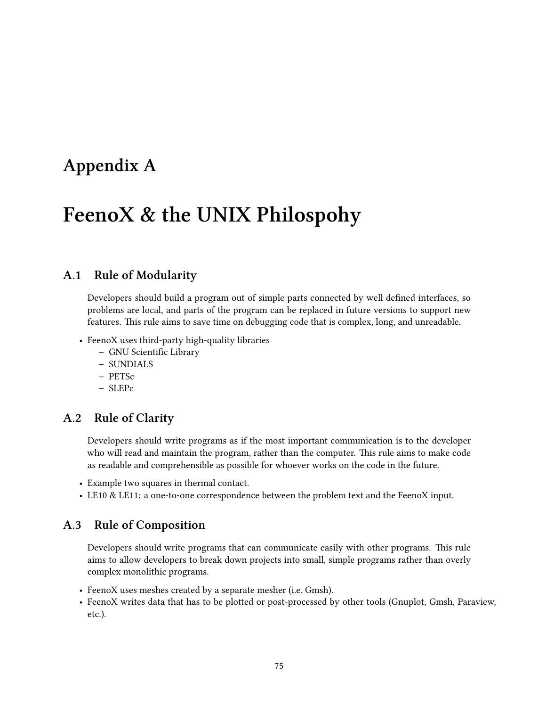# **Appendix A**

# **FeenoX & the UNIX Philospohy**

## **A.1 Rule of Modularity**

Developers should build a program out of simple parts connected by well defined interfaces, so problems are local, and parts of the program can be replaced in future versions to support new features. This rule aims to save time on debugging code that is complex, long, and unreadable.

- FeenoX uses third-party high-quality libraries
	- **–** GNU Scientific Library
	- **–** SUNDIALS
	- **–** PETSc
	- **–** SLEPc

## **A.2 Rule of Clarity**

Developers should write programs as if the most important communication is to the developer who will read and maintain the program, rather than the computer. This rule aims to make code as readable and comprehensible as possible for whoever works on the code in the future.

- Example two squares in thermal contact.
- LE10 & LE11: a one-to-one correspondence between the problem text and the FeenoX input.

### **A.3 Rule of Composition**

Developers should write programs that can communicate easily with other programs. This rule aims to allow developers to break down projects into small, simple programs rather than overly complex monolithic programs.

- FeenoX uses meshes created by a separate mesher (i.e. Gmsh).
- FeenoX writes data that has to be plotted or post-processed by other tools (Gnuplot, Gmsh, Paraview, etc.).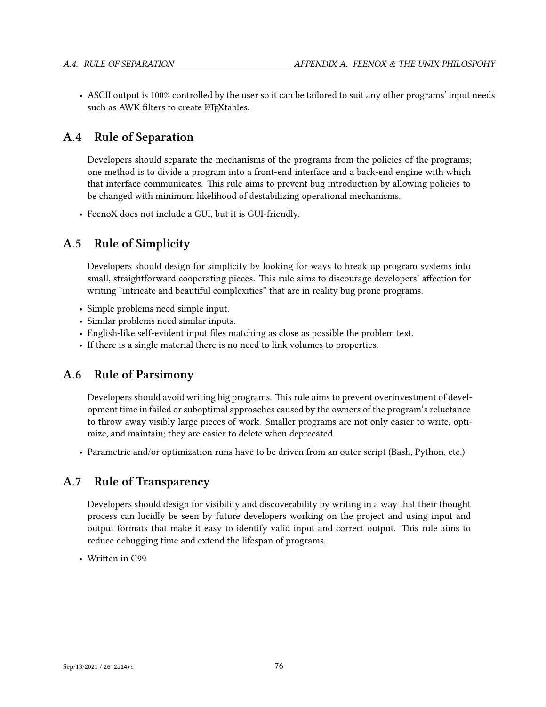• ASCII output is 100% controlled by the user so it can be tailored to suit any other programs' input needs such as AWK filters to create LTFXtables.

## **A.4 Rule of Separation**

Developers should separate the mechanisms of the programs from the policies of the programs; one method is to divide a program into a front-end interface and a back-end engine with which that interface communicates. This rule aims to prevent bug introduction by allowing policies to be changed with minimum likelihood of destabilizing operational mechanisms.

• FeenoX does not include a GUI, but it is GUI-friendly.

## **A.5 Rule of Simplicity**

Developers should design for simplicity by looking for ways to break up program systems into small, straightforward cooperating pieces. This rule aims to discourage developers' affection for writing "intricate and beautiful complexities" that are in reality bug prone programs.

- Simple problems need simple input.
- Similar problems need similar inputs.
- English-like self-evident input files matching as close as possible the problem text.
- If there is a single material there is no need to link volumes to properties.

## **A.6 Rule of Parsimony**

Developers should avoid writing big programs. This rule aims to prevent overinvestment of development time in failed or suboptimal approaches caused by the owners of the program's reluctance to throw away visibly large pieces of work. Smaller programs are not only easier to write, optimize, and maintain; they are easier to delete when deprecated.

• Parametric and/or optimization runs have to be driven from an outer script (Bash, Python, etc.)

## **A.7 Rule of Transparency**

Developers should design for visibility and discoverability by writing in a way that their thought process can lucidly be seen by future developers working on the project and using input and output formats that make it easy to identify valid input and correct output. This rule aims to reduce debugging time and extend the lifespan of programs.

• Written in C99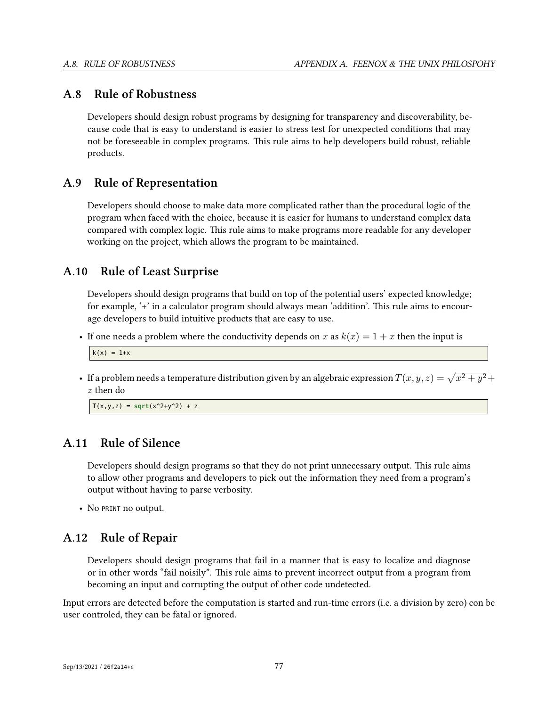### **A.8 Rule of Robustness**

Developers should design robust programs by designing for transparency and discoverability, because code that is easy to understand is easier to stress test for unexpected conditions that may not be foreseeable in complex programs. This rule aims to help developers build robust, reliable products.

### **A.9 Rule of Representation**

Developers should choose to make data more complicated rather than the procedural logic of the program when faced with the choice, because it is easier for humans to understand complex data compared with complex logic. This rule aims to make programs more readable for any developer working on the project, which allows the program to be maintained.

#### **A.10 Rule of Least Surprise**

Developers should design programs that build on top of the potential users' expected knowledge; for example, '+' in a calculator program should always mean 'addition'. This rule aims to encourage developers to build intuitive products that are easy to use.

• If one needs a problem where the conductivity depends on *x* as  $k(x) = 1 + x$  then the input is

```
k(x) = 1+x
```
• If a problem needs a temperature distribution given by an algebraic expression  $T(x, y, z) = \sqrt{x^2 + y^2} + z^2 + z^2$ *z* then do

 $T(x,y,z) = sqrt(x^2+y^2) + z$ 

## **A.11 Rule of Silence**

Developers should design programs so that they do not print unnecessary output. This rule aims to allow other programs and developers to pick out the information they need from a program's output without having to parse verbosity.

• No PRINT no output.

## **A.12 Rule of Repair**

Developers should design programs that fail in a manner that is easy to localize and diagnose or in other words "fail noisily". This rule aims to prevent incorrect output from a program from becoming an input and corrupting the output of other code undetected.

Input errors are detected before the computation is started and run-time errors (i.e. a division by zero) con be user controled, they can be fatal or ignored.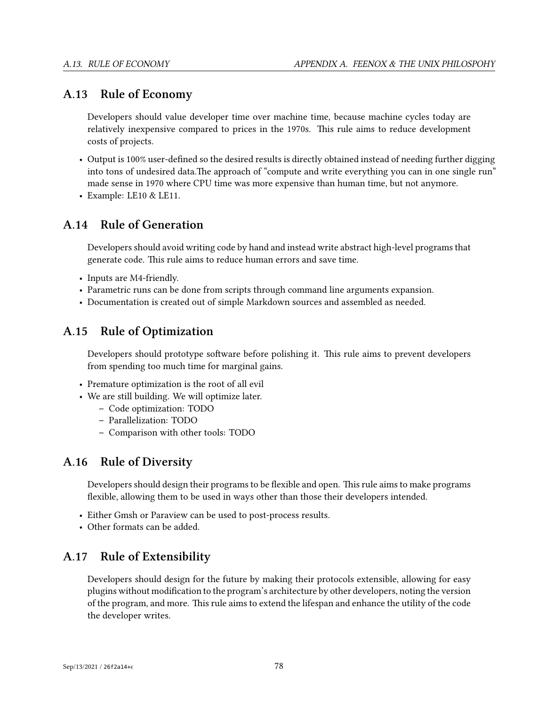### **A.13 Rule of Economy**

Developers should value developer time over machine time, because machine cycles today are relatively inexpensive compared to prices in the 1970s. This rule aims to reduce development costs of projects.

- Output is 100% user-defined so the desired results is directly obtained instead of needing further digging into tons of undesired data.The approach of "compute and write everything you can in one single run" made sense in 1970 where CPU time was more expensive than human time, but not anymore.
- Example: LE10 & LE11.

## **A.14 Rule of Generation**

Developers should avoid writing code by hand and instead write abstract high-level programs that generate code. This rule aims to reduce human errors and save time.

- Inputs are M4-friendly.
- Parametric runs can be done from scripts through command line arguments expansion.
- Documentation is created out of simple Markdown sources and assembled as needed.

## **A.15 Rule of Optimization**

Developers should prototype software before polishing it. This rule aims to prevent developers from spending too much time for marginal gains.

- Premature optimization is the root of all evil
- We are still building. We will optimize later.
	- **–** Code optimization: TODO
	- **–** Parallelization: TODO
	- **–** Comparison with other tools: TODO

## **A.16 Rule of Diversity**

Developers should design their programs to be flexible and open. This rule aims to make programs flexible, allowing them to be used in ways other than those their developers intended.

- Either Gmsh or Paraview can be used to post-process results.
- Other formats can be added.

## **A.17 Rule of Extensibility**

Developers should design for the future by making their protocols extensible, allowing for easy plugins without modification to the program's architecture by other developers, noting the version of the program, and more. This rule aims to extend the lifespan and enhance the utility of the code the developer writes.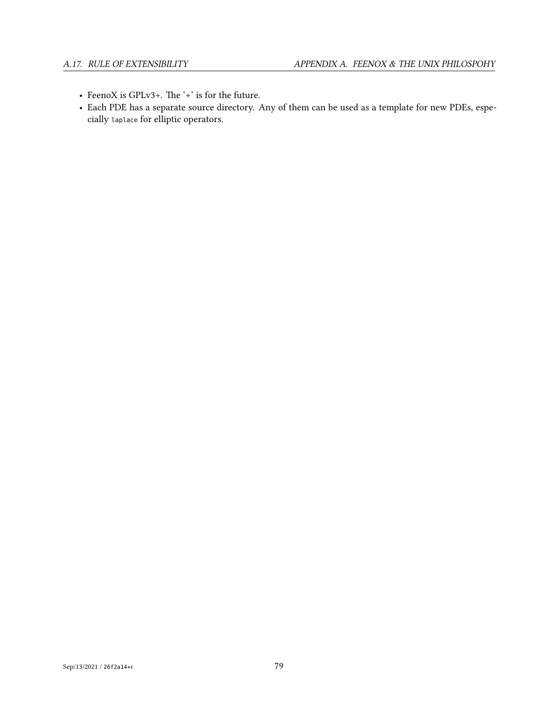- FeenoX is GPLv3+. The '+' is for the future.
- Each PDE has a separate source directory. Any of them can be used as a template for new PDEs, especially laplace for elliptic operators.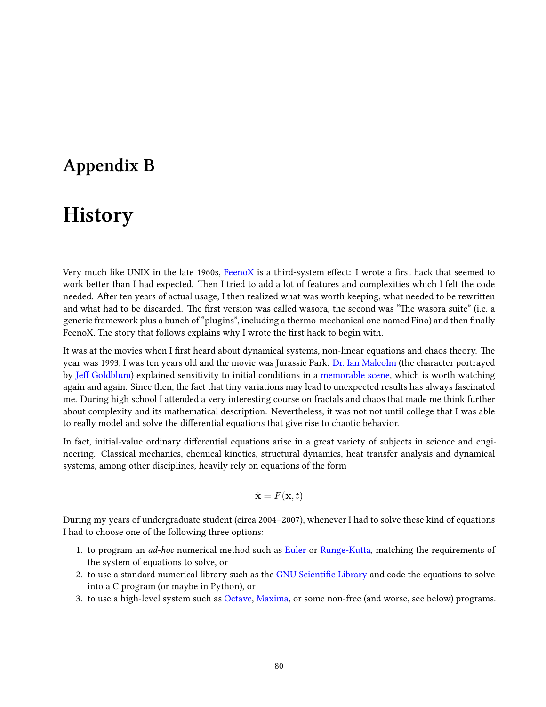## **Appendix B**

# **History**

Very much like UNIX in the late 1960s, [FeenoX](https://www.seamplex.com/feenox) is a third-system effect: I wrote a first hack that seemed to work better than I had expected. Then I tried to add a lot of features and complexities which I felt the code needed. After ten years of actual usage, I then realized what was worth keeping, what needed to be rewritten and what had to be discarded. The first version was called wasora, the second was "The wasora suite" (i.e. a generic framework plus a bunch of "plugins", including a thermo-mechanical one named Fino) and then finally FeenoX. The story that follows explains why I wrote the first hack to begin with.

It was at the movies when I first heard about dynamical systems, non-linear equations and chaos theory. The year was 1993, I was ten years old and the movie was Jurassic Park. [Dr. Ian Malcolm](https://en.wikipedia.org/wiki/Ian_Malcolm_(character)) (the character portrayed by [Jeff Goldblum\)](https://en.wikipedia.org/wiki/Jeff_Goldblum) explained sensitivity to initial conditions in a [memorable scene](https://www.youtube.com/watch?v=n-mpifTiPV4), which is worth watching again and again. Since then, the fact that tiny variations may lead to unexpected results has always fascinated me. During high school I attended a very interesting course on fractals and chaos that made me think further about complexity and its mathematical description. Nevertheless, it was not not until college that I was able to really model and solve the differential equations that give rise to chaotic behavior.

In fact, initial-value ordinary differential equations arise in a great variety of subjects in science and engineering. Classical mechanics, chemical kinetics, structural dynamics, heat transfer analysis and dynamical systems, among other disciplines, heavily rely on equations of the form

$$
\dot{\mathbf{x}} = F(\mathbf{x}, t)
$$

During my years of undergraduate student (circa 2004–2007), whenever I had to solve these kind of equations I had to choose one of the following three options:

- 1. to program an *ad-hoc* numerical method such as [Euler](https://en.wikipedia.org/wiki/Euler_method) or [Runge-Kutta,](https://en.wikipedia.org/wiki/Runge%E2%80%93Kutta_methods) matching the requirements of the system of equations to solve, or
- 2. to use a standard numerical library such as the [GNU Scientific Library](https://www.gnu.org/software/gsl/) and code the equations to solve into a C program (or maybe in Python), or
- 3. to use a high-level system such as [Octave,](https://www.gnu.org/software/octave/index) [Maxima,](https://maxima.sourceforge.io/) or some non-free (and worse, see below) programs.